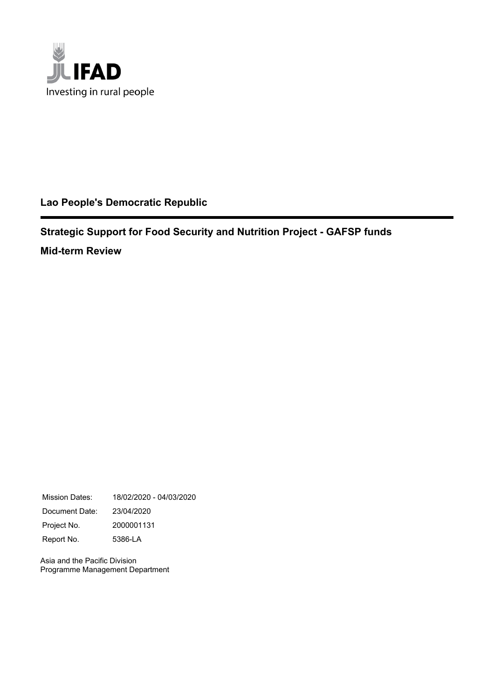

## **Lao People's Democratic Republic**

**Strategic Support for Food Security and Nutrition Project - GAFSP funds Mid-term Review**

Mission Dates: 18/02/2020 - 04/03/2020 Document Date: 23/04/2020 Project No. 2000001131 Report No. 5386-LA

Asia and the Pacific Division Programme Management Department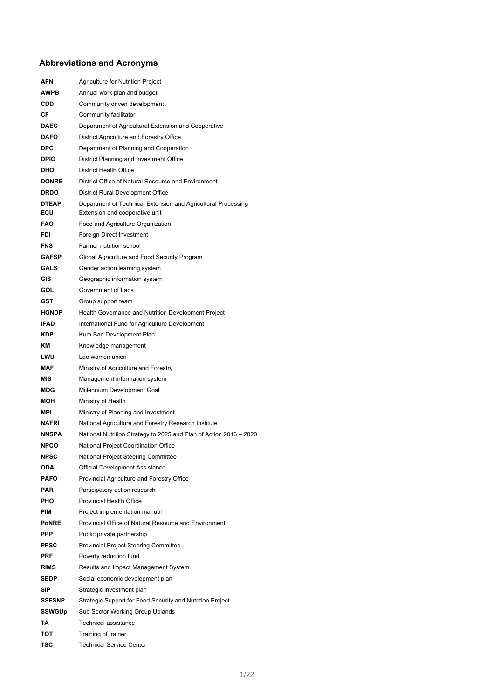## **Abbreviations and Acronyms**

| AFN                 | <b>Agriculture for Nutrition Project</b>                                                        |
|---------------------|-------------------------------------------------------------------------------------------------|
| AWPB                | Annual work plan and budget                                                                     |
| CDD                 | Community driven development                                                                    |
| СF                  | Community facilitator                                                                           |
| DAEC                | Department of Agricultural Extension and Cooperative                                            |
| <b>DAFO</b>         | District Agriculture and Forestry Office                                                        |
| DPC                 | Department of Planning and Cooperation                                                          |
| <b>DPIO</b>         | District Planning and Investment Office                                                         |
| DHO                 | <b>District Health Office</b>                                                                   |
| <b>DONRE</b>        | District Office of Natural Resource and Environment                                             |
| <b>DRDO</b>         | District Rural Development Office                                                               |
| <b>DTEAP</b><br>ECU | Department of Technical Extension and Agricultural Processing<br>Extension and cooperative unit |
| <b>FAO</b>          | Food and Agriculture Organization                                                               |
| FDI                 | Foreign Direct Investment                                                                       |
| FNS                 | Farmer nutrition school                                                                         |
| <b>GAFSP</b>        | Global Agriculture and Food Security Program                                                    |
| GALS                | Gender action learning system                                                                   |
| GIS                 | Geographic information system                                                                   |
| GOL                 | Government of Laos                                                                              |
| GST                 | Group support team                                                                              |
| <b>HGNDP</b>        | Health Governance and Nutrition Development Project                                             |
| <b>IFAD</b>         | International Fund for Agriculture Development                                                  |
| KDP                 | Kum Ban Development Plan                                                                        |
| ΚM                  | Knowledge management                                                                            |
| LWU                 | Lao women union                                                                                 |
| MAF                 | Ministry of Agriculture and Forestry                                                            |
| MIS                 | Management information system                                                                   |
| MDG                 | Millennium Development Goal                                                                     |
| МОН                 | Ministry of Health                                                                              |
| MPI                 | Ministry of Planning and Investment                                                             |
| NAFRI               | National Agriculture and Forestry Research Institute                                            |
| <b>NNSPA</b>        | National Nutrition Strategy to 2025 and Plan of Action 2016 – 2020                              |
| <b>NPCO</b>         | National Project Coordination Office                                                            |
| <b>NPSC</b>         | National Project Steering Committee                                                             |
| ODA                 | <b>Official Development Assistance</b>                                                          |
| <b>PAFO</b>         | Provincial Agriculture and Forestry Office                                                      |
| PAR                 | Participatory action research                                                                   |
| PHO                 | Provincial Health Office                                                                        |
| PIM                 | Project implementation manual                                                                   |
| <b>PoNRE</b>        | Provincial Office of Natural Resource and Environment                                           |
| PPP                 | Public private partnership                                                                      |
| <b>PPSC</b>         | <b>Provincial Project Steering Committee</b>                                                    |
| PRF                 | Poverty reduction fund                                                                          |
| <b>RIMS</b>         | Results and Impact Management System                                                            |
| SEDP                | Social economic development plan                                                                |
| SIP                 | Strategic investment plan                                                                       |
| <b>SSFSNP</b>       | Strategic Support for Food Security and Nutrition Project                                       |
| SSWGUp<br>TA        | Sub Sector Working Group Uplands<br>Technical assistance                                        |
| тот                 | Training of trainer                                                                             |
| TSC                 | <b>Technical Service Center</b>                                                                 |
|                     |                                                                                                 |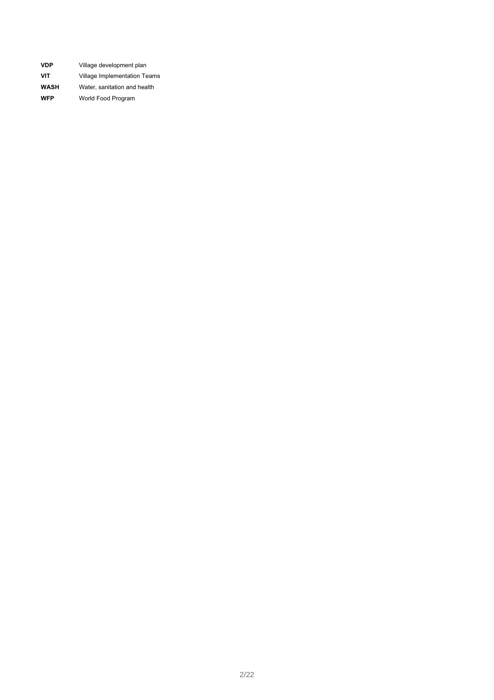| <b>VDP</b>  | Village development plan     |
|-------------|------------------------------|
| <b>VIT</b>  | Village Implementation Teams |
| <b>WASH</b> | Water, sanitation and health |
| <b>WFP</b>  | World Food Program           |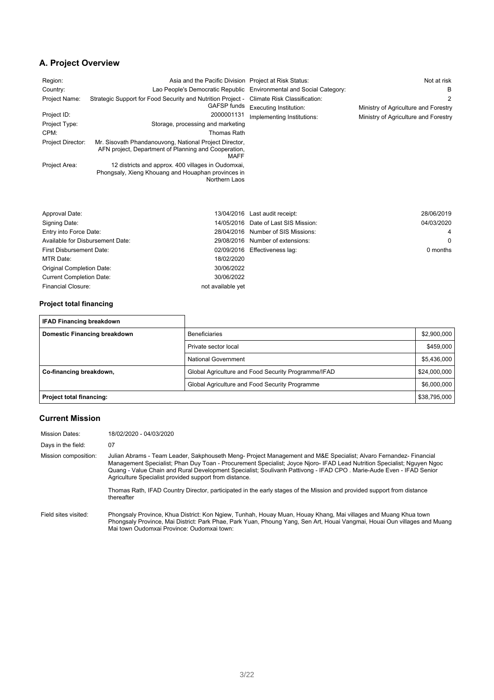## **A. Project Overview**

| Region:<br>Country:<br>Project Name:<br>Project ID:<br>Project Type:<br>CPM:<br>Project Director:<br>Project Area: | Asia and the Pacific Division Project at Risk Status:<br>Strategic Support for Food Security and Nutrition Project -<br>GAFSP funds<br>2000001131<br>Storage, processing and marketing<br>Thomas Rath<br>Mr. Sisovath Phandanouvong, National Project Director,<br>AFN project, Department of Planning and Cooperation,<br>MAFF<br>12 districts and approx. 400 villages in Oudomxai,<br>Phongsaly, Xieng Khouang and Houaphan provinces in<br>Northern Laos | Lao People's Democratic Republic Environmental and Social Category:<br>Climate Risk Classification:<br><b>Executing Institution:</b><br>Implementing Institutions: | Not at risk<br>в<br>2<br>Ministry of Agriculture and Forestry<br>Ministry of Agriculture and Forestry |
|--------------------------------------------------------------------------------------------------------------------|--------------------------------------------------------------------------------------------------------------------------------------------------------------------------------------------------------------------------------------------------------------------------------------------------------------------------------------------------------------------------------------------------------------------------------------------------------------|--------------------------------------------------------------------------------------------------------------------------------------------------------------------|-------------------------------------------------------------------------------------------------------|
| Approval Date:                                                                                                     | 13/04/2016                                                                                                                                                                                                                                                                                                                                                                                                                                                   | Last audit receipt:                                                                                                                                                | 28/06/2019                                                                                            |
| Signing Date:                                                                                                      | 14/05/2016                                                                                                                                                                                                                                                                                                                                                                                                                                                   | Date of Last SIS Mission:                                                                                                                                          | 04/03/2020                                                                                            |

| Signing Date:                    |                   | 14/05/2016 Date of Last SIS Mission: | 04/03/2020     |
|----------------------------------|-------------------|--------------------------------------|----------------|
| Entry into Force Date:           |                   | 28/04/2016 Number of SIS Missions:   | $\overline{4}$ |
| Available for Disbursement Date: |                   | 29/08/2016 Number of extensions:     | $\Omega$       |
| <b>First Disbursement Date:</b>  |                   | 02/09/2016 Effectiveness lag:        | 0 months       |
| <b>MTR Date:</b>                 | 18/02/2020        |                                      |                |
| <b>Original Completion Date:</b> | 30/06/2022        |                                      |                |
| <b>Current Completion Date:</b>  | 30/06/2022        |                                      |                |
| <b>Financial Closure:</b>        | not available yet |                                      |                |

### **Project total financing**

| <b>IFAD Financing breakdown</b>     |                                                     |              |
|-------------------------------------|-----------------------------------------------------|--------------|
| <b>Domestic Financing breakdown</b> | <b>Beneficiaries</b>                                | \$2,900,000  |
|                                     | Private sector local                                | \$459,000    |
|                                     | National Government                                 | \$5,436,000  |
| Co-financing breakdown,             | Global Agriculture and Food Security Programme/IFAD | \$24,000,000 |
|                                     | Global Agriculture and Food Security Programme      | \$6,000,000  |
| <b>Project total financing:</b>     |                                                     | \$38,795,000 |

### **Current Mission**

| <b>Mission Dates:</b> | 18/02/2020 - 04/03/2020                                                                                                                                                                                                                                                                                                                                                                                                       |
|-----------------------|-------------------------------------------------------------------------------------------------------------------------------------------------------------------------------------------------------------------------------------------------------------------------------------------------------------------------------------------------------------------------------------------------------------------------------|
| Days in the field:    | 07                                                                                                                                                                                                                                                                                                                                                                                                                            |
| Mission composition:  | Julian Abrams - Team Leader, Sakphouseth Meng- Project Management and M&E Specialist; Alvaro Fernandez- Financial<br>Management Specialist; Phan Duy Toan - Procurement Specialist; Joyce Njoro-IFAD Lead Nutrition Specialist; Nguyen Ngoc<br>Quang - Value Chain and Rural Development Specialist; Soulivanh Pattivong - IFAD CPO . Marie-Aude Even - IFAD Senior<br>Agriculture Specialist provided support from distance. |
|                       | Thomas Rath, IFAD Country Director, participated in the early stages of the Mission and provided support from distance<br>thereafter                                                                                                                                                                                                                                                                                          |
| Field sites visited:  | Phongsaly Province, Khua District: Kon Ngiew, Tunhah, Houay Muan, Houay Khang, Mai villages and Muang Khua town<br>Phongsaly Province, Mai District: Park Phae, Park Yuan, Phoung Yang, Sen Art, Houai Vangmai, Houai Oun villages and Muang<br>Mai town Oudomxai Province: Oudomxai town:                                                                                                                                    |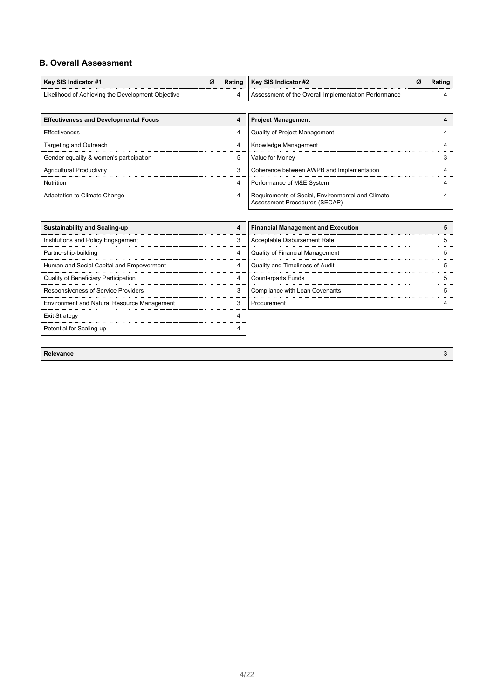### **B. Overall Assessment**

| Key SIS Indicator #1                              |  | Rating    Key SIS Indicator #2<br>.                  |  |
|---------------------------------------------------|--|------------------------------------------------------|--|
| Likelihood of Achieving the Development Objective |  | Assessment of the Overall Implementation Performance |  |

| <b>Effectiveness and Developmental Focus</b> |   | <b>Project Management</b>                                                          |  |
|----------------------------------------------|---|------------------------------------------------------------------------------------|--|
| Effectiveness                                |   | Quality of Project Management                                                      |  |
| Targeting and Outreach                       |   | Knowledge Management                                                               |  |
| Gender equality & women's participation      | 5 | Value for Money                                                                    |  |
| <b>Agricultural Productivity</b>             |   | Coherence between AWPB and Implementation                                          |  |
| Nutrition                                    |   | Performance of M&E System                                                          |  |
| Adaptation to Climate Change                 |   | Requirements of Social, Environmental and Climate<br>Assessment Procedures (SECAP) |  |

| <b>Sustainability and Scaling-up</b>        | 4 | <b>Financial Management and Execution</b> |  |
|---------------------------------------------|---|-------------------------------------------|--|
| Institutions and Policy Engagement          | 3 | Acceptable Disbursement Rate              |  |
| Partnership-building                        |   | <b>Quality of Financial Management</b>    |  |
| Human and Social Capital and Empowerment    | 4 | Quality and Timeliness of Audit           |  |
| Quality of Beneficiary Participation        | 4 | <b>Counterparts Funds</b>                 |  |
| <b>Responsiveness of Service Providers</b>  | 3 | Compliance with Loan Covenants            |  |
| Environment and Natural Resource Management | 3 | Procurement                               |  |
| Exit Strategy                               |   |                                           |  |
| Potential for Scaling-up                    |   |                                           |  |

**Relevance 3**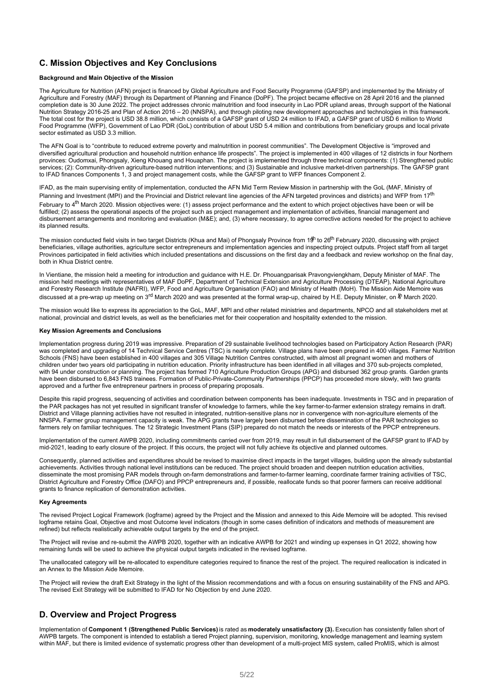### **C. Mission Objectives and Key Conclusions**

### **Background and Main Objective of the Mission**

The Agriculture for Nutrition (AFN) project is financed by Global Agriculture and Food Security Programme (GAFSP) and implemented by the Ministry of Agriculture and Forestry (MAF) through its Department of Planning and Finance (DoPF). The project became effective on 28 April 2016 and the planned completion date is 30 June 2022. The project addresses chronic malnutrition and food insecurity in Lao PDR upland areas, through support of the National Nutrition Strategy 2016-25 and Plan of Action 2016 – 20 (NNSPA), and through piloting new development approaches and technologies in this framework. The total cost for the project is USD 38.8 million, which consists of a GAFSP grant of USD 24 million to IFAD, a GAFSP grant of USD 6 million to World Food Programme (WFP), Government of Lao PDR (GoL) contribution of about USD 5.4 million and contributions from beneficiary groups and local private sector estimated as USD 3.3 million.

The AFN Goal is to "contribute to reduced extreme poverty and malnutrition in poorest communities". The Development Objective is "improved and diversified agricultural production and household nutrition enhance life prospects". The project is implemented in 400 villages of 12 districts in four Northern provinces: Oudomxai, Phongsaly, Xieng Khouang and Houaphan. The project is implemented through three technical components: (1) Strengthened public services; (2): Community-driven agriculture-based nutrition interventions; and (3) Sustainable and inclusive market-driven partnerships. The GAFSP grant to IFAD finances Components 1, 3 and project management costs, while the GAFSP grant to WFP finances Component 2.

IFAD, as the main supervising entity of implementation, conducted the AFN Mid Term Review Mission in partnership with the GoL (MAF, Ministry of Planning and Investment (MPI) and the Provincial and District relevant line agencies of the AFN targeted provinces and districts) and WFP from 17<sup>th</sup>

February to 4<sup>th</sup> March 2020. Mission objectives were: (1) assess project performance and the extent to which project objectives have been or will be fulfilled; (2) assess the operational aspects of the project such as project management and implementation of activities, financial management and disbursement arrangements and monitoring and evaluation (M&E); and, (3) where necessary, to agree corrective actions needed for the project to achieve its planned results.

The mission conducted field visits in two target Districts (Khua and Mai) of Phongsaly Province from 1s<sup>th</sup> to 26<sup>th</sup> February 2020, discussing with project beneficiaries, village authorities, agriculture sector entrepreneurs and implementation agencies and inspecting project outputs. Project staff from all target Provinces participated in field activities which included presentations and discussions on the first day and a feedback and review workshop on the final day, both in Khua District centre.

In Vientiane, the mission held a meeting for introduction and guidance with H.E. Dr. Phouangparisak Pravongviengkham, Deputy Minister of MAF. The mission held meetings with representatives of MAF DoPF, Department of Technical Extension and Agriculture Processing (DTEAP), National Agriculture and Forestry Research Institute (NAFRI), WFP, Food and Agriculture Organisation (FAO) and Ministry of Health (MoH). The Mission Aide Memoire was discussed at a pre-wrap up meeting on 3<sup>rd</sup> March 2020 and was presented at the formal wrap-up, chaired by H.E. Deputy Minister, on <sup>tt</sup>l March 2020.

The mission would like to express its appreciation to the GoL, MAF, MPI and other related ministries and departments, NPCO and all stakeholders met at national, provincial and district levels, as well as the beneficiaries met for their cooperation and hospitality extended to the mission.

#### **Key Mission Agreements and Conclusions**

Implementation progress during 2019 was impressive. Preparation of 29 sustainable livelihood technologies based on Participatory Action Research (PAR) was completed and upgrading of 14 Technical Service Centres (TSC) is nearly complete. Village plans have been prepared in 400 villages. Farmer Nutrition Schools (FNS) have been established in 400 villages and 305 Village Nutrition Centres constructed, with almost all pregnant women and mothers of children under two years old participating in nutrition education. Priority infrastructure has been identified in all villages and 370 sub-projects completed, with 94 under construction or planning. The project has formed 710 Agriculture Production Groups (APG) and disbursed 362 group grants. Garden grants have been disbursed to 6,843 FNS trainees. Formation of Public-Private-Community Partnerships (PPCP) has proceeded more slowly, with two grants approved and a further five entrepreneur partners in process of preparing proposals.

Despite this rapid progress, sequencing of activities and coordination between components has been inadequate. Investments in TSC and in preparation of the PAR packages has not yet resulted in significant transfer of knowledge to farmers, while the key farmer-to-farmer extension strategy remains in draft. District and Village planning activities have not resulted in integrated, nutrition-sensitive plans nor in convergence with non-agriculture elements of the NNSPA. Farmer group management capacity is weak. The APG grants have largely been disbursed before dissemination of the PAR technologies so farmers rely on familiar techniques. The 12 Strategic Investment Plans (SIP) prepared do not match the needs or interests of the PPCP entrepreneurs.

Implementation of the current AWPB 2020, including commitments carried over from 2019, may result in full disbursement of the GAFSP grant to IFAD by mid-2021, leading to early closure of the project. If this occurs, the project will not fully achieve its objective and planned outcomes.

Consequently, planned activities and expenditures should be revised to maximise direct impacts in the target villages, building upon the already substantial achievements. Activities through national level institutions can be reduced. The project should broaden and deepen nutrition education activities, disseminate the most promising PAR models through on-farm demonstrations and farmer-to-farmer learning, coordinate farmer training activities of TSC, District Agriculture and Forestry Office (DAFO) and PPCP entrepreneurs and, if possible, reallocate funds so that poorer farmers can receive additional grants to finance replication of demonstration activities.

#### **Key Agreements**

The revised Project Logical Framework (logframe) agreed by the Project and the Mission and annexed to this Aide Memoire will be adopted. This revised logframe retains Goal, Objective and most Outcome level indicators (though in some cases definition of indicators and methods of measurement are refined) but reflects realistically achievable output targets by the end of the project.

The Project will revise and re-submit the AWPB 2020, together with an indicative AWPB for 2021 and winding up expenses in Q1 2022, showing how remaining funds will be used to achieve the physical output targets indicated in the revised logframe.

The unallocated category will be re-allocated to expenditure categories required to finance the rest of the project. The required reallocation is indicated in an Annex to the Mission Aide Memoire.

The Project will review the draft Exit Strategy in the light of the Mission recommendations and with a focus on ensuring sustainability of the FNS and APG. The revised Exit Strategy will be submitted to IFAD for No Objection by end June 2020.

### **D. Overview and Project Progress**

Implementation of **Component 1 (Strengthened Public Services)** is rated as **moderately unsatisfactory (3).** Execution has consistently fallen short of AWPB targets. The component is intended to establish a tiered Project planning, supervision, monitoring, knowledge management and learning system within MAF, but there is limited evidence of systematic progress other than development of a multi-project MIS system, called ProMIS, which is almost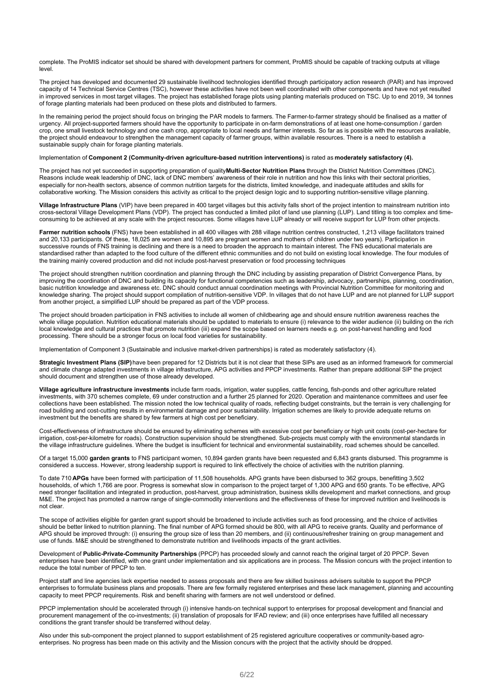complete. The ProMIS indicator set should be shared with development partners for comment, ProMIS should be capable of tracking outputs at village level.

The project has developed and documented 29 sustainable livelihood technologies identified through participatory action research (PAR) and has improved capacity of 14 Technical Service Centres (TSC), however these activities have not been well coordinated with other components and have not yet resulted in improved services in most target villages. The project has established forage plots using planting materials produced on TSC. Up to end 2019, 34 tonnes of forage planting materials had been produced on these plots and distributed to farmers.

In the remaining period the project should focus on bringing the PAR models to farmers. The Farmer-to-farmer strategy should be finalised as a matter of urgency. All project-supported farmers should have the opportunity to participate in on-farm demonstrations of at least one home-consumption / garden crop, one small livestock technology and one cash crop, appropriate to local needs and farmer interests. So far as is possible with the resources available, the project should endeavour to strengthen the management capacity of farmer groups, within available resources. There is a need to establish a sustainable supply chain for forage planting materials.

#### Implementation of **Component 2 (Community-driven agriculture-based nutrition interventions)** is rated as **moderately satisfactory (4).**

The project has not yet succeeded in supporting preparation of quality**Multi-Sector Nutrition Plans** through the District Nutrition Committees (DNC). Reasons include weak leadership of DNC, lack of DNC members' awareness of their role in nutrition and how this links with their sectoral priorities, especially for non-health sectors, absence of common nutrition targets for the districts, limited knowledge, and inadequate attitudes and skills for collaborative working. The Mission considers this activity as critical to the project design logic and to supporting nutrition-sensitive village planning.

**Village Infrastructure Plans** (VIP) have been prepared in 400 target villages but this activity falls short of the project intention to mainstream nutrition into cross-sectoral Village Development Plans (VDP). The project has conducted a limited pilot of land use planning (LUP). Land titling is too complex and timeconsuming to be achieved at any scale with the project resources. Some villages have LUP already or will receive support for LUP from other projects.

**Farmer nutrition schools** (FNS) have been established in all 400 villages with 288 village nutrition centres constructed, 1,213 village facilitators trained and 20,133 participants. Of these, 18,025 are women and 10,895 are pregnant women and mothers of children under two years). Participation in successive rounds of FNS training is declining and there is a need to broaden the approach to maintain interest. The FNS educational materials are standardised rather than adapted to the food culture of the different ethnic communities and do not build on existing local knowledge. The four modules of the training mainly covered production and did not include post-harvest preservation or food processing techniques

The project should strengthen nutrition coordination and planning through the DNC including by assisting preparation of District Convergence Plans, by improving the coordination of DNC and building its capacity for functional competencies such as leadership, advocacy, partnerships, planning, coordination, basic nutrition knowledge and awareness etc. DNC should conduct annual coordination meetings with Provincial Nutrition Committee for monitoring and knowledge sharing. The project should support compilation of nutrition-sensitive VDP. In villages that do not have LUP and are not planned for LUP support from another project, a simplified LUP should be prepared as part of the VDP process.

The project should broaden participation in FNS activities to include all women of childbearing age and should ensure nutrition awareness reaches the whole village population. Nutrition educational materials should be updated to materials to ensure (i) relevance to the wider audience (ii) building on the rich local knowledge and cultural practices that promote nutrition (iii) expand the scope based on learners needs e.g. on post-harvest handling and food processing. There should be a stronger focus on local food varieties for sustainability.

Implementation of Component 3 (Sustainable and inclusive market-driven partnerships) is rated as moderately satisfactory (4).

**Strategic Investment Plans (SIP)**have been prepared for 12 Districts but it is not clear that these SIPs are used as an informed framework for commercial and climate change adapted investments in village infrastructure, APG activities and PPCP investments. Rather than prepare additional SIP the project should document and strengthen use of those already developed.

**Village agriculture infrastructure investments** include farm roads, irrigation, water supplies, cattle fencing, fish-ponds and other agriculture related investments, with 370 schemes complete, 69 under construction and a further 25 planned for 2020. Operation and maintenance committees and user fee collections have been established. The mission noted the low technical quality of roads, reflecting budget constraints, but the terrain is very challenging for road building and cost-cutting results in environmental damage and poor sustainability. Irrigation schemes are likely to provide adequate returns on investment but the benefits are shared by few farmers at high cost per beneficiary.

Cost-effectiveness of infrastructure should be ensured by eliminating schemes with excessive cost per beneficiary or high unit costs (cost-per-hectare for irrigation, cost-per-kilometre for roads). Construction supervision should be strengthened. Sub-projects must comply with the environmental standards in the village infrastructure guidelines. Where the budget is insufficient for technical and environmental sustainability, road schemes should be cancelled.

Of a target 15,000 **garden grants** to FNS participant women, 10,894 garden grants have been requested and 6,843 grants disbursed. This programme is considered a success. However, strong leadership support is required to link effectively the choice of activities with the nutrition planning.

To date 710 **APGs** have been formed with participation of 11,508 households. APG grants have been disbursed to 362 groups, benefitting 3,502 households, of which 1,766 are poor. Progress is somewhat slow in comparison to the project target of 1,300 APG and 650 grants. To be effective, APG need stronger facilitation and integrated in production, post-harvest, group administration, business skills development and market connections, and group M&E. The project has promoted a narrow range of single-commodity interventions and the effectiveness of these for improved nutrition and livelihoods is not clear.

The scope of activities eligible for garden grant support should be broadened to include activities such as food processing, and the choice of activities should be better linked to nutrition planning. The final number of APG formed should be 800, with all APG to receive grants. Quality and performance of APG should be improved through: (i) ensuring the group size of less than 20 members, and (ii) continuous/refresher training on group management and use of funds. M&E should be strengthened to demonstrate nutrition and livelihoods impacts of the grant activities.

Development of **Public-Private-Community Partnerships** (PPCP) has proceeded slowly and cannot reach the original target of 20 PPCP. Seven enterprises have been identified, with one grant under implementation and six applications are in process. The Mission concurs with the project intention to reduce the total number of PPCP to ten.

Project staff and line agencies lack expertise needed to assess proposals and there are few skilled business advisers suitable to support the PPCP enterprises to formulate business plans and proposals. There are few formally registered enterprises and these lack management, planning and accounting capacity to meet PPCP requirements. Risk and benefit sharing with farmers are not well understood or defined.

PPCP implementation should be accelerated through (i) intensive hands-on technical support to enterprises for proposal development and financial and procurement management of the co-investments; (ii) translation of proposals for IFAD review; and (iii) once enterprises have fulfilled all necessary conditions the grant transfer should be transferred without delay.

Also under this sub-component the project planned to support establishment of 25 registered agriculture cooperatives or community-based agroenterprises. No progress has been made on this activity and the Mission concurs with the project that the activity should be dropped.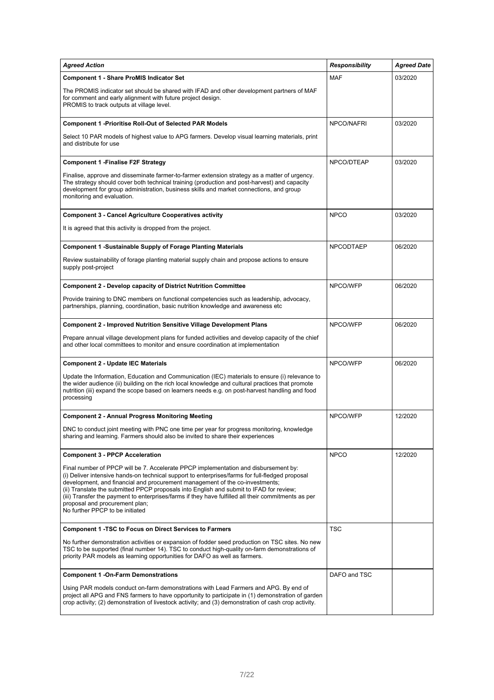| <b>Agreed Action</b>                                                                                                                                                                                                                                                                                                                                                                                                                                                                                                                          | <b>Responsibility</b> | <b>Agreed Date</b> |
|-----------------------------------------------------------------------------------------------------------------------------------------------------------------------------------------------------------------------------------------------------------------------------------------------------------------------------------------------------------------------------------------------------------------------------------------------------------------------------------------------------------------------------------------------|-----------------------|--------------------|
| <b>Component 1 - Share ProMIS Indicator Set</b>                                                                                                                                                                                                                                                                                                                                                                                                                                                                                               | <b>MAF</b>            | 03/2020            |
| The PROMIS indicator set should be shared with IFAD and other development partners of MAF<br>for comment and early alignment with future project design.<br>PROMIS to track outputs at village level.                                                                                                                                                                                                                                                                                                                                         |                       |                    |
| <b>Component 1 -Prioritise Roll-Out of Selected PAR Models</b>                                                                                                                                                                                                                                                                                                                                                                                                                                                                                | NPCO/NAFRI            | 03/2020            |
| Select 10 PAR models of highest value to APG farmers. Develop visual learning materials, print<br>and distribute for use                                                                                                                                                                                                                                                                                                                                                                                                                      |                       |                    |
| <b>Component 1 - Finalise F2F Strategy</b>                                                                                                                                                                                                                                                                                                                                                                                                                                                                                                    | NPCO/DTEAP            | 03/2020            |
| Finalise, approve and disseminate farmer-to-farmer extension strategy as a matter of urgency.<br>The strategy should cover both technical training (production and post-harvest) and capacity<br>development for group administration, business skills and market connections, and group<br>monitoring and evaluation.                                                                                                                                                                                                                        |                       |                    |
| <b>Component 3 - Cancel Agriculture Cooperatives activity</b>                                                                                                                                                                                                                                                                                                                                                                                                                                                                                 | <b>NPCO</b>           | 03/2020            |
| It is agreed that this activity is dropped from the project.                                                                                                                                                                                                                                                                                                                                                                                                                                                                                  |                       |                    |
| <b>Component 1 -Sustainable Supply of Forage Planting Materials</b>                                                                                                                                                                                                                                                                                                                                                                                                                                                                           | <b>NPCODTAEP</b>      | 06/2020            |
| Review sustainability of forage planting material supply chain and propose actions to ensure<br>supply post-project                                                                                                                                                                                                                                                                                                                                                                                                                           |                       |                    |
| <b>Component 2 - Develop capacity of District Nutrition Committee</b>                                                                                                                                                                                                                                                                                                                                                                                                                                                                         | NPCO/WFP              | 06/2020            |
| Provide training to DNC members on functional competencies such as leadership, advocacy,<br>partnerships, planning, coordination, basic nutrition knowledge and awareness etc                                                                                                                                                                                                                                                                                                                                                                 |                       |                    |
| <b>Component 2 - Improved Nutrition Sensitive Village Development Plans</b>                                                                                                                                                                                                                                                                                                                                                                                                                                                                   | NPCO/WFP              | 06/2020            |
| Prepare annual village development plans for funded activities and develop capacity of the chief<br>and other local committees to monitor and ensure coordination at implementation                                                                                                                                                                                                                                                                                                                                                           |                       |                    |
| <b>Component 2 - Update IEC Materials</b>                                                                                                                                                                                                                                                                                                                                                                                                                                                                                                     | NPCO/WFP              | 06/2020            |
| Update the Information, Education and Communication (IEC) materials to ensure (i) relevance to<br>the wider audience (ii) building on the rich local knowledge and cultural practices that promote<br>nutrition (iii) expand the scope based on learners needs e.g. on post-harvest handling and food<br>processing                                                                                                                                                                                                                           |                       |                    |
| <b>Component 2 - Annual Progress Monitoring Meeting</b>                                                                                                                                                                                                                                                                                                                                                                                                                                                                                       | NPCO/WFP              | 12/2020            |
| DNC to conduct joint meeting with PNC one time per year for progress monitoring, knowledge<br>sharing and learning. Farmers should also be invited to share their experiences                                                                                                                                                                                                                                                                                                                                                                 |                       |                    |
| <b>Component 3 - PPCP Acceleration</b>                                                                                                                                                                                                                                                                                                                                                                                                                                                                                                        | <b>NPCO</b>           | 12/2020            |
| Final number of PPCP will be 7. Accelerate PPCP implementation and disbursement by:<br>(i) Deliver intensive hands-on technical support to enterprises/farms for full-fledged proposal<br>development, and financial and procurement management of the co-investments;<br>(ii) Translate the submitted PPCP proposals into English and submit to IFAD for review;<br>(iii) Transfer the payment to enterprises/farms if they have fulfilled all their commitments as per<br>proposal and procurement plan;<br>No further PPCP to be initiated |                       |                    |
| <b>Component 1 -TSC to Focus on Direct Services to Farmers</b>                                                                                                                                                                                                                                                                                                                                                                                                                                                                                | <b>TSC</b>            |                    |
| No further demonstration activities or expansion of fodder seed production on TSC sites. No new<br>TSC to be supported (final number 14). TSC to conduct high-quality on-farm demonstrations of<br>priority PAR models as learning opportunities for DAFO as well as farmers.                                                                                                                                                                                                                                                                 |                       |                    |
| <b>Component 1 -On-Farm Demonstrations</b>                                                                                                                                                                                                                                                                                                                                                                                                                                                                                                    | DAFO and TSC          |                    |
| Using PAR models conduct on-farm demonstrations with Lead Farmers and APG. By end of<br>project all APG and FNS farmers to have opportunity to participate in (1) demonstration of garden<br>crop activity; (2) demonstration of livestock activity; and (3) demonstration of cash crop activity.                                                                                                                                                                                                                                             |                       |                    |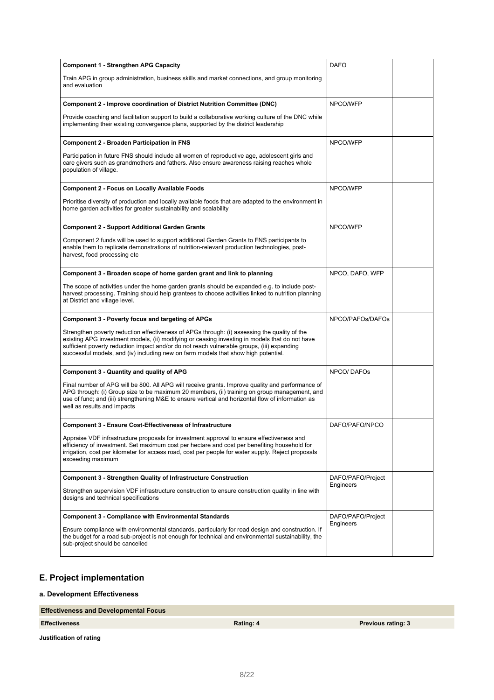| <b>Component 1 - Strengthen APG Capacity</b>                                                                                                                                                                                                                                                                                                                                       | <b>DAFO</b>       |  |
|------------------------------------------------------------------------------------------------------------------------------------------------------------------------------------------------------------------------------------------------------------------------------------------------------------------------------------------------------------------------------------|-------------------|--|
| Train APG in group administration, business skills and market connections, and group monitoring<br>and evaluation                                                                                                                                                                                                                                                                  |                   |  |
| Component 2 - Improve coordination of District Nutrition Committee (DNC)                                                                                                                                                                                                                                                                                                           | NPCO/WFP          |  |
| Provide coaching and facilitation support to build a collaborative working culture of the DNC while<br>implementing their existing convergence plans, supported by the district leadership                                                                                                                                                                                         |                   |  |
| <b>Component 2 - Broaden Participation in FNS</b>                                                                                                                                                                                                                                                                                                                                  | NPCO/WFP          |  |
| Participation in future FNS should include all women of reproductive age, adolescent girls and<br>care givers such as grandmothers and fathers. Also ensure awareness raising reaches whole<br>population of village.                                                                                                                                                              |                   |  |
| <b>Component 2 - Focus on Locally Available Foods</b>                                                                                                                                                                                                                                                                                                                              | NPCO/WFP          |  |
| Prioritise diversity of production and locally available foods that are adapted to the environment in<br>home garden activities for greater sustainability and scalability                                                                                                                                                                                                         |                   |  |
| <b>Component 2 - Support Additional Garden Grants</b>                                                                                                                                                                                                                                                                                                                              | NPCO/WFP          |  |
| Component 2 funds will be used to support additional Garden Grants to FNS participants to<br>enable them to replicate demonstrations of nutrition-relevant production technologies, post-<br>harvest, food processing etc                                                                                                                                                          |                   |  |
| Component 3 - Broaden scope of home garden grant and link to planning                                                                                                                                                                                                                                                                                                              | NPCO, DAFO, WFP   |  |
| The scope of activities under the home garden grants should be expanded e.g. to include post-<br>harvest processing. Training should help grantees to choose activities linked to nutrition planning<br>at District and village level.                                                                                                                                             |                   |  |
| <b>Component 3 - Poverty focus and targeting of APGs</b>                                                                                                                                                                                                                                                                                                                           | NPCO/PAFOs/DAFOs  |  |
| Strengthen poverty reduction effectiveness of APGs through: (i) assessing the quality of the<br>existing APG investment models, (ii) modifying or ceasing investing in models that do not have<br>sufficient poverty reduction impact and/or do not reach vulnerable groups, (iii) expanding<br>successful models, and (iv) including new on farm models that show high potential. |                   |  |
| <b>Component 3 - Quantity and quality of APG</b>                                                                                                                                                                                                                                                                                                                                   | NPCO/DAFOS        |  |
| Final number of APG will be 800. All APG will receive grants. Improve quality and performance of<br>APG through: (i) Group size to be maximum 20 members, (ii) training on group management, and<br>use of fund; and (iii) strengthening M&E to ensure vertical and horizontal flow of information as<br>well as results and impacts                                               |                   |  |
| Component 3 - Ensure Cost-Effectiveness of Infrastructure                                                                                                                                                                                                                                                                                                                          | DAFO/PAFO/NPCO    |  |
| Appraise VDF infrastructure proposals for investment approval to ensure effectiveness and<br>efficiency of investment. Set maximum cost per hectare and cost per benefiting household for<br>irrigation, cost per kilometer for access road, cost per people for water supply. Reject proposals<br>exceeding maximum                                                               |                   |  |
| <b>Component 3 - Strengthen Quality of Infrastructure Construction</b>                                                                                                                                                                                                                                                                                                             | DAFO/PAFO/Project |  |
| Strengthen supervision VDF infrastructure construction to ensure construction quality in line with<br>designs and technical specifications                                                                                                                                                                                                                                         | Engineers         |  |
| <b>Component 3 - Compliance with Environmental Standards</b>                                                                                                                                                                                                                                                                                                                       | DAFO/PAFO/Project |  |
| Ensure compliance with environmental standards, particularly for road design and construction. If<br>the budget for a road sub-project is not enough for technical and environmental sustainability, the<br>sub-project should be cancelled                                                                                                                                        | Engineers         |  |

## **E. Project implementation**

### **a. Development Effectiveness**

### **Effectiveness and Developmental Focus**

**Justification of rating**

**Effectiveness Rating: 4 Previous rating: 3**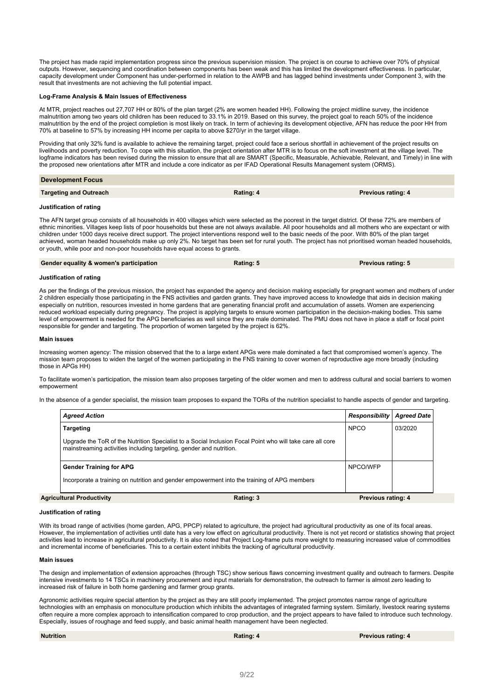The project has made rapid implementation progress since the previous supervision mission. The project is on course to achieve over 70% of physical outputs. However, sequencing and coordination between components has been weak and this has limited the development effectiveness. In particular, capacity development under Component has under-performed in relation to the AWPB and has lagged behind investments under Component 3, with the result that investments are not achieving the full potential impact.

#### **Log-Frame Analysis & Main Issues of Effectiveness**

At MTR, project reaches out 27,707 HH or 80% of the plan target (2% are women headed HH). Following the project midline survey, the incidence malnutrition among two years old children has been reduced to 33.1% in 2019. Based on this survey, the project goal to reach 50% of the incidence malnutrition by the end of the project completion is most likely on track. In term of achieving its development objective, AFN has reduce the poor HH from 70% at baseline to 57% by increasing HH income per capita to above \$270/yr in the target village.

Providing that only 32% fund is available to achieve the remaining target, project could face a serious shortfall in achievement of the project results on livelihoods and poverty reduction. To cope with this situation, the project orientation after MTR is to focus on the soft investment at the village level. The logframe indicators has been revised during the mission to ensure that all are SMART (Specific, Measurable, Achievable, Relevant, and Timely) in line with the proposed new orientations after MTR and include a core indicator as per IFAD Operational Results Management system (ORMS).

| <b>Development Focus</b>      |           |                           |
|-------------------------------|-----------|---------------------------|
| <b>Targeting and Outreach</b> | Rating: 4 | <b>Previous rating: 4</b> |

#### **Justification of rating**

The AFN target group consists of all households in 400 villages which were selected as the poorest in the target district. Of these 72% are members of ethnic minorities. Villages keep lists of poor households but these are not always available. All poor households and all mothers who are expectant or with children under 1000 days receive direct support. The project interventions respond well to the basic needs of the poor. With 80% of the plan target achieved, woman headed households make up only 2%. No target has been set for rural youth. The project has not prioritised woman headed households, or youth, while poor and non-poor households have equal access to grants.

| Gender equality & women's participation | Rating: 5 | <b>Previous rating: 5</b> |
|-----------------------------------------|-----------|---------------------------|
|                                         |           |                           |

#### **Justification of rating**

As per the findings of the previous mission, the project has expanded the agency and decision making especially for pregnant women and mothers of under 2 children especially those participating in the FNS activities and garden grants. They have improved access to knowledge that aids in decision making especially on nutrition, resources invested in home gardens that are generating financial profit and accumulation of assets. Women are experiencing reduced workload especially during pregnancy. The project is applying targets to ensure women participation in the decision-making bodies. This same level of empowerment is needed for the APG beneficiaries as well since they are male dominated. The PMU does not have in place a staff or focal point responsible for gender and targeting. The proportion of women targeted by the project is 62%.

#### **Main issues**

Increasing women agency: The mission observed that the to a large extent APGs were male dominated a fact that compromised women's agency. The mission team proposes to widen the target of the women participating in the FNS training to cover women of reproductive age more broadly (including those in APGs HH)

To facilitate women's participation, the mission team also proposes targeting of the older women and men to address cultural and social barriers to women empowerment

In the absence of a gender specialist, the mission team proposes to expand the TORs of the nutrition specialist to handle aspects of gender and targeting.

| <b>Agreed Action</b>                                                                                                                                                             |                                                                                             | <b>Responsibility</b>     | <b>Aareed Date</b> |
|----------------------------------------------------------------------------------------------------------------------------------------------------------------------------------|---------------------------------------------------------------------------------------------|---------------------------|--------------------|
| <b>Targeting</b>                                                                                                                                                                 |                                                                                             | <b>NPCO</b>               | 03/2020            |
| Upgrade the ToR of the Nutrition Specialist to a Social Inclusion Focal Point who will take care all core<br>mainstreaming activities including targeting, gender and nutrition. |                                                                                             |                           |                    |
| <b>Gender Training for APG</b>                                                                                                                                                   |                                                                                             | NPCO/WFP                  |                    |
|                                                                                                                                                                                  | Incorporate a training on nutrition and gender empowerment into the training of APG members |                           |                    |
| Agricultural Productivity                                                                                                                                                        | Rating: 3                                                                                   | <b>Previous rating: 4</b> |                    |

#### **Justification of rating**

With its broad range of activities (home garden, APG, PPCP) related to agriculture, the project had agricultural productivity as one of its focal areas. However, the implementation of activities until date has a very low effect on agricultural productivity. There is not yet record or statistics showing that project activities lead to increase in agricultural productivity. It is also noted that Project Log-frame puts more weight to measuring increased value of commodities and incremental income of beneficiaries. This to a certain extent inhibits the tracking of agricultural productivity.

#### **Main issues**

The design and implementation of extension approaches (through TSC) show serious flaws concerning investment quality and outreach to farmers. Despite intensive investments to 14 TSCs in machinery procurement and input materials for demonstration, the outreach to farmer is almost zero leading to increased risk of failure in both home gardening and farmer group grants.

Agronomic activities require special attention by the project as they are still poorly implemented. The project promotes narrow range of agriculture technologies with an emphasis on monoculture production which inhibits the advantages of integrated farming system. Similarly, livestock rearing systems often require a more complex approach to intensification compared to crop production, and the project appears to have failed to introduce such technology. Especially, issues of roughage and feed supply, and basic animal health management have been neglected.

**Nutrition Rating: 4 Previous rating: 4**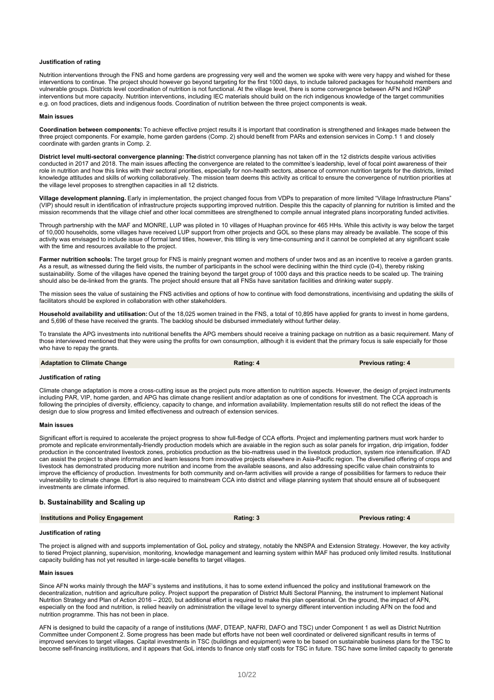#### **Justification of rating**

Nutrition interventions through the FNS and home gardens are progressing very well and the women we spoke with were very happy and wished for these interventions to continue. The project should however go beyond targeting for the first 1000 days, to include tailored packages for household members and vulnerable groups. Districts level coordination of nutrition is not functional. At the village level, there is some convergence between AFN and HGNP interventions but more capacity. Nutrition interventions, including IEC materials should build on the rich indigenous knowledge of the target communities e.g. on food practices, diets and indigenous foods. Coordination of nutrition between the three project components is weak.

#### **Main issues**

**Coordination between components:** To achieve effective project results it is important that coordination is strengthened and linkages made between the three project components. For example, home garden gardens (Comp. 2) should benefit from PARs and extension services in Comp.1 1 and closely coordinate with garden grants in Comp. 2.

**District level multi-sectoral convergence planning: The** district convergence planning has not taken off in the 12 districts despite various activities conducted in 2017 and 2018. The main issues affecting the convergence are related to the committee's leadership, level of focal point awareness of their role in nutrition and how this links with their sectoral priorities, especially for non-health sectors, absence of common nutrition targets for the districts, limited knowledge attitudes and skills of working collaboratively. The mission team deems this activity as critical to ensure the convergence of nutrition priorities at the village level proposes to strengthen capacities in all 12 districts.

**Village development planning.** Early in implementation, the project changed focus from VDPs to preparation of more limited "Village Infrastructure Plans" (VIP) should result in identification of infrastructure projects supporting improved nutrition. Despite this the capacity of planning for nutrition is limited and the mission recommends that the village chief and other local committees are strengthened to compile annual integrated plans incorporating funded activities.

Through partnership with the MAF and MONRE, LUP was piloted in 10 villages of Huaphan province for 465 HHs. While this activity is way below the target of 10,000 households, some villages have received LUP support from other projects and GOL so these plans may already be available. The scope of this activity was envisaged to include issue of formal land titles, however, this titling is very time-consuming and it cannot be completed at any significant scale with the time and resources available to the project.

**Farmer nutrition schools:** The target group for FNS is mainly pregnant women and mothers of under twos and as an incentive to receive a garden grants. As a result, as witnessed during the field visits, the number of participants in the school were declining within the third cycle (0-4), thereby risking sustainability. Some of the villages have opened the training beyond the target group of 1000 days and this practice needs to be scaled up. The training should also be de-linked from the grants. The project should ensure that all FNSs have sanitation facilities and drinking water supply.

The mission sees the value of sustaining the FNS activities and options of how to continue with food demonstrations, incentivising and updating the skills of facilitators should be explored in collaboration with other stakeholders.

**Household availability and utilisation:** Out of the 18,025 women trained in the FNS, a total of 10,895 have applied for grants to invest in home gardens, and 5,696 of these have received the grants. The backlog should be disbursed immediately without further delay.

To translate the APG investments into nutritional benefits the APG members should receive a training package on nutrition as a basic requirement. Many of those interviewed mentioned that they were using the profits for own consumption, although it is evident that the primary focus is sale especially for those who have to repay the grants.

**Adaptation to Climate Change Rating: 4 Rating: 4 Previous rating: 4 Rating: 4 Previous Previous rating: 4** 

#### **Justification of rating**

Climate change adaptation is more a cross-cutting issue as the project puts more attention to nutrition aspects. However, the design of project instruments including PAR, VIP, home garden, and APG has climate change resilient and/or adaptation as one of conditions for investment. The CCA approach is following the principles of diversity, efficiency, capacity to change, and information availability. Implementation results still do not reflect the ideas of the design due to slow progress and limited effectiveness and outreach of extension services.

#### **Main issues**

Significant effort is required to accelerate the project progress to show full-fledge of CCA efforts. Project and implementing partners must work harder to promote and replicate environmentally-friendly production models which are avaiable in the region such as solar panels for irrgation, drip irrigation, fodder production in the concentrated livestock zones, probiotics production as the bio-mattress used in the livestock production, system rice intensification. IFAD can assist the project to share information and learn lessons from innovative projects elsewhere in Asia-Pacific region. The diversified offering of crops and livestock has demonstrated producing more nutrition and income from the available seasons, and also addressing specific value chain constraints to improve the efficiency of production. Investments for both community and on-farm activities will provide a range of possibilities for farmers to reduce their vulnerability to climate change. Effort is also required to mainstream CCA into district and village planning system that should ensure all of subsequent investments are climate informed.

#### **b. Sustainability and Scaling up**

| <b>Institutions and Policy Engagement</b><br>Rating: 3 | <b>Previous rating: 4</b> |
|--------------------------------------------------------|---------------------------|
|--------------------------------------------------------|---------------------------|

#### **Justification of rating**

The project is aligned with and supports implementation of GoL policy and strategy, notably the NNSPA and Extension Strategy. However, the key activity to tiered Project planning, supervision, monitoring, knowledge management and learning system within MAF has produced only limited results. Institutional capacity building has not yet resulted in large-scale benefits to target villages.

#### **Main issues**

Since AFN works mainly through the MAF's systems and institutions, it has to some extend influenced the policy and institutional framework on the decentralization, nutrition and agriculture policy. Project support the preparation of District Multi Sectoral Planning, the instrument to implement National Nutrition Strategy and Plan of Action 2016 – 2020, but additional effort is required to make this plan operational. On the ground, the impact of AFN, especially on the food and nutrition, is relied heavily on administration the village level to synergy different intervention including AFN on the food and nutrition programme. This has not been in place.

AFN is designed to build the capacity of a range of institutions (MAF, DTEAP, NAFRI, DAFO and TSC) under Component 1 as well as District Nutrition Committee under Component 2. Some progress has been made but efforts have not been well coordinated or delivered significant results in terms of improved services to target villages. Capital investments in TSC (buildings and equipment) were to be based on sustainable business plans for the TSC to become self-financing institutions, and it appears that GoL intends to finance only staff costs for TSC in future. TSC have some limited capacity to generate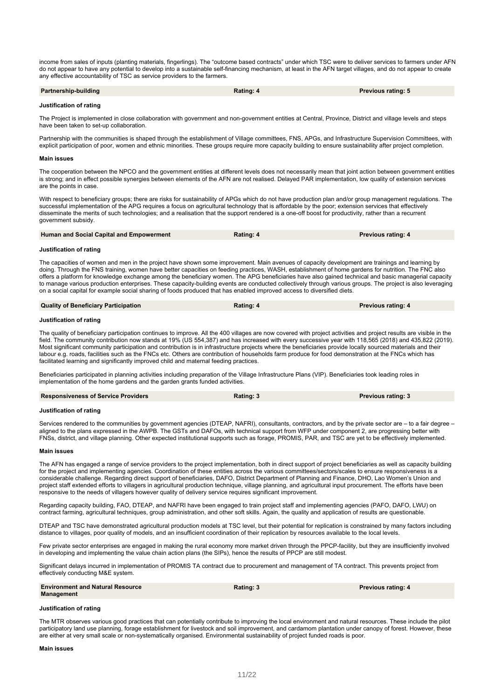income from sales of inputs (planting materials, fingerlings). The "outcome based contracts" under which TSC were to deliver services to farmers under AFN do not appear to have any potential to develop into a sustainable self-financing mechanism, at least in the AFN target villages, and do not appear to create any effective accountability of TSC as service providers to the farmers.

| Partnership-building | Rating: 4 | <b>Previous rating: 5</b> |
|----------------------|-----------|---------------------------|
|----------------------|-----------|---------------------------|

#### **Justification of rating**

The Project is implemented in close collaboration with government and non-government entities at Central, Province, District and village levels and steps have been taken to set-up collaboration.

Partnership with the communities is shaped through the establishment of Village committees, FNS, APGs, and Infrastructure Supervision Committees, with explicit participation of poor, women and ethnic minorities. These groups require more capacity building to ensure sustainability after project completion.

#### **Main issues**

The cooperation between the NPCO and the government entities at different levels does not necessarily mean that joint action between government entities is strong; and in effect possible synergies between elements of the AFN are not realised. Delayed PAR implementation, low quality of extension services are the points in case.

With respect to beneficiary groups; there are risks for sustainability of APGs which do not have production plan and/or group management regulations. The successful implementation of the APG requires a focus on agricultural technology that is affordable by the poor; extension services that effectively disseminate the merits of such technologies; and a realisation that the support rendered is a one-off boost for productivity, rather than a recurrent government subsidy.

| Human and Social Capital and Empowerment | Rating: 4 | <b>Previous rating: 4</b> |
|------------------------------------------|-----------|---------------------------|
|                                          |           |                           |

#### **Justification of rating**

The capacities of women and men in the project have shown some improvement. Main avenues of capacity development are trainings and learning by doing. Through the FNS training, women have better capacities on feeding practices, WASH, establishment of home gardens for nutrition. The FNC also offers a platform for knowledge exchange among the beneficiary women. The APG beneficiaries have also gained technical and basic managerial capacity to manage various production enterprises. These capacity-building events are conducted collectively through various groups. The project is also leveraging on a social capital for example social sharing of foods produced that has enabled improved access to diversified diets.

| <b>Quality of Beneficiary Participation</b> | Rating: 4 | <b>Previous rating: 4</b> |
|---------------------------------------------|-----------|---------------------------|
|                                             |           |                           |

#### **Justification of rating**

The quality of beneficiary participation continues to improve. All the 400 villages are now covered with project activities and project results are visible in the field. The community contribution now stands at 19% (US 554,387) and has increased with every successive year with 118,565 (2018) and 435,822 (2019). Most significant community participation and contribution is in infrastructure projects where the beneficiaries provide locally sourced materials and their labour e.g. roads, facilities such as the FNCs etc. Others are contribution of households farm produce for food demonstration at the FNCs which has facilitated learning and significantly improved child and maternal feeding practices.

Beneficiaries participated in planning activities including preparation of the Village Infrastructure Plans (VIP). Beneficiaries took leading roles in implementation of the home gardens and the garden grants funded activities.

| <b>Responsiveness of Service Providers</b> | Rating: 3 | <b>Previous rating: 3</b> |
|--------------------------------------------|-----------|---------------------------|
|                                            |           |                           |

#### **Justification of rating**

Services rendered to the communities by government agencies (DTEAP, NAFRI), consultants, contractors, and by the private sector are - to a fair degree aligned to the plans expressed in the AWPB. The GSTs and DAFOs, with technical support from WFP under component 2, are progressing better with FNSs, district, and village planning. Other expected institutional supports such as forage, PROMIS, PAR, and TSC are yet to be effectively implemented.

#### **Main issues**

The AFN has engaged a range of service providers to the project implementation, both in direct support of project beneficiaries as well as capacity building for the project and implementing agencies. Coordination of these entities across the various committees/sectors/scales to ensure responsiveness is a considerable challenge. Regarding direct support of beneficiaries, DAFO, District Department of Planning and Finance, DHO, Lao Women's Union and project staff extended efforts to villagers in agricultural production technique, village planning, and agricultural input procurement. The efforts have been responsive to the needs of villagers however quality of delivery service requires significant improvement.

Regarding capacity building, FAO, DTEAP, and NAFRI have been engaged to train project staff and implementing agencies (PAFO, DAFO, LWU) on contract farming, agricultural techniques, group administration, and other soft skills. Again, the quality and application of results are questionable.

DTEAP and TSC have demonstrated agricultural production models at TSC level, but their potential for replication is constrained by many factors including distance to villages, poor quality of models, and an insufficient coordination of their replication by resources available to the local levels.

Few private sector enterprises are engaged in making the rural economy more market driven through the PPCP-facility, but they are insufficiently involved in developing and implementing the value chain action plans (the SIPs), hence the results of PPCP are still modest.

Significant delays incurred in implementation of PROMIS TA contract due to procurement and management of TA contract. This prevents project from effectively conducting M&E system.

| <b>Environment and Natural Resource</b><br><b>Management</b> | Rating: 3 | <b>Previous rating: 4</b> |
|--------------------------------------------------------------|-----------|---------------------------|
|                                                              |           |                           |

#### **Justification of rating**

The MTR observes various good practices that can potentially contribute to improving the local environment and natural resources. These include the pilot participatory land use planning, forage establishment for livestock and soil improvement, and cardamom plantation under canopy of forest. However, these are either at very small scale or non-systematically organised. Environmental sustainability of project funded roads is poor.

#### **Main issues**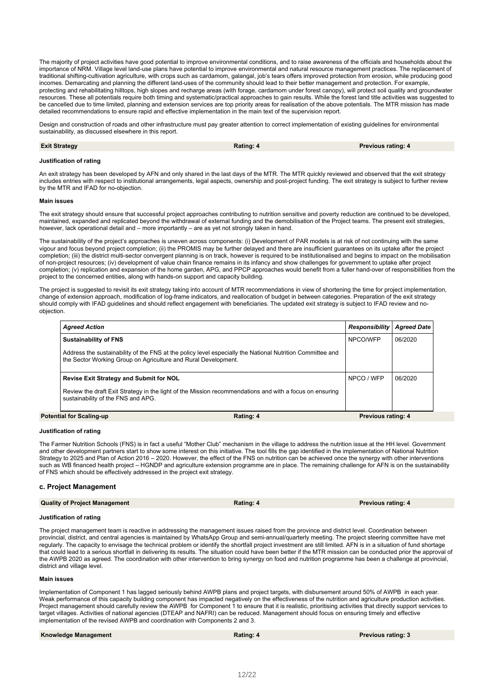The majority of project activities have good potential to improve environmental conditions, and to raise awareness of the officials and households about the importance of NRM. Village level land-use plans have potential to improve environmental and natural resource management practices. The replacement of traditional shifting-cultivation agriculture, with crops such as cardamom, galangal, job's tears offers improved protection from erosion, while producing good incomes. Demarcating and planning the different land-uses of the community should lead to their better management and protection. For example, protecting and rehabilitating hilltops, high slopes and recharge areas (with forage, cardamom under forest canopy), will protect soil quality and groundwater resources. These all potentials require both timing and systematic/practical approaches to gain results. While the forest land title activities was suggested to be cancelled due to time limited, planning and extension services are top priority areas for realisation of the above potentials. The MTR mission has made detailed recommendations to ensure rapid and effective implementation in the main text of the supervision report.

Design and construction of roads and other infrastructure must pay greater attention to correct implementation of existing guidelines for environmental sustainability, as discussed elsewhere in this report.

| <b>Exit Strategy</b> | Rating: 4 | <b>Previous rating: 4</b> |
|----------------------|-----------|---------------------------|
|                      |           |                           |

#### **Justification of rating**

An exit strategy has been developed by AFN and only shared in the last days of the MTR. The MTR quickly reviewed and observed that the exit strategy includes entries with respect to institutional arrangements, legal aspects, ownership and post-project funding. The exit strategy is subject to further review by the MTR and IFAD for no-objection.

#### **Main issues**

The exit strategy should ensure that successful project approaches contributing to nutrition sensitive and poverty reduction are continued to be developed, maintained, expanded and replicated beyond the withdrawal of external funding and the demobilisation of the Project teams. The present exit strategies, however, lack operational detail and – more importantly – are as yet not strongly taken in hand.

The sustainability of the project's approaches is uneven across components: (i) Development of PAR models is at risk of not continuing with the same vigour and focus beyond project completion; (ii) the PROMIS may be further delayed and there are insufficient guarantees on its uptake after the project completion; (iii) the district multi-sector convergent planning is on track, however is required to be institutionalised and begins to impact on the mobilisation of non-project resources; (iv) development of value chain finance remains in its infancy and show challenges for government to uptake after project completion; (v) replication and expansion of the home garden, APG, and PPCP approaches would benefit from a fuller hand-over of responsibilities from the project to the concerned entities, along with hands-on support and capacity building.

The project is suggested to revisit its exit strategy taking into account of MTR recommendations in view of shortening the time for project implementation. change of extension approach, modification of log-frame indicators, and reallocation of budget in between categories. Preparation of the exit strategy should comply with IFAD guidelines and should reflect engagement with beneficiaries. The updated exit strategy is subject to IFAD review and noobjection.

| <b>Agreed Action</b>                                           |                                                                                                           | Responsibility            | <b>Agreed Date</b> |
|----------------------------------------------------------------|-----------------------------------------------------------------------------------------------------------|---------------------------|--------------------|
| <b>Sustainability of FNS</b>                                   |                                                                                                           | NPCO/WFP                  | 06/2020            |
| the Sector Working Group on Agriculture and Rural Development. | Address the sustainability of the FNS at the policy level especially the National Nutrition Committee and |                           |                    |
| <b>Revise Exit Strategy and Submit for NOL</b>                 |                                                                                                           | NPCO / WFP                | 06/2020            |
| sustainability of the FNS and APG.                             | Review the draft Exit Strategy in the light of the Mission recommendations and with a focus on ensuring   |                           |                    |
| <b>Potential for Scaling-up</b>                                | Rating: 4                                                                                                 | <b>Previous rating: 4</b> |                    |

#### **Justification of rating**

The Farmer Nutrition Schools (FNS) is in fact a useful "Mother Club" mechanism in the village to address the nutrition issue at the HH level. Government and other development partners start to show some interest on this initiative. The tool fills the gap identified in the implementation of National Nutrition Strategy to 2025 and Plan of Action 2016 – 2020. However, the effect of the FNS on nutrition can be achieved once the synergy with other interventions such as WB financed health project – HGNDP and agriculture extension programme are in place. The remaining challenge for AFN is on the sustainability of FNS which should be effectively addressed in the project exit strategy.

#### **c. Project Management**

| <b>Quality of Project Management</b> | Rating: 4 | <b>Previous rating: 4</b> |
|--------------------------------------|-----------|---------------------------|
|--------------------------------------|-----------|---------------------------|

### **Justification of rating**

The project management team is reactive in addressing the management issues raised from the province and district level. Coordination between provincial, district, and central agencies is maintained by WhatsApp Group and semi-annual/quarterly meeting. The project steering committee have met regularly. The capacity to envisage the technical problem or identify the shortfall project investment are still limited. AFN is in a situation of fund shortage that could lead to a serious shortfall in delivering its results. The situation could have been better if the MTR mission can be conducted prior the approval of the AWPB 2020 as agreed. The coordination with other intervention to bring synergy on food and nutrition programme has been a challenge at provincial, district and village level.

#### **Main issues**

Implementation of Component 1 has lagged seriously behind AWPB plans and project targets, with disbursement around 50% of AWPB in each year. Weak performance of this capacity building component has impacted negatively on the effectiveness of the nutrition and agriculture production activities. Project management should carefully review the AWPB for Component 1 to ensure that it is realistic, prioritising activities that directly support services to target villages. Activities of national agencies (DTEAP and NAFRI) can be reduced. Management should focus on ensuring timely and effective implementation of the revised AWPB and coordination with Components 2 and 3.

| <b>Knowledge Management</b> | Rating: 4 | <b>Previous rating: 3</b> |
|-----------------------------|-----------|---------------------------|
|-----------------------------|-----------|---------------------------|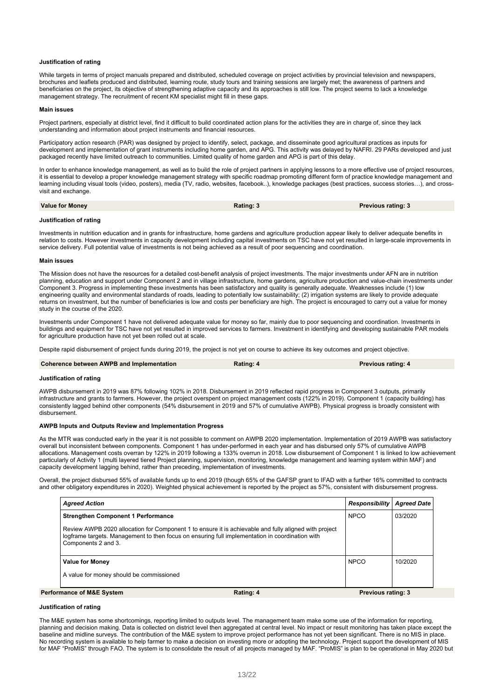#### **Justification of rating**

While targets in terms of project manuals prepared and distributed, scheduled coverage on project activities by provincial television and newspapers, brochures and leaflets produced and distributed, learning route, study tours and training sessions are largely met; the awareness of partners and beneficiaries on the project, its objective of strengthening adaptive capacity and its approaches is still low. The project seems to lack a knowledge management strategy. The recruitment of recent KM specialist might fill in these gaps.

#### **Main issues**

Project partners, especially at district level, find it difficult to build coordinated action plans for the activities they are in charge of, since they lack understanding and information about project instruments and financial resources.

Participatory action research (PAR) was designed by project to identify, select, package, and disseminate good agricultural practices as inputs for development and implementation of grant instruments including home garden, and APG. This activity was delayed by NAFRI. 29 PARs developed and just packaged recently have limited outreach to communities. Limited quality of home garden and APG is part of this delay.

In order to enhance knowledge management, as well as to build the role of project partners in applying lessons to a more effective use of project resources, it is essential to develop a proper knowledge management strategy with specific roadmap promoting different form of practice knowledge management and learning including visual tools (video, posters), media (TV, radio, websites, facebook..), knowledge packages (best practices, success stories…), and crossvisit and exchange.

**Value for Money Rating: 3 Previous rating: 3**

#### **Justification of rating**

Investments in nutrition education and in grants for infrastructure, home gardens and agriculture production appear likely to deliver adequate benefits in relation to costs. However investments in capacity development including capital investments on TSC have not yet resulted in large-scale improvements in service delivery. Full potential value of investments is not being achieved as a result of poor sequencing and coordination.

#### **Main issues**

The Mission does not have the resources for a detailed cost-benefit analysis of project investments. The major investments under AFN are in nutrition planning, education and support under Component 2 and in village infrastructure, home gardens, agriculture production and value-chain investments under Component 3. Progress in implementing these investments has been satisfactory and quality is generally adequate. Weaknesses include (1) low engineering quality and environmental standards of roads, leading to potentially low sustainability; (2) irrigation systems are likely to provide adequate returns on investment, but the number of beneficiaries is low and costs per beneficiary are high. The project is encouraged to carry out a value for money study in the course of the 2020.

Investments under Component 1 have not delivered adequate value for money so far, mainly due to poor sequencing and coordination. Investments in buildings and equipment for TSC have not yet resulted in improved services to farmers. Investment in identifying and developing sustainable PAR models for agriculture production have not yet been rolled out at scale.

Despite rapid disbursement of project funds during 2019, the project is not yet on course to achieve its key outcomes and project objective.

### **Coherence between AWPB and Implementation Rating: 4 Previous rating: 4**

#### **Justification of rating**

AWPB disbursement in 2019 was 87% following 102% in 2018. Disbursement in 2019 reflected rapid progress in Component 3 outputs, primarily infrastructure and grants to farmers. However, the project overspent on project management costs (122% in 2019). Component 1 (capacity building) has consistently lagged behind other components (54% disbursement in 2019 and 57% of cumulative AWPB). Physical progress is broadly consistent with disbursement.

#### **AWPB Inputs and Outputs Review and Implementation Progress**

As the MTR was conducted early in the year it is not possible to comment on AWPB 2020 implementation. Implementation of 2019 AWPB was satisfactory overall but inconsistent between components. Component 1 has under-performed in each year and has disbursed only 57% of cumulative AWPB allocations. Management costs overran by 122% in 2019 following a 133% overrun in 2018. Low disbursement of Component 1 is linked to low achievement particularly of Activity 1 (multi layered tiered Project planning, supervision, monitoring, knowledge management and learning system within MAF) and capacity development lagging behind, rather than preceding, implementation of investments.

Overall, the project disbursed 55% of available funds up to end 2019 (though 65% of the GAFSP grant to IFAD with a further 16% committed to contracts and other obligatory expenditures in 2020). Weighted physical achievement is reported by the project as 57%, consistent with disbursement progress.

| <b>Agreed Action</b>                                                                                                   |                                                                                                       | Responsibility            | <b>Agreed Date</b> |
|------------------------------------------------------------------------------------------------------------------------|-------------------------------------------------------------------------------------------------------|---------------------------|--------------------|
| <b>Strengthen Component 1 Performance</b>                                                                              |                                                                                                       | <b>NPCO</b>               | 03/2020            |
| logframe targets. Management to then focus on ensuring full implementation in coordination with<br>Components 2 and 3. | Review AWPB 2020 allocation for Component 1 to ensure it is achievable and fully aligned with project |                           |                    |
| <b>Value for Money</b>                                                                                                 |                                                                                                       | <b>NPCO</b>               | 10/2020            |
| A value for money should be commissioned                                                                               |                                                                                                       |                           |                    |
| <b>Performance of M&amp;E System</b>                                                                                   | Rating: 4                                                                                             | <b>Previous rating: 3</b> |                    |

#### **Justification of rating**

The M&E system has some shortcomings, reporting limited to outputs level. The management team make some use of the information for reporting, planning and decision making. Data is collected on district level then aggregated at central level. No impact or result monitoring has taken place except the baseline and midline surveys. The contribution of the M&E system to improve project performance has not yet been significant. There is no MIS in place. No recording system is available to help farmer to make a decision on investing more or adopting the technology. Project support the development of MIS for MAF "ProMIS" through FAO. The system is to consolidate the result of all projects managed by MAF. "ProMIS" is plan to be operational in May 2020 but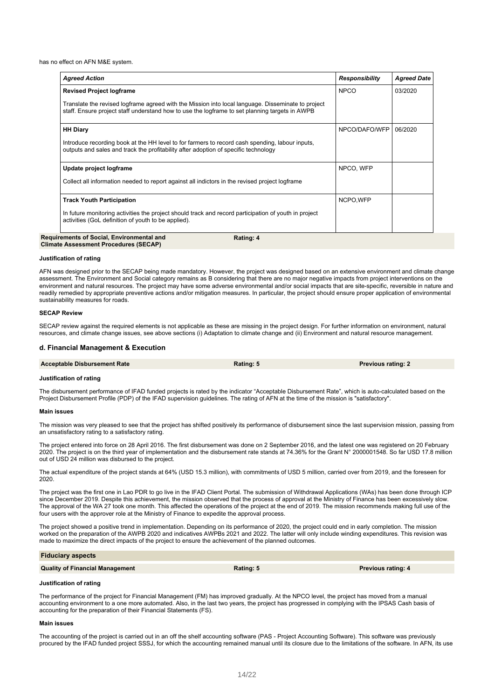has no effect on AFN M&E system.

| <b>NPCO</b><br>NPCO/DAFO/WFP | 03/2020<br>06/2020 |
|------------------------------|--------------------|
|                              |                    |
|                              |                    |
|                              |                    |
|                              |                    |
| NPCO, WFP                    |                    |
|                              |                    |
| NCPO, WFP                    |                    |
|                              |                    |
|                              |                    |

#### **Justification of rating**

AFN was designed prior to the SECAP being made mandatory. However, the project was designed based on an extensive environment and climate change assessment. The Environment and Social category remains as B considering that there are no major negative impacts from project interventions on the environment and natural resources. The project may have some adverse environmental and/or social impacts that are site-specific, reversible in nature and readily remedied by appropriate preventive actions and/or mitigation measures. In particular, the project should ensure proper application of environmental sustainability measures for roads.

#### **SECAP Review**

SECAP review against the required elements is not applicable as these are missing in the project design. For further information on environment, natural resources, and climate change issues, see above sections (i) Adaptation to climate change and (ii) Environment and natural resource management.

#### **d. Financial Management & Execution**

| <b>Acceptable Disbursement Rate</b> | Rating: 5 | <b>Previous rating: 2</b> |
|-------------------------------------|-----------|---------------------------|
|                                     |           |                           |

#### **Justification of rating**

The disbursement performance of IFAD funded projects is rated by the indicator "Acceptable Disbursement Rate", which is auto-calculated based on the Project Disbursement Profile (PDP) of the IFAD supervision guidelines. The rating of AFN at the time of the mission is "satisfactory".

#### **Main issues**

The mission was very pleased to see that the project has shifted positively its performance of disbursement since the last supervision mission, passing from an unsatisfactory rating to a satisfactory rating.

The project entered into force on 28 April 2016. The first disbursement was done on 2 September 2016, and the latest one was registered on 20 February 2020. The project is on the third year of implementation and the disbursement rate stands at 74.36% for the Grant N° 2000001548. So far USD 17.8 million out of USD 24 million was disbursed to the project.

The actual expenditure of the project stands at 64% (USD 15.3 million), with commitments of USD 5 million, carried over from 2019, and the foreseen for 2020.

The project was the first one in Lao PDR to go live in the IFAD Client Portal. The submission of Withdrawal Applications (WAs) has been done through ICP since December 2019. Despite this achievement, the mission observed that the process of approval at the Ministry of Finance has been excessively slow. The approval of the WA 27 took one month. This affected the operations of the project at the end of 2019. The mission recommends making full use of the four users with the approver role at the Ministry of Finance to expedite the approval process.

The project showed a positive trend in implementation. Depending on its performance of 2020, the project could end in early completion. The mission worked on the preparation of the AWPB 2020 and indicatives AWPBs 2021 and 2022. The latter will only include winding expenditures. This revision was made to maximize the direct impacts of the project to ensure the achievement of the planned outcomes.

| <b>Fiduciary aspects</b>               |           |                           |
|----------------------------------------|-----------|---------------------------|
| <b>Quality of Financial Management</b> | Rating: 5 | <b>Previous rating: 4</b> |
|                                        |           |                           |

#### **Justification of rating**

The performance of the project for Financial Management (FM) has improved gradually. At the NPCO level, the project has moved from a manual accounting environment to a one more automated. Also, in the last two years, the project has progressed in complying with the IPSAS Cash basis of accounting for the preparation of their Financial Statements (FS).

#### **Main issues**

The accounting of the project is carried out in an off the shelf accounting software (PAS - Project Accounting Software). This software was previously procured by the IFAD funded project SSSJ, for which the accounting remained manual until its closure due to the limitations of the software. In AFN, its use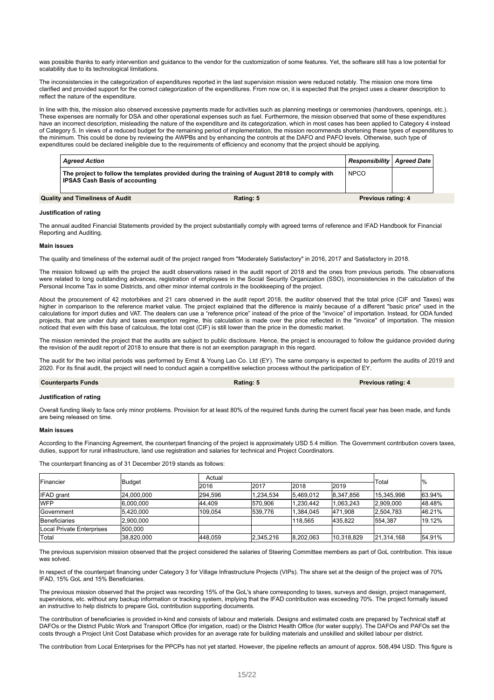was possible thanks to early intervention and guidance to the vendor for the customization of some features. Yet, the software still has a low potential for scalability due to its technological limitations.

The inconsistencies in the categorization of expenditures reported in the last supervision mission were reduced notably. The mission one more time clarified and provided support for the correct categorization of the expenditures. From now on, it is expected that the project uses a clearer description to reflect the nature of the expenditure.

In line with this, the mission also observed excessive payments made for activities such as planning meetings or ceremonies (handovers, openings, etc.). These expenses are normally for DSA and other operational expenses such as fuel. Furthermore, the mission observed that some of these expenditures have an incorrect description, misleading the nature of the expenditure and its categorization, which in most cases has been applied to Category 4 instead of Category 5. In views of a reduced budget for the remaining period of implementation, the mission recommends shortening these types of expenditures to the minimum. This could be done by reviewing the AWPBs and by enhancing the controls at the DAFO and PAFO levels. Otherwise, such type of expenditures could be declared ineligible due to the requirements of efficiency and economy that the project should be applying.

| <b>Aareed Action</b>                   |                                                                                                | Responsibility   Agreed Date |  |
|----------------------------------------|------------------------------------------------------------------------------------------------|------------------------------|--|
| <b>IPSAS Cash Basis of accounting</b>  | The project to follow the templates provided during the training of August 2018 to comply with | <b>NPCO</b>                  |  |
| <b>Quality and Timeliness of Audit</b> | Rating: 5                                                                                      | <b>Previous rating: 4</b>    |  |

#### **Justification of rating**

The annual audited Financial Statements provided by the project substantially comply with agreed terms of reference and IFAD Handbook for Financial Reporting and Auditing.

#### **Main issues**

The quality and timeliness of the external audit of the project ranged from "Moderately Satisfactory" in 2016, 2017 and Satisfactory in 2018.

The mission followed up with the project the audit observations raised in the audit report of 2018 and the ones from previous periods. The observations were related to long outstanding advances, registration of employees in the Social Security Organization (SSO), inconsistencies in the calculation of the Personal Income Tax in some Districts, and other minor internal controls in the bookkeeping of the project.

About the procurement of 42 motorbikes and 21 cars observed in the audit report 2018, the auditor observed that the total price (CIF and Taxes) was higher in comparison to the reference market value. The project explained that the difference is mainly because of a different "basic price" used in the calculations for import duties and VAT. The dealers can use a "reference price" instead of the price of the "invoice" of importation. Instead, for ODA funded projects, that are under duty and taxes exemption regime, this calculation is made over the price reflected in the "invoice" of importation. The mission noticed that even with this base of calculous, the total cost (CIF) is still lower than the price in the domestic market.

The mission reminded the project that the audits are subject to public disclosure. Hence, the project is encouraged to follow the guidance provided during the revision of the audit report of 2018 to ensure that there is not an exemption paragraph in this regard.

The audit for the two initial periods was performed by Ernst & Young Lao Co. Ltd (EY). The same company is expected to perform the audits of 2019 and 2020. For its final audit, the project will need to conduct again a competitive selection process without the participation of EY.

#### **Counterparts Funds Rating: Rating: Rating: 5 Rating: 6 Rating: 6 Rating: A Rating: 4 R Previous rating: 4**

#### **Justification of rating**

Overall funding likely to face only minor problems. Provision for at least 80% of the required funds during the current fiscal year has been made, and funds are being released on time.

#### **Main issues**

According to the Financing Agreement, the counterpart financing of the project is approximately USD 5.4 million. The Government contribution covers taxes, duties, support for rural infrastructure, land use registration and salaries for technical and Project Coordinators.

The counterpart financing as of 31 December 2019 stands as follows:

| <b>Financier</b><br><b>Budget</b> |            | Actual  |           |           |            | Total      | $\frac{0}{0}$ |
|-----------------------------------|------------|---------|-----------|-----------|------------|------------|---------------|
|                                   |            | 2016    | 2017      | 2018      | 2019       |            |               |
| <b>IFAD</b> grant                 | 24.000.000 | 294.596 | 1.234.534 | 5.469.012 | 8.347.856  | 15.345.998 | 63.94%        |
| <b>WFP</b>                        | 6.000.000  | 44.409  | 570.906   | 1.230.442 | 1.063.243  | 2.909.000  | 48.48%        |
| Government                        | 5.420.000  | 109.054 | 539.776   | 1.384.045 | 471.908    | 2.504.783  | 46.21%        |
| Beneficiaries                     | 2.900.000  |         |           | 118.565   | 435.822    | 554.387    | 19.12%        |
| Local Private Enterprises         | 500.000    |         |           |           |            |            |               |
| Total                             | 38,820,000 | 448.059 | 2,345,216 | 8,202,063 | 10.318.829 | 21.314.168 | 54.91%        |

The previous supervision mission observed that the project considered the salaries of Steering Committee members as part of GoL contribution. This issue was solved.

In respect of the counterpart financing under Category 3 for Village Infrastructure Projects (VIPs). The share set at the design of the project was of 70% IFAD, 15% GoL and 15% Beneficiaries.

The previous mission observed that the project was recording 15% of the GoL's share corresponding to taxes, surveys and design, project management, supervisions, etc. without any backup information or tracking system, implying that the IFAD contribution was exceeding 70%. The project formally issued an instructive to help districts to prepare GoL contribution supporting documents.

The contribution of beneficiaries is provided in-kind and consists of labour and materials. Designs and estimated costs are prepared by Technical staff at DAFOs or the District Public Work and Transport Office (for irrigation, road) or the District Health Office (for water supply). The DAFOs and PAFOs set the costs through a Project Unit Cost Database which provides for an average rate for building materials and unskilled and skilled labour per district.

The contribution from Local Enterprises for the PPCPs has not yet started. However, the pipeline reflects an amount of approx. 508,494 USD. This figure is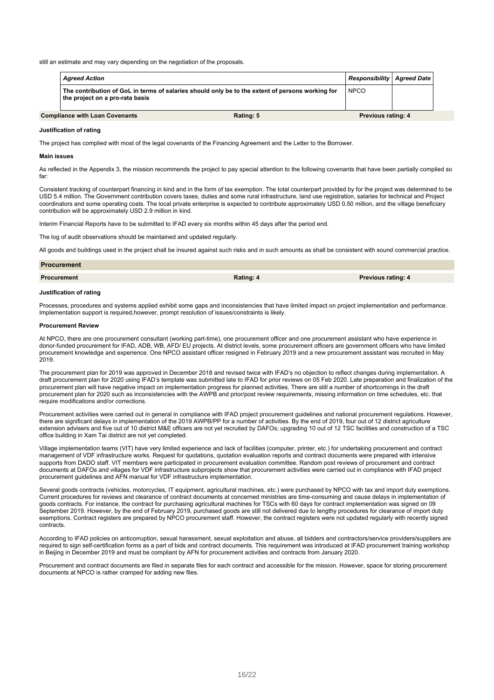still an estimate and may vary depending on the negotiation of the proposals.

| <b>Agreed Action</b>                  |                                                                                                  | <b>Responsibility   Agreed Date  </b> |  |
|---------------------------------------|--------------------------------------------------------------------------------------------------|---------------------------------------|--|
| the project on a pro-rata basis       | The contribution of GoL in terms of salaries should only be to the extent of persons working for | <b>NPCO</b>                           |  |
| <b>Compliance with Loan Covenants</b> | Rating: 5                                                                                        | <b>Previous rating: 4</b>             |  |

#### **Justification of rating**

The project has complied with most of the legal covenants of the Financing Agreement and the Letter to the Borrower.

#### **Main issues**

As reflected in the Appendix 3, the mission recommends the project to pay special attention to the following covenants that have been partially complied so far:

Consistent tracking of counterpart financing in kind and in the form of tax exemption. The total counterpart provided by for the project was determined to be USD 5.4 million. The Government contribution covers taxes, duties and some rural infrastructure, land use registration, salaries for technical and Project coordinators and some operating costs. The local private enterprise is expected to contribute approximately USD 0.50 million, and the village beneficiary contribution will be approximately USD 2.9 million in kind.

Interim Financial Reports have to be submitted to IFAD every six months within 45 days after the period end.

The log of audit observations should be maintained and updated regularly.

All goods and buildings used in the project shall be insured against such risks and in such amounts as shall be consistent with sound commercial practice.

| <b>Procurement</b> |           |                           |
|--------------------|-----------|---------------------------|
| <b>Procurement</b> | Rating: 4 | <b>Previous rating: 4</b> |

#### **Justification of rating**

Processes, procedures and systems applied exhibit some gaps and inconsistencies that have limited impact on project implementation and performance. Implementation support is required,however, prompt resolution of issues/constraints is likely.

#### **Procurement Review**

At NPCO, there are one procurement consultant (working part-time), one procurement officer and one procurement assistant who have experience in donor-funded procurement for IFAD, ADB, WB, AFD/ EU projects. At district levels, some procurement officers are government officers who have limited procurement knowledge and experience. One NPCO assistant officer resigned in February 2019 and a new procurement assistant was recruited in May 2019.

The procurement plan for 2019 was approved in December 2018 and revised twice with IFAD's no objection to reflect changes during implementation. A draft procurement plan for 2020 using IFAD's template was submitted late to IFAD for prior reviews on 05 Feb 2020. Late preparation and finalization of the procurement plan will have negative impact on implementation progress for planned activities. There are still a number of shortcomings in the draft procurement plan for 2020 such as inconsistencies with the AWPB and prior/post review requirements, missing information on time schedules, etc. that require modifications and/or corrections.

Procurement activities were carried out in general in compliance with IFAD project procurement guidelines and national procurement regulations. However, there are significant delays in implementation of the 2019 AWPB/PP for a number of activities. By the end of 2019, four out of 12 district agriculture extension advisers and five out of 10 district M&E officers are not yet recruited by DAFOs; upgrading 10 out of 12 TSC facilities and construction of a TSC office building in Xam Tai district are not yet completed.

Village implementation teams (VIT) have very limited experience and lack of facilities (computer, printer, etc.) for undertaking procurement and contract management of VDF infrastructure works. Request for quotations, quotation evaluation reports and contract documents were prepared with intensive supports from DADO staff. VIT members were participated in procurement evaluation committee. Random post reviews of procurement and contract documents at DAFOs and villages for VDF infrastructure subprojects show that procurement activities were carried out in compliance with IFAD project procurement guidelines and AFN manual for VDF infrastructure implementation.

Several goods contracts (vehicles, motorcycles, IT equipment, agricultural machines, etc.) were purchased by NPCO with tax and import duty exemptions. Current procedures for reviews and clearance of contract documents at concerned ministries are time-consuming and cause delays in implementation of goods contracts. For instance, the contract for purchasing agricultural machines for TSCs with 60 days for contract implementation was signed on 09 September 2019. However, by the end of February 2019, purchased goods are still not delivered due to lengthy procedures for clearance of import duty exemptions. Contract registers are prepared by NPCO procurement staff. However, the contract registers were not updated regularly with recently signed contracts.

According to IFAD policies on anticorruption, sexual harassment, sexual exploitation and abuse, all bidders and contractors/service providers/suppliers are required to sign self-certification forms as a part of bids and contract documents. This requirement was introduced at IFAD procurement training workshop in Beijing in December 2019 and must be compliant by AFN for procurement activities and contracts from January 2020.

Procurement and contract documents are filed in separate files for each contract and accessible for the mission. However, space for storing procurement documents at NPCO is rather cramped for adding new files.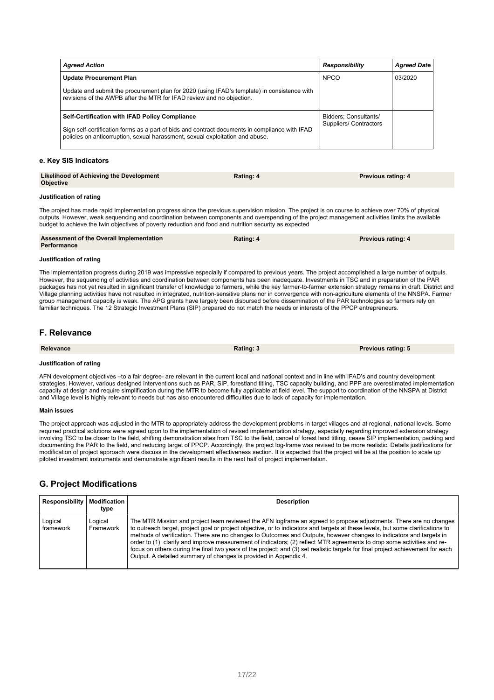| <b>Agreed Action</b>                                                                                                                                                            | <b>Responsibility</b>                           | <b>Agreed Date</b> |
|---------------------------------------------------------------------------------------------------------------------------------------------------------------------------------|-------------------------------------------------|--------------------|
| <b>Update Procurement Plan</b>                                                                                                                                                  | <b>NPCO</b>                                     | 03/2020            |
| Update and submit the procurement plan for 2020 (using IFAD's template) in consistence with<br>revisions of the AWPB after the MTR for IFAD review and no objection.            |                                                 |                    |
| <b>Self-Certification with IFAD Policy Compliance</b>                                                                                                                           | Bidders; Consultants/<br>Suppliers/ Contractors |                    |
| Sign self-certification forms as a part of bids and contract documents in compliance with IFAD<br>policies on anticorruption, sexual harassment, sexual exploitation and abuse. |                                                 |                    |

#### **e. Key SIS Indicators**

| Likelihood of Achieving the Development<br><b>Objective</b> | Rating: 4 | <b>Previous rating: 4</b> |
|-------------------------------------------------------------|-----------|---------------------------|
|                                                             |           |                           |

#### **Justification of rating**

The project has made rapid implementation progress since the previous supervision mission. The project is on course to achieve over 70% of physical outputs. However, weak sequencing and coordination between components and overspending of the project management activities limits the available budget to achieve the twin objectives of poverty reduction and food and nutrition security as expected

| <b>Assessment of the Overall Implementation</b><br>Performance | Rating: 4 | <b>Previous rating: 4</b> |
|----------------------------------------------------------------|-----------|---------------------------|
| Justification of rating                                        |           |                           |

The implementation progress during 2019 was impressive especially if compared to previous years. The project accomplished a large number of outputs. However, the sequencing of activities and coordination between components has been inadequate. Investments in TSC and in preparation of the PAR packages has not yet resulted in significant transfer of knowledge to farmers, while the key farmer-to-farmer extension strategy remains in draft. District and Village planning activities have not resulted in integrated, nutrition-sensitive plans nor in convergence with non-agriculture elements of the NNSPA. Farmer group management capacity is weak. The APG grants have largely been disbursed before dissemination of the PAR technologies so farmers rely on familiar techniques. The 12 Strategic Investment Plans (SIP) prepared do not match the needs or interests of the PPCP entrepreneurs.

### **F. Relevance**

| <b>Relevance</b>        | Rating: 3 | <b>Previous rating: 5</b> |
|-------------------------|-----------|---------------------------|
| Justification of rating |           |                           |

AFN development objectives –to a fair degree- are relevant in the current local and national context and in line with IFAD's and country development strategies. However, various designed interventions such as PAR, SIP, forestland titling, TSC capacity building, and PPP are overestimated implementation capacity at design and require simplification during the MTR to become fully applicable at field level. The support to coordination of the NNSPA at District and Village level is highly relevant to needs but has also encountered difficulties due to lack of capacity for implementation.

#### **Main issues**

The project approach was adjusted in the MTR to appropriately address the development problems in target villages and at regional, national levels. Some required practical solutions were agreed upon to the implementation of revised implementation strategy, especially regarding improved extension strategy involving TSC to be closer to the field, shifting demonstration sites from TSC to the field, cancel of forest land titling, cease SIP implementation, packing and documenting the PAR to the field, and reducing target of PPCP. Accordingly, the project log-frame was revised to be more realistic. Details justifications for modification of project approach were discuss in the development effectiveness section. It is expected that the project will be at the position to scale up piloted investment instruments and demonstrate significant results in the next half of project implementation.

### **G. Project Modifications**

| <b>Responsibility</b> | Modification<br>type | <b>Description</b>                                                                                                                                                                                                                                                                                                                                                                                                                                                                                                                                                                                                                                                                                           |
|-----------------------|----------------------|--------------------------------------------------------------------------------------------------------------------------------------------------------------------------------------------------------------------------------------------------------------------------------------------------------------------------------------------------------------------------------------------------------------------------------------------------------------------------------------------------------------------------------------------------------------------------------------------------------------------------------------------------------------------------------------------------------------|
| Logical<br>framework  | Logical<br>Framework | The MTR Mission and project team reviewed the AFN logframe an agreed to propose adjustments. There are no changes<br>to outreach target, project goal or project objective, or to indicators and targets at these levels, but some clarifications to<br>methods of verification. There are no changes to Outcomes and Outputs, however changes to indicators and targets in<br>order to (1) clarify and improve measurement of indicators; (2) reflect MTR agreements to drop some activities and re-<br>focus on others during the final two years of the project; and (3) set realistic targets for final project achievement for each<br>Output. A detailed summary of changes is provided in Appendix 4. |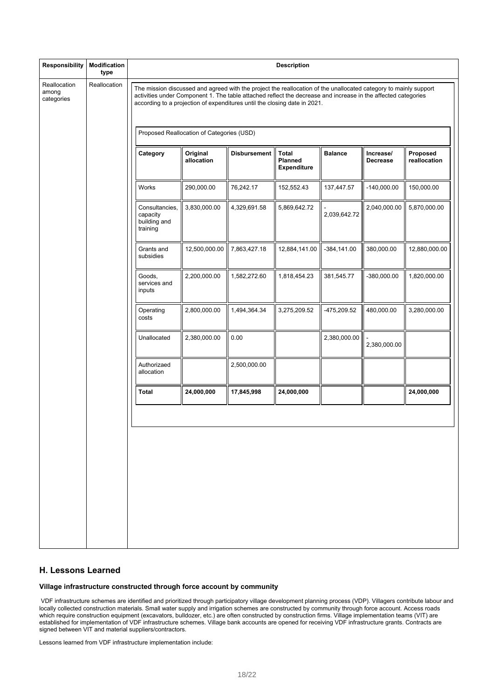| <b>Responsibility</b>               | <b>Modification</b><br>type |                                                                                                                                                                                                                                                                                                                |                                           |                     | <b>Description</b>                                   |                |                              |                          |
|-------------------------------------|-----------------------------|----------------------------------------------------------------------------------------------------------------------------------------------------------------------------------------------------------------------------------------------------------------------------------------------------------------|-------------------------------------------|---------------------|------------------------------------------------------|----------------|------------------------------|--------------------------|
| Reallocation<br>among<br>categories | Reallocation                | The mission discussed and agreed with the project the reallocation of the unallocated category to mainly support<br>activities under Component 1. The table attached reflect the decrease and increase in the affected categories<br>according to a projection of expenditures until the closing date in 2021. |                                           |                     |                                                      |                |                              |                          |
|                                     |                             |                                                                                                                                                                                                                                                                                                                | Proposed Reallocation of Categories (USD) |                     |                                                      |                |                              |                          |
|                                     |                             | Category                                                                                                                                                                                                                                                                                                       | Original<br>allocation                    | <b>Disbursement</b> | <b>Total</b><br><b>Planned</b><br><b>Expenditure</b> | <b>Balance</b> | Increase/<br><b>Decrease</b> | Proposed<br>reallocation |
|                                     |                             | Works                                                                                                                                                                                                                                                                                                          | 290,000.00                                | 76,242.17           | 152,552.43                                           | 137,447.57     | $-140,000.00$                | 150,000.00               |
|                                     |                             | Consultancies,<br>capacity<br>building and<br>training                                                                                                                                                                                                                                                         | 3,830,000.00                              | 4,329,691.58        | 5,869,642.72                                         | 2,039,642.72   | 2,040,000.00                 | 5,870,000.00             |
|                                     |                             | Grants and<br>subsidies                                                                                                                                                                                                                                                                                        | 12,500,000.00                             | 7,863,427.18        | 12,884,141.00                                        | $-384, 141.00$ | 380,000.00                   | 12,880,000.00            |
|                                     |                             | Goods,<br>services and<br>inputs                                                                                                                                                                                                                                                                               | 2,200,000.00                              | 1,582,272.60        | 1,818,454.23                                         | 381,545.77     | $-380,000.00$                | 1,820,000.00             |
|                                     |                             | Operating<br>costs                                                                                                                                                                                                                                                                                             | 2,800,000.00                              | 1,494,364.34        | 3,275,209.52                                         | -475,209.52    | 480,000.00                   | 3,280,000.00             |
|                                     |                             | Unallocated                                                                                                                                                                                                                                                                                                    | 2,380,000.00                              | 0.00                |                                                      | 2,380,000.00   | 2,380,000.00                 |                          |
|                                     |                             | Authorizaed<br>allocation                                                                                                                                                                                                                                                                                      |                                           | 2,500,000.00        |                                                      |                |                              |                          |
|                                     |                             | Total                                                                                                                                                                                                                                                                                                          | 24,000,000                                | 17,845,998          | 24,000,000                                           |                |                              | 24,000,000               |
|                                     |                             |                                                                                                                                                                                                                                                                                                                |                                           |                     |                                                      |                |                              |                          |

### **H. Lessons Learned**

### **Village infrastructure constructed through force account by community**

VDF infrastructure schemes are identified and prioritized through participatory village development planning process (VDP). Villagers contribute labour and locally collected construction materials. Small water supply and irrigation schemes are constructed by community through force account. Access roads which require construction equipment (excavators, bulldozer, etc.) are often constructed by construction firms. Village implementation teams (VIT) are established for implementation of VDF infrastructure schemes. Village bank accounts are opened for receiving VDF infrastructure grants. Contracts are signed between VIT and material suppliers/contractors.

Lessons learned from VDF infrastructure implementation include: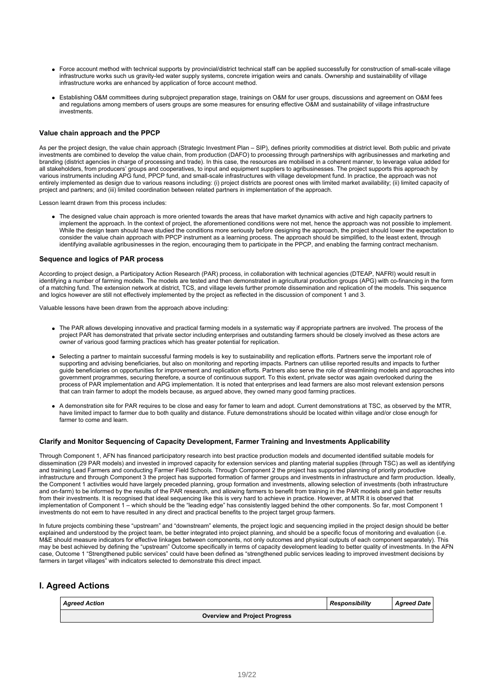- Force account method with technical supports by provincial/district technical staff can be applied successfully for construction of small-scale village infrastructure works such us gravity-led water supply systems, concrete irrigation weirs and canals. Ownership and sustainability of village infrastructure works are enhanced by application of force account method.
- Establishing O&M committees during subproject preparation stage, trainings on O&M for user groups, discussions and agreement on O&M fees and regulations among members of users groups are some measures for ensuring effective O&M and sustainability of village infrastructure investments.

#### **Value chain approach and the PPCP**

As per the project design, the value chain approach (Strategic Investment Plan – SIP), defines priority commodities at district level. Both public and private investments are combined to develop the value chain, from production (DAFO) to processing through partnerships with agribusinesses and marketing and branding (district agencies in charge of processing and trade). In this case, the resources are mobilised in a coherent manner, to leverage value added for all stakeholders, from producers' groups and cooperatives, to input and equipment suppliers to agribusinesses. The project supports this approach by various instruments including APG fund, PPCP fund, and small-scale infrastructures with village development fund. In practice, the approach was not entirely implemented as design due to various reasons including: (i) project districts are poorest ones with limited market availability; (ii) limited capacity of project and partners; and (iii) limited coordination between related partners in implementation of the approach.

Lesson learnt drawn from this process includes:

• The designed value chain approach is more oriented towards the areas that have market dynamics with active and high capacity partners to implement the approach. In the context of project, the aforementioned conditions were not met, hence the approach was not possible to implement. While the design team should have studied the conditions more seriously before designing the approach, the project should lower the expectation to consider the value chain approach with PPCP instrument as a learning process. The approach should be simplified, to the least extent, through identifying available agribusinesses in the region, encouraging them to participate in the PPCP, and enabling the farming contract mechanism.

#### **Sequence and logics of PAR process**

According to project design, a Participatory Action Research (PAR) process, in collaboration with technical agencies (DTEAP, NAFRI) would result in identifying a number of farming models. The models are tested and then demonstrated in agricultural production groups (APG) with co-financing in the form of a matching fund. The extension network at district, TCS, and village levels further promote dissemination and replication of the models. This sequence and logics however are still not effectively implemented by the project as reflected in the discussion of component 1 and 3.

Valuable lessons have been drawn from the approach above including:

- The PAR allows developing innovative and practical farming models in a systematic way if appropriate partners are involved. The process of the project PAR has demonstrated that private sector including enterprises and outstanding farmers should be closely involved as these actors are owner of various good farming practices which has greater potential for replication.
- Selecting a partner to maintain successful farming models is key to sustainability and replication efforts. Partners serve the important role of supporting and advising beneficiaries, but also on monitoring and reporting impacts. Partners can utilise reported results and impacts to further guide beneficiaries on opportunities for improvement and replication efforts. Partners also serve the role of streamlining models and approaches into government programmes, securing therefore, a source of continuous support. To this extent, private sector was again overlooked during the process of PAR implementation and APG implementation. It is noted that enterprises and lead farmers are also most relevant extension persons that can train farmer to adopt the models because, as argued above, they owned many good farming practices.
- A demonstration site for PAR requires to be close and easy for famer to learn and adopt. Current demonstrations at TSC, as observed by the MTR, have limited impact to farmer due to both quality and distance. Future demonstrations should be located within village and/or close enough for farmer to come and learn.

#### **Clarify and Monitor Sequencing of Capacity Development, Farmer Training and Investments Applicability**

Through Component 1, AFN has financed participatory research into best practice production models and documented identified suitable models for dissemination (29 PAR models) and invested in improved capacity for extension services and planting material supplies (through TSC) as well as identifying and training Lead Farmers and conducting Farmer Field Schools. Through Component 2 the project has supported planning of priority productive infrastructure and through Component 3 the project has supported formation of farmer groups and investments in infrastructure and farm production. Ideally, the Component 1 activities would have largely preceded planning, group formation and investments, allowing selection of investments (both infrastructure and on-farm) to be informed by the results of the PAR research, and allowing farmers to benefit from training in the PAR models and gain better results from their investments. It is recognised that ideal sequencing like this is very hard to achieve in practice. However, at MTR it is observed that implementation of Component 1 – which should be the "leading edge" has consistently lagged behind the other components. So far, most Component 1 investments do not eem to have resulted in any direct and practical benefits to the project target group farmers.

In future projects combining these "upstream" and "downstream" elements, the project logic and sequencing implied in the project design should be better explained and understood by the project team, be better integrated into project planning, and should be a specific focus of monitoring and evaluation (i.e. M&E should measure indicators for effective linkages between components, not only outcomes and physical outputs of each component separately). This may be best achieved by defining the "upstream" Outcome specifically in terms of capacity development leading to better quality of investments. In the AFN case, Outcome 1 "Strengthened public services" could have been defined as "strengthened public services leading to improved investment decisions by farmers in target villages" with indicators selected to demonstrate this direct impact.

### **I. Agreed Actions**

| <b>Agreed Action</b>                 | <b>Responsibility</b> | <b>Agreed Date</b> |
|--------------------------------------|-----------------------|--------------------|
| <b>Overview and Project Progress</b> |                       |                    |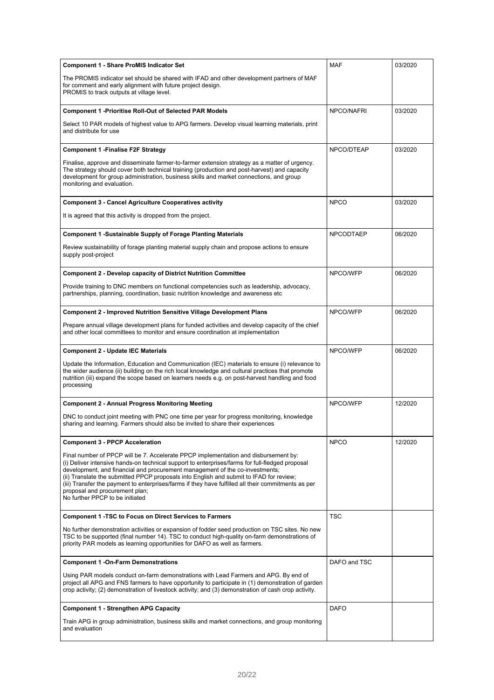| <b>Component 1 - Share ProMIS Indicator Set</b>                                                                                                                                                                                                                                                                                                                                                                                                                                                                                               | <b>MAF</b>       | 03/2020 |
|-----------------------------------------------------------------------------------------------------------------------------------------------------------------------------------------------------------------------------------------------------------------------------------------------------------------------------------------------------------------------------------------------------------------------------------------------------------------------------------------------------------------------------------------------|------------------|---------|
| The PROMIS indicator set should be shared with IFAD and other development partners of MAF<br>for comment and early alignment with future project design.<br>PROMIS to track outputs at village level.                                                                                                                                                                                                                                                                                                                                         |                  |         |
| <b>Component 1 -Prioritise Roll-Out of Selected PAR Models</b>                                                                                                                                                                                                                                                                                                                                                                                                                                                                                | NPCO/NAFRI       | 03/2020 |
| Select 10 PAR models of highest value to APG farmers. Develop visual learning materials, print<br>and distribute for use                                                                                                                                                                                                                                                                                                                                                                                                                      |                  |         |
| Component 1 -Finalise F2F Strategy                                                                                                                                                                                                                                                                                                                                                                                                                                                                                                            | NPCO/DTEAP       | 03/2020 |
| Finalise, approve and disseminate farmer-to-farmer extension strategy as a matter of urgency.<br>The strategy should cover both technical training (production and post-harvest) and capacity<br>development for group administration, business skills and market connections, and group<br>monitoring and evaluation.                                                                                                                                                                                                                        |                  |         |
| <b>Component 3 - Cancel Agriculture Cooperatives activity</b>                                                                                                                                                                                                                                                                                                                                                                                                                                                                                 | <b>NPCO</b>      | 03/2020 |
| It is agreed that this activity is dropped from the project.                                                                                                                                                                                                                                                                                                                                                                                                                                                                                  |                  |         |
| <b>Component 1 -Sustainable Supply of Forage Planting Materials</b>                                                                                                                                                                                                                                                                                                                                                                                                                                                                           | <b>NPCODTAEP</b> | 06/2020 |
| Review sustainability of forage planting material supply chain and propose actions to ensure<br>supply post-project                                                                                                                                                                                                                                                                                                                                                                                                                           |                  |         |
| <b>Component 2 - Develop capacity of District Nutrition Committee</b>                                                                                                                                                                                                                                                                                                                                                                                                                                                                         | NPCO/WFP         | 06/2020 |
| Provide training to DNC members on functional competencies such as leadership, advocacy,<br>partnerships, planning, coordination, basic nutrition knowledge and awareness etc                                                                                                                                                                                                                                                                                                                                                                 |                  |         |
| <b>Component 2 - Improved Nutrition Sensitive Village Development Plans</b>                                                                                                                                                                                                                                                                                                                                                                                                                                                                   | NPCO/WFP         | 06/2020 |
| Prepare annual village development plans for funded activities and develop capacity of the chief<br>and other local committees to monitor and ensure coordination at implementation                                                                                                                                                                                                                                                                                                                                                           |                  |         |
| <b>Component 2 - Update IEC Materials</b>                                                                                                                                                                                                                                                                                                                                                                                                                                                                                                     | NPCO/WFP         | 06/2020 |
| Update the Information, Education and Communication (IEC) materials to ensure (i) relevance to<br>the wider audience (ii) building on the rich local knowledge and cultural practices that promote<br>nutrition (iii) expand the scope based on learners needs e.g. on post-harvest handling and food<br>processing                                                                                                                                                                                                                           |                  |         |
| <b>Component 2 - Annual Progress Monitoring Meeting</b>                                                                                                                                                                                                                                                                                                                                                                                                                                                                                       | NPCO/WFP         | 12/2020 |
| DNC to conduct joint meeting with PNC one time per year for progress monitoring, knowledge<br>sharing and learning. Farmers should also be invited to share their experiences                                                                                                                                                                                                                                                                                                                                                                 |                  |         |
| <b>Component 3 - PPCP Acceleration</b>                                                                                                                                                                                                                                                                                                                                                                                                                                                                                                        | <b>NPCO</b>      | 12/2020 |
| Final number of PPCP will be 7. Accelerate PPCP implementation and disbursement by:<br>(i) Deliver intensive hands-on technical support to enterprises/farms for full-fledged proposal<br>development, and financial and procurement management of the co-investments;<br>(ii) Translate the submitted PPCP proposals into English and submit to IFAD for review;<br>(iii) Transfer the payment to enterprises/farms if they have fulfilled all their commitments as per<br>proposal and procurement plan;<br>No further PPCP to be initiated |                  |         |
| <b>Component 1 -TSC to Focus on Direct Services to Farmers</b>                                                                                                                                                                                                                                                                                                                                                                                                                                                                                | <b>TSC</b>       |         |
| No further demonstration activities or expansion of fodder seed production on TSC sites. No new<br>TSC to be supported (final number 14). TSC to conduct high-quality on-farm demonstrations of<br>priority PAR models as learning opportunities for DAFO as well as farmers.                                                                                                                                                                                                                                                                 |                  |         |
| <b>Component 1 -On-Farm Demonstrations</b>                                                                                                                                                                                                                                                                                                                                                                                                                                                                                                    | DAFO and TSC     |         |
| Using PAR models conduct on-farm demonstrations with Lead Farmers and APG. By end of<br>project all APG and FNS farmers to have opportunity to participate in (1) demonstration of garden<br>crop activity; (2) demonstration of livestock activity; and (3) demonstration of cash crop activity.                                                                                                                                                                                                                                             |                  |         |
| <b>Component 1 - Strengthen APG Capacity</b>                                                                                                                                                                                                                                                                                                                                                                                                                                                                                                  | <b>DAFO</b>      |         |
| Train APG in group administration, business skills and market connections, and group monitoring<br>and evaluation                                                                                                                                                                                                                                                                                                                                                                                                                             |                  |         |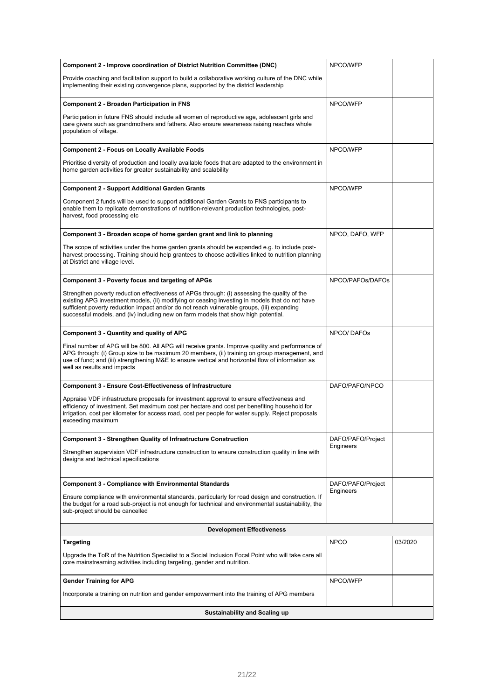| <b>Component 2 - Improve coordination of District Nutrition Committee (DNC)</b>                                                                                                                                                                                                                                                                                                    | NPCO/WFP          |         |
|------------------------------------------------------------------------------------------------------------------------------------------------------------------------------------------------------------------------------------------------------------------------------------------------------------------------------------------------------------------------------------|-------------------|---------|
| Provide coaching and facilitation support to build a collaborative working culture of the DNC while<br>implementing their existing convergence plans, supported by the district leadership                                                                                                                                                                                         |                   |         |
| <b>Component 2 - Broaden Participation in FNS</b>                                                                                                                                                                                                                                                                                                                                  | NPCO/WFP          |         |
| Participation in future FNS should include all women of reproductive age, adolescent girls and<br>care givers such as grandmothers and fathers. Also ensure awareness raising reaches whole<br>population of village.                                                                                                                                                              |                   |         |
| <b>Component 2 - Focus on Locally Available Foods</b>                                                                                                                                                                                                                                                                                                                              | NPCO/WFP          |         |
| Prioritise diversity of production and locally available foods that are adapted to the environment in<br>home garden activities for greater sustainability and scalability                                                                                                                                                                                                         |                   |         |
| <b>Component 2 - Support Additional Garden Grants</b>                                                                                                                                                                                                                                                                                                                              | NPCO/WFP          |         |
| Component 2 funds will be used to support additional Garden Grants to FNS participants to<br>enable them to replicate demonstrations of nutrition-relevant production technologies, post-<br>harvest, food processing etc                                                                                                                                                          |                   |         |
| Component 3 - Broaden scope of home garden grant and link to planning                                                                                                                                                                                                                                                                                                              | NPCO, DAFO, WFP   |         |
| The scope of activities under the home garden grants should be expanded e.g. to include post-<br>harvest processing. Training should help grantees to choose activities linked to nutrition planning<br>at District and village level.                                                                                                                                             |                   |         |
| <b>Component 3 - Poverty focus and targeting of APGs</b>                                                                                                                                                                                                                                                                                                                           | NPCO/PAFOs/DAFOs  |         |
| Strengthen poverty reduction effectiveness of APGs through: (i) assessing the quality of the<br>existing APG investment models, (ii) modifying or ceasing investing in models that do not have<br>sufficient poverty reduction impact and/or do not reach vulnerable groups, (iii) expanding<br>successful models, and (iv) including new on farm models that show high potential. |                   |         |
| <b>Component 3 - Quantity and quality of APG</b>                                                                                                                                                                                                                                                                                                                                   | <b>NPCO/DAFOs</b> |         |
| Final number of APG will be 800. All APG will receive grants. Improve quality and performance of<br>APG through: (i) Group size to be maximum 20 members, (ii) training on group management, and<br>use of fund; and (iii) strengthening M&E to ensure vertical and horizontal flow of information as<br>well as results and impacts                                               |                   |         |
| <b>Component 3 - Ensure Cost-Effectiveness of Infrastructure</b>                                                                                                                                                                                                                                                                                                                   | DAFO/PAFO/NPCO    |         |
| Appraise VDF infrastructure proposals for investment approval to ensure effectiveness and<br>efficiency of investment. Set maximum cost per hectare and cost per benefiting household for<br>irrigation, cost per kilometer for access road, cost per people for water supply. Reject proposals<br>exceeding maximum                                                               |                   |         |
| <b>Component 3 - Strengthen Quality of Infrastructure Construction</b>                                                                                                                                                                                                                                                                                                             | DAFO/PAFO/Project |         |
| Strengthen supervision VDF infrastructure construction to ensure construction quality in line with<br>designs and technical specifications                                                                                                                                                                                                                                         | Engineers         |         |
| <b>Component 3 - Compliance with Environmental Standards</b>                                                                                                                                                                                                                                                                                                                       | DAFO/PAFO/Project |         |
| Ensure compliance with environmental standards, particularly for road design and construction. If<br>the budget for a road sub-project is not enough for technical and environmental sustainability, the<br>sub-project should be cancelled                                                                                                                                        | Engineers         |         |
| <b>Development Effectiveness</b>                                                                                                                                                                                                                                                                                                                                                   |                   |         |
| Targeting                                                                                                                                                                                                                                                                                                                                                                          | <b>NPCO</b>       | 03/2020 |
| Upgrade the ToR of the Nutrition Specialist to a Social Inclusion Focal Point who will take care all<br>core mainstreaming activities including targeting, gender and nutrition.                                                                                                                                                                                                   |                   |         |
| <b>Gender Training for APG</b>                                                                                                                                                                                                                                                                                                                                                     | NPCO/WFP          |         |
| Incorporate a training on nutrition and gender empowerment into the training of APG members                                                                                                                                                                                                                                                                                        |                   |         |
| <b>Sustainability and Scaling up</b>                                                                                                                                                                                                                                                                                                                                               |                   |         |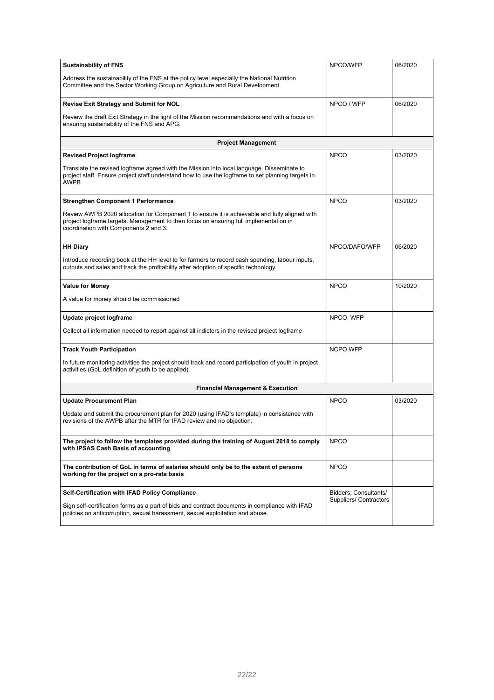| <b>Sustainability of FNS</b>                                                                                                                                                                                                    | NPCO/WFP                      | 06/2020 |
|---------------------------------------------------------------------------------------------------------------------------------------------------------------------------------------------------------------------------------|-------------------------------|---------|
| Address the sustainability of the FNS at the policy level especially the National Nutrition<br>Committee and the Sector Working Group on Agriculture and Rural Development.                                                     |                               |         |
| <b>Revise Exit Strategy and Submit for NOL</b>                                                                                                                                                                                  | NPCO / WFP                    | 06/2020 |
| Review the draft Exit Strategy in the light of the Mission recommendations and with a focus on<br>ensuring sustainability of the FNS and APG.                                                                                   |                               |         |
| <b>Project Management</b>                                                                                                                                                                                                       |                               |         |
| <b>Revised Project logframe</b>                                                                                                                                                                                                 | <b>NPCO</b>                   | 03/2020 |
| Translate the revised logframe agreed with the Mission into local language. Disseminate to<br>project staff. Ensure project staff understand how to use the logframe to set planning targets in<br><b>AWPB</b>                  |                               |         |
| <b>Strengthen Component 1 Performance</b>                                                                                                                                                                                       | <b>NPCO</b>                   | 03/2020 |
| Review AWPB 2020 allocation for Component 1 to ensure it is achievable and fully aligned with<br>project logframe targets. Management to then focus on ensuring full implementation in<br>coordination with Components 2 and 3. |                               |         |
| <b>HH Diary</b>                                                                                                                                                                                                                 | NPCO/DAFO/WFP                 | 06/2020 |
| Introduce recording book at the HH level to for farmers to record cash spending, labour inputs,<br>outputs and sales and track the profitability after adoption of specific technology                                          |                               |         |
| <b>Value for Money</b>                                                                                                                                                                                                          | <b>NPCO</b>                   | 10/2020 |
| A value for money should be commissioned                                                                                                                                                                                        |                               |         |
| Update project logframe                                                                                                                                                                                                         | NPCO, WFP                     |         |
| Collect all information needed to report against all indictors in the revised project logframe                                                                                                                                  |                               |         |
| <b>Track Youth Participation</b>                                                                                                                                                                                                | NCPO, WFP                     |         |
| In future monitoring activities the project should track and record participation of youth in project<br>activities (GoL definition of youth to be applied).                                                                    |                               |         |
| <b>Financial Management &amp; Execution</b>                                                                                                                                                                                     |                               |         |
| <b>Update Procurement Plan</b>                                                                                                                                                                                                  | <b>NPCO</b>                   | 03/2020 |
| Update and submit the procurement plan for 2020 (using IFAD's template) in consistence with<br>revisions of the AWPB after the MTR for IFAD review and no objection.                                                            |                               |         |
| The project to follow the templates provided during the training of August 2018 to comply<br>with IPSAS Cash Basis of accounting                                                                                                | <b>NPCO</b>                   |         |
| The contribution of GoL in terms of salaries should only be to the extent of persons<br>working for the project on a pro-rata basis                                                                                             | <b>NPCO</b>                   |         |
| <b>Self-Certification with IFAD Policy Compliance</b>                                                                                                                                                                           | Bidders; Consultants/         |         |
| Sign self-certification forms as a part of bids and contract documents in compliance with IFAD<br>policies on anticorruption, sexual harassment, sexual exploitation and abuse.                                                 | <b>Suppliers/ Contractors</b> |         |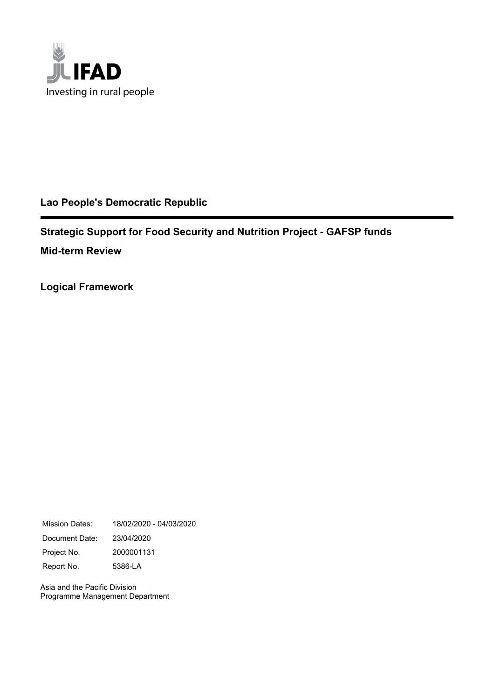

## **Lao People's Democratic Republic**

**Strategic Support for Food Security and Nutrition Project - GAFSP funds Mid-term Review**

**Logical Framework**

Mission Dates: 18/02/2020 - 04/03/2020 Document Date: 23/04/2020 Project No. 2000001131 Report No. 5386-LA

Asia and the Pacific Division Programme Management Department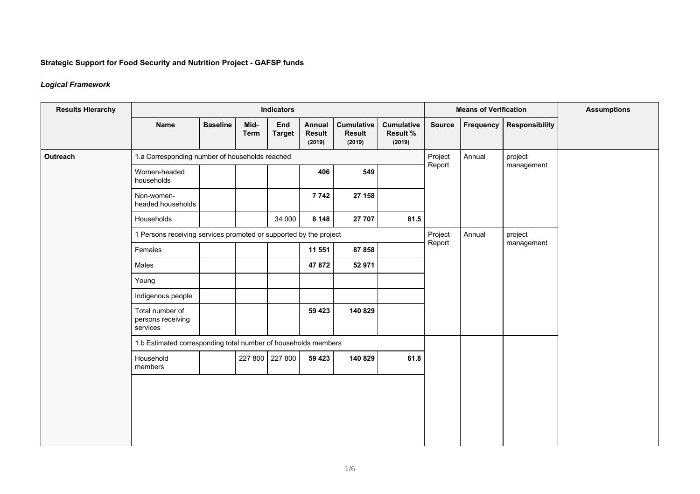## **Strategic Support for Food Security and Nutrition Project - GAFSP funds**

### *Logical Framework*

| <b>Results Hierarchy</b> |                                                                   |                 |                     | <b>Indicators</b>    |                                   |                                              | <b>Means of Verification</b>                   |                   | <b>Assumptions</b> |                       |  |
|--------------------------|-------------------------------------------------------------------|-----------------|---------------------|----------------------|-----------------------------------|----------------------------------------------|------------------------------------------------|-------------------|--------------------|-----------------------|--|
|                          | <b>Name</b>                                                       | <b>Baseline</b> | Mid-<br><b>Term</b> | End<br><b>Target</b> | Annual<br><b>Result</b><br>(2019) | <b>Cumulative</b><br><b>Result</b><br>(2019) | <b>Cumulative</b><br><b>Result %</b><br>(2019) | <b>Source</b>     | Frequency          | <b>Responsibility</b> |  |
| Outreach                 | 1.a Corresponding number of households reached                    |                 |                     |                      |                                   | Project                                      | Annual                                         | project           |                    |                       |  |
|                          | Women-headed<br>households                                        |                 |                     |                      | 406                               | 549                                          |                                                | Report            |                    | management            |  |
|                          | Non-women-<br>headed households                                   |                 |                     |                      | 7742                              | 27 158                                       |                                                |                   |                    |                       |  |
|                          | Households                                                        |                 |                     | 34 000               | 8 1 4 8                           | 27 707                                       | 81.5                                           |                   |                    |                       |  |
|                          | 1 Persons receiving services promoted or supported by the project |                 |                     |                      |                                   |                                              |                                                | Annual<br>Project |                    | project               |  |
|                          | Females                                                           |                 |                     |                      | 11 551                            | 87 858                                       |                                                | Report            |                    | management            |  |
|                          | Males                                                             |                 |                     |                      | 47 872                            | 52 971                                       |                                                |                   |                    |                       |  |
|                          | Young                                                             |                 |                     |                      |                                   |                                              |                                                |                   |                    |                       |  |
|                          | Indigenous people                                                 |                 |                     |                      |                                   |                                              |                                                |                   |                    |                       |  |
|                          | Total number of<br>persons receiving<br>services                  |                 |                     |                      | 59 423                            | 140 829                                      |                                                |                   |                    |                       |  |
|                          | 1.b Estimated corresponding total number of households members    |                 |                     |                      |                                   |                                              |                                                |                   |                    |                       |  |
|                          | Household<br>members                                              |                 |                     | 227 800 227 800      | 59 4 23                           | 140 829                                      | 61.8                                           |                   |                    |                       |  |
|                          |                                                                   |                 |                     |                      |                                   |                                              |                                                |                   |                    |                       |  |
|                          |                                                                   |                 |                     |                      |                                   |                                              |                                                |                   |                    |                       |  |
|                          |                                                                   |                 |                     |                      |                                   |                                              |                                                |                   |                    |                       |  |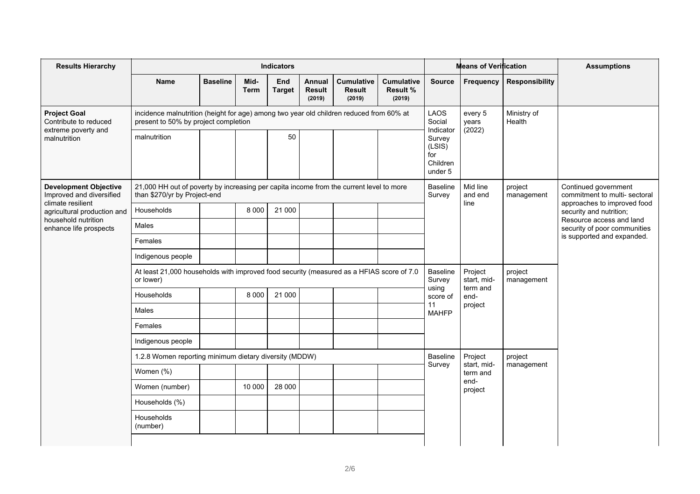| <b>Results Hierarchy</b>                                                            |                                                                                                                                 |                 |                     | <b>Indicators</b>    |                                   | <b>Means of Verification</b>                 |                                         |                                                             | <b>Assumptions</b>          |                            |                                                                                                                                                                             |
|-------------------------------------------------------------------------------------|---------------------------------------------------------------------------------------------------------------------------------|-----------------|---------------------|----------------------|-----------------------------------|----------------------------------------------|-----------------------------------------|-------------------------------------------------------------|-----------------------------|----------------------------|-----------------------------------------------------------------------------------------------------------------------------------------------------------------------------|
|                                                                                     | <b>Name</b>                                                                                                                     | <b>Baseline</b> | Mid-<br><b>Term</b> | End<br><b>Target</b> | Annual<br><b>Result</b><br>(2019) | <b>Cumulative</b><br><b>Result</b><br>(2019) | <b>Cumulative</b><br>Result %<br>(2019) | <b>Source</b>                                               | Frequency                   | <b>Responsibility</b>      |                                                                                                                                                                             |
| <b>Project Goal</b><br>Contribute to reduced<br>extreme poverty and<br>malnutrition | incidence malnutrition (height for age) among two year old children reduced from 60% at<br>present to 50% by project completion |                 |                     |                      |                                   | LAOS<br>Social                               | every 5<br>years                        | Ministry of<br>Health                                       |                             |                            |                                                                                                                                                                             |
|                                                                                     | malnutrition                                                                                                                    |                 |                     | 50                   |                                   |                                              |                                         | Indicator<br>Survey<br>(LSIS)<br>for<br>Children<br>under 5 | (2022)                      |                            |                                                                                                                                                                             |
| <b>Development Objective</b><br>Improved and diversified<br>climate resilient       | 21,000 HH out of poverty by increasing per capita income from the current level to more<br>than \$270/yr by Project-end         |                 |                     |                      |                                   |                                              |                                         | <b>Baseline</b><br>Survey                                   | Mid line<br>and end<br>line | project<br>management      | Continued government<br>commitment to multi- sectoral<br>approaches to improved food<br>security and nutrition;<br>Resource access and land<br>security of poor communities |
| agricultural production and                                                         | Households                                                                                                                      |                 | 8 0 0 0             | 21 000               |                                   |                                              |                                         |                                                             |                             |                            |                                                                                                                                                                             |
| household nutrition<br>enhance life prospects                                       | Males                                                                                                                           |                 |                     |                      |                                   |                                              |                                         |                                                             |                             |                            |                                                                                                                                                                             |
|                                                                                     | Females                                                                                                                         |                 |                     |                      |                                   |                                              |                                         |                                                             |                             | is supported and expanded. |                                                                                                                                                                             |
|                                                                                     | Indigenous people                                                                                                               |                 |                     |                      |                                   |                                              |                                         |                                                             |                             |                            |                                                                                                                                                                             |
|                                                                                     | At least 21,000 households with improved food security (measured as a HFIAS score of 7.0<br>or lower)                           |                 |                     |                      |                                   | <b>Baseline</b><br>Survey                    | Project<br>start, mid-                  | project<br>management                                       |                             |                            |                                                                                                                                                                             |
|                                                                                     | Households                                                                                                                      |                 | 8 0 0 0             | 21 000               |                                   |                                              |                                         | using<br>score of                                           | term and<br>end-            |                            |                                                                                                                                                                             |
|                                                                                     | Males                                                                                                                           |                 |                     |                      |                                   |                                              |                                         | 11<br><b>MAHFP</b>                                          | project                     |                            |                                                                                                                                                                             |
|                                                                                     | Females                                                                                                                         |                 |                     |                      |                                   |                                              |                                         |                                                             |                             |                            |                                                                                                                                                                             |
|                                                                                     | Indigenous people                                                                                                               |                 |                     |                      |                                   |                                              |                                         |                                                             |                             |                            |                                                                                                                                                                             |
|                                                                                     | 1.2.8 Women reporting minimum dietary diversity (MDDW)                                                                          |                 |                     |                      |                                   |                                              |                                         | <b>Baseline</b>                                             | Project                     | project                    |                                                                                                                                                                             |
|                                                                                     | Women (%)                                                                                                                       |                 |                     |                      |                                   |                                              |                                         | Survey                                                      | start, mid-<br>term and     | management                 |                                                                                                                                                                             |
|                                                                                     | Women (number)                                                                                                                  |                 | 10 000              | 28 000               |                                   |                                              |                                         |                                                             | end-<br>project             |                            |                                                                                                                                                                             |
|                                                                                     | Households (%)                                                                                                                  |                 |                     |                      |                                   |                                              |                                         |                                                             |                             |                            |                                                                                                                                                                             |
|                                                                                     | Households<br>(number)                                                                                                          |                 |                     |                      |                                   |                                              |                                         |                                                             |                             |                            |                                                                                                                                                                             |
|                                                                                     |                                                                                                                                 |                 |                     |                      |                                   |                                              |                                         |                                                             |                             |                            |                                                                                                                                                                             |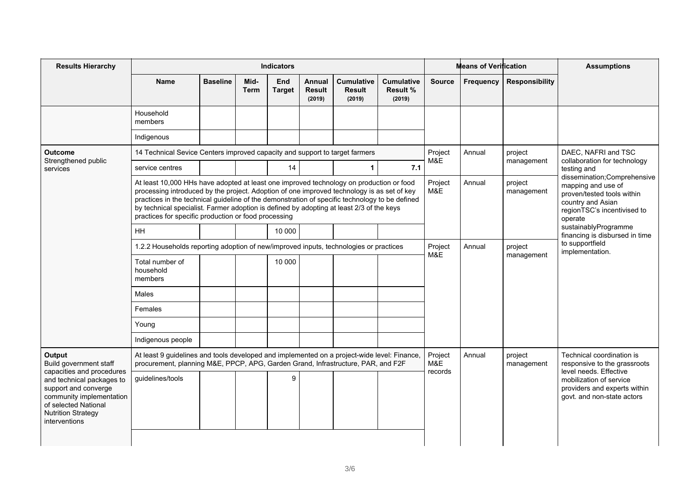| <b>Results Hierarchy</b>                                                                                                                                                         |                                                                                                                                                                                                                                                                                                                                                                                                                                             |                 |                     | <b>Indicators</b>           |                                   | <b>Means of Verification</b>                 |                                                |                | <b>Assumptions</b>                 |                                                                                                                                                 |                                                                                                                 |
|----------------------------------------------------------------------------------------------------------------------------------------------------------------------------------|---------------------------------------------------------------------------------------------------------------------------------------------------------------------------------------------------------------------------------------------------------------------------------------------------------------------------------------------------------------------------------------------------------------------------------------------|-----------------|---------------------|-----------------------------|-----------------------------------|----------------------------------------------|------------------------------------------------|----------------|------------------------------------|-------------------------------------------------------------------------------------------------------------------------------------------------|-----------------------------------------------------------------------------------------------------------------|
|                                                                                                                                                                                  | <b>Name</b>                                                                                                                                                                                                                                                                                                                                                                                                                                 | <b>Baseline</b> | Mid-<br><b>Term</b> | <b>End</b><br><b>Target</b> | Annual<br><b>Result</b><br>(2019) | <b>Cumulative</b><br><b>Result</b><br>(2019) | <b>Cumulative</b><br><b>Result %</b><br>(2019) | <b>Source</b>  | <b>Frequency</b>                   | <b>Responsibility</b>                                                                                                                           |                                                                                                                 |
|                                                                                                                                                                                  | Household<br>members                                                                                                                                                                                                                                                                                                                                                                                                                        |                 |                     |                             |                                   |                                              |                                                |                |                                    |                                                                                                                                                 |                                                                                                                 |
|                                                                                                                                                                                  | Indigenous                                                                                                                                                                                                                                                                                                                                                                                                                                  |                 |                     |                             |                                   |                                              |                                                |                |                                    |                                                                                                                                                 |                                                                                                                 |
| <b>Outcome</b>                                                                                                                                                                   | 14 Technical Sevice Centers improved capacity and support to target farmers                                                                                                                                                                                                                                                                                                                                                                 |                 |                     |                             |                                   |                                              |                                                | Project<br>M&E | Annual                             | project                                                                                                                                         | DAEC, NAFRI and TSC                                                                                             |
| Strengthened public<br>services                                                                                                                                                  | service centres                                                                                                                                                                                                                                                                                                                                                                                                                             |                 |                     | 14                          |                                   | $\mathbf 1$                                  | 7.1                                            |                |                                    | management                                                                                                                                      | collaboration for technology<br>testing and                                                                     |
|                                                                                                                                                                                  | At least 10,000 HHs have adopted at least one improved technology on production or food<br>processing introduced by the project. Adoption of one improved technology is as set of key<br>practices in the technical guideline of the demonstration of specific technology to be defined<br>by technical specialist. Farmer adoption is defined by adopting at least 2/3 of the keys<br>practices for specific production or food processing |                 |                     |                             |                                   |                                              | Project<br>M&E                                 | Annual         | project<br>management              | dissemination; Comprehensive<br>mapping and use of<br>proven/tested tools within<br>country and Asian<br>regionTSC's incentivised to<br>operate |                                                                                                                 |
|                                                                                                                                                                                  | <b>HH</b>                                                                                                                                                                                                                                                                                                                                                                                                                                   |                 |                     | 10 000                      |                                   |                                              |                                                |                |                                    |                                                                                                                                                 | sustainablyProgramme<br>financing is disbursed in time                                                          |
|                                                                                                                                                                                  | 1.2.2 Households reporting adoption of new/improved inputs, technologies or practices                                                                                                                                                                                                                                                                                                                                                       |                 |                     |                             |                                   | Project<br>M&E                               | Annual                                         | project        | to supportfield<br>implementation. |                                                                                                                                                 |                                                                                                                 |
|                                                                                                                                                                                  | Total number of<br>household<br>members                                                                                                                                                                                                                                                                                                                                                                                                     |                 |                     | 10 000                      |                                   |                                              |                                                |                | management                         |                                                                                                                                                 |                                                                                                                 |
|                                                                                                                                                                                  | Males                                                                                                                                                                                                                                                                                                                                                                                                                                       |                 |                     |                             |                                   |                                              |                                                |                |                                    |                                                                                                                                                 |                                                                                                                 |
|                                                                                                                                                                                  | Females                                                                                                                                                                                                                                                                                                                                                                                                                                     |                 |                     |                             |                                   |                                              |                                                |                |                                    |                                                                                                                                                 |                                                                                                                 |
|                                                                                                                                                                                  | Young                                                                                                                                                                                                                                                                                                                                                                                                                                       |                 |                     |                             |                                   |                                              |                                                |                |                                    |                                                                                                                                                 |                                                                                                                 |
|                                                                                                                                                                                  | Indigenous people                                                                                                                                                                                                                                                                                                                                                                                                                           |                 |                     |                             |                                   |                                              |                                                |                |                                    |                                                                                                                                                 |                                                                                                                 |
| Output<br>Build government staff                                                                                                                                                 | At least 9 guidelines and tools developed and implemented on a project-wide level: Finance,<br>procurement, planning M&E, PPCP, APG, Garden Grand, Infrastructure, PAR, and F2F                                                                                                                                                                                                                                                             |                 |                     |                             |                                   |                                              |                                                | Project<br>M&E | Annual                             | project<br>management                                                                                                                           | Technical coordination is<br>responsive to the grassroots                                                       |
| capacities and procedures<br>and technical packages to<br>support and converge<br>community implementation<br>of selected National<br><b>Nutrition Strategy</b><br>interventions | guidelines/tools                                                                                                                                                                                                                                                                                                                                                                                                                            |                 |                     | 9                           |                                   |                                              |                                                | records        |                                    |                                                                                                                                                 | level needs. Effective<br>mobilization of service<br>providers and experts within<br>govt. and non-state actors |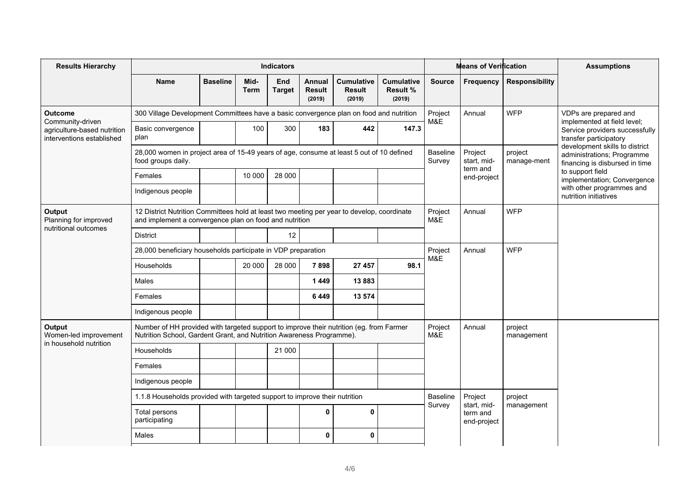| <b>Results Hierarchy</b>                                                     |                                                                                                                                                                 |                 |                     | <b>Indicators</b>    |                                   |                                       |                                                |                            | <b>Means of Verification</b>                                                                   |                       | <b>Assumptions</b>                                                                      |
|------------------------------------------------------------------------------|-----------------------------------------------------------------------------------------------------------------------------------------------------------------|-----------------|---------------------|----------------------|-----------------------------------|---------------------------------------|------------------------------------------------|----------------------------|------------------------------------------------------------------------------------------------|-----------------------|-----------------------------------------------------------------------------------------|
|                                                                              | <b>Name</b>                                                                                                                                                     | <b>Baseline</b> | Mid-<br><b>Term</b> | End<br><b>Target</b> | Annual<br><b>Result</b><br>(2019) | <b>Cumulative</b><br>Result<br>(2019) | <b>Cumulative</b><br><b>Result %</b><br>(2019) | <b>Source</b>              | Frequency                                                                                      | <b>Responsibility</b> |                                                                                         |
| Outcome                                                                      | 300 Village Development Committees have a basic convergence plan on food and nutrition                                                                          |                 |                     |                      |                                   | Project<br>M&E                        | Annual                                         | <b>WFP</b>                 | VDPs are prepared and                                                                          |                       |                                                                                         |
| Community-driven<br>agriculture-based nutrition<br>interventions established | Basic convergence<br>plan                                                                                                                                       |                 | 100                 | 300                  | 183                               | 442                                   | 147.3                                          |                            |                                                                                                |                       | implemented at field level;<br>Service providers successfully<br>transfer participatory |
|                                                                              | 28,000 women in project area of 15-49 years of age, consume at least 5 out of 10 defined<br>food groups daily.                                                  |                 |                     |                      |                                   | <b>Baseline</b><br>Survey             | Project<br>start, mid-                         | project<br>manage-ment     | development skills to district<br>administrations; Programme<br>financing is disbursed in time |                       |                                                                                         |
|                                                                              | Females                                                                                                                                                         |                 | 10 000              | 28 000               |                                   |                                       |                                                |                            | term and<br>end-project                                                                        |                       | to support field<br>implementation; Convergence                                         |
|                                                                              | Indigenous people                                                                                                                                               |                 |                     |                      |                                   |                                       |                                                |                            |                                                                                                |                       | with other programmes and<br>nutrition initiatives                                      |
| Output<br>Planning for improved<br>nutritional outcomes                      | 12 District Nutrition Committees hold at least two meeting per year to develop, coordinate<br>and implement a convergence plan on food and nutrition            |                 |                     |                      |                                   | Project<br>M&E                        | <b>WFP</b><br>Annual                           |                            |                                                                                                |                       |                                                                                         |
|                                                                              | <b>District</b>                                                                                                                                                 |                 |                     | 12                   |                                   |                                       |                                                |                            |                                                                                                |                       |                                                                                         |
|                                                                              | 28,000 beneficiary households participate in VDP preparation                                                                                                    |                 |                     |                      |                                   | Project                               | Annual                                         | <b>WFP</b>                 |                                                                                                |                       |                                                                                         |
|                                                                              | Households                                                                                                                                                      |                 | 20 000              | 28 000               | 7898                              | 27 457                                | 98.1                                           | M&E                        |                                                                                                |                       |                                                                                         |
|                                                                              | Males                                                                                                                                                           |                 |                     |                      | 1449                              | 13883                                 |                                                |                            |                                                                                                |                       |                                                                                         |
|                                                                              | Females                                                                                                                                                         |                 |                     |                      | 6449                              | 13 574                                |                                                |                            |                                                                                                |                       |                                                                                         |
|                                                                              | Indigenous people                                                                                                                                               |                 |                     |                      |                                   |                                       |                                                |                            |                                                                                                |                       |                                                                                         |
| Output<br>Women-led improvement                                              | Number of HH provided with targeted support to improve their nutrition (eg. from Farmer<br>Nutrition School, Gardent Grant, and Nutrition Awareness Programme). |                 |                     |                      |                                   |                                       |                                                | Project<br>M&E             | Annual                                                                                         | project<br>management |                                                                                         |
| in household nutrition                                                       | Households                                                                                                                                                      |                 |                     | 21 000               |                                   |                                       |                                                |                            |                                                                                                |                       |                                                                                         |
|                                                                              | Females                                                                                                                                                         |                 |                     |                      |                                   |                                       |                                                |                            |                                                                                                |                       |                                                                                         |
|                                                                              | Indigenous people                                                                                                                                               |                 |                     |                      |                                   |                                       |                                                |                            |                                                                                                |                       |                                                                                         |
|                                                                              | 1.1.8 Households provided with targeted support to improve their nutrition                                                                                      |                 |                     |                      |                                   |                                       |                                                | Project<br><b>Baseline</b> |                                                                                                | project               |                                                                                         |
|                                                                              | Total persons<br>participating                                                                                                                                  |                 |                     |                      | $\mathbf 0$                       | 0                                     |                                                | Survey                     | start, mid-<br>term and<br>end-project                                                         | management            |                                                                                         |
|                                                                              | Males                                                                                                                                                           |                 |                     |                      | $\mathbf{0}$                      | $\mathbf 0$                           |                                                |                            |                                                                                                |                       |                                                                                         |
|                                                                              |                                                                                                                                                                 |                 |                     |                      |                                   |                                       |                                                |                            |                                                                                                |                       |                                                                                         |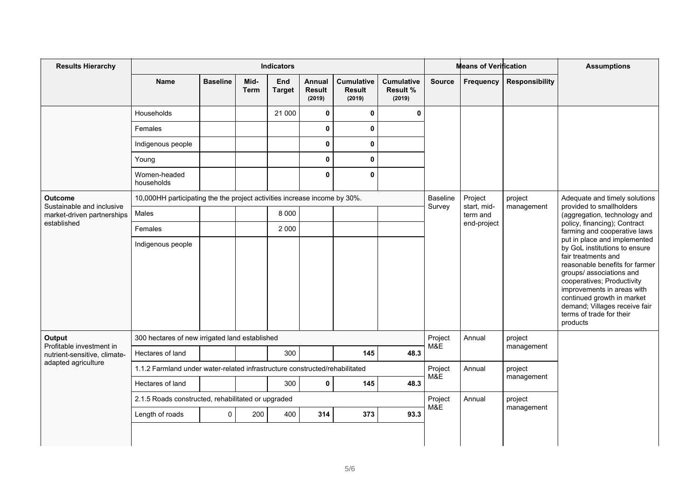| <b>Results Hierarchy</b>                            |                                                                             |                 |                     | <b>Indicators</b>    |                                          | <b>Means of Verification</b>                 |                                         |                           | <b>Assumptions</b>     |                       |                                                                                                                                                                                                                                                                                                                       |
|-----------------------------------------------------|-----------------------------------------------------------------------------|-----------------|---------------------|----------------------|------------------------------------------|----------------------------------------------|-----------------------------------------|---------------------------|------------------------|-----------------------|-----------------------------------------------------------------------------------------------------------------------------------------------------------------------------------------------------------------------------------------------------------------------------------------------------------------------|
|                                                     | <b>Name</b>                                                                 | <b>Baseline</b> | Mid-<br><b>Term</b> | End<br><b>Target</b> | <b>Annual</b><br><b>Result</b><br>(2019) | <b>Cumulative</b><br><b>Result</b><br>(2019) | <b>Cumulative</b><br>Result %<br>(2019) | <b>Source</b>             | Frequency              | <b>Responsibility</b> |                                                                                                                                                                                                                                                                                                                       |
|                                                     | Households                                                                  |                 |                     | 21 000               | $\mathbf 0$                              | 0                                            | $\mathbf 0$                             |                           |                        |                       |                                                                                                                                                                                                                                                                                                                       |
|                                                     | Females                                                                     |                 |                     |                      | $\mathbf 0$                              | 0                                            |                                         |                           |                        |                       |                                                                                                                                                                                                                                                                                                                       |
|                                                     | Indigenous people                                                           |                 |                     |                      | $\mathbf 0$                              | 0                                            |                                         |                           |                        |                       |                                                                                                                                                                                                                                                                                                                       |
|                                                     | Young                                                                       |                 |                     |                      | $\mathbf 0$                              | $\mathbf 0$                                  |                                         |                           |                        |                       |                                                                                                                                                                                                                                                                                                                       |
|                                                     | Women-headed<br>households                                                  |                 |                     |                      | $\mathbf 0$                              | 0                                            |                                         |                           |                        |                       |                                                                                                                                                                                                                                                                                                                       |
| Outcome<br>Sustainable and inclusive                | 10,000HH participating the the project activities increase income by 30%.   |                 |                     |                      |                                          |                                              |                                         | <b>Baseline</b><br>Survey | Project<br>start, mid- | project<br>management | Adequate and timely solutions<br>provided to smallholders                                                                                                                                                                                                                                                             |
| market-driven partnerships                          | Males                                                                       |                 |                     | 8 0 0 0              |                                          |                                              |                                         |                           | term and               |                       | (aggregation, technology and<br>policy, financing); Contract                                                                                                                                                                                                                                                          |
| established                                         | Females                                                                     |                 |                     | 2 0 0 0              |                                          |                                              |                                         |                           | end-project            |                       | farming and cooperative laws                                                                                                                                                                                                                                                                                          |
|                                                     | Indigenous people                                                           |                 |                     |                      |                                          |                                              |                                         |                           |                        |                       | put in place and implemented<br>by GoL institutions to ensure<br>fair treatments and<br>reasonable benefits for farmer<br>groups/ associations and<br>cooperatives; Productivity<br>improvements in areas with<br>continued growth in market<br>demand; Villages receive fair<br>terms of trade for their<br>products |
| Output<br>Profitable investment in                  | 300 hectares of new irrigated land established                              |                 |                     |                      |                                          |                                              |                                         | Project<br>M&E            | Annual                 | project<br>management |                                                                                                                                                                                                                                                                                                                       |
| nutrient-sensitive, climate-<br>adapted agriculture | Hectares of land                                                            |                 |                     | 300                  |                                          | 145                                          | 48.3                                    |                           |                        |                       |                                                                                                                                                                                                                                                                                                                       |
|                                                     | 1.1.2 Farmland under water-related infrastructure constructed/rehabilitated |                 |                     |                      |                                          |                                              |                                         | Project<br>M&E            | Annual                 | project<br>management |                                                                                                                                                                                                                                                                                                                       |
|                                                     | Hectares of land                                                            |                 |                     | 300                  | $\mathbf 0$                              | 145                                          | 48.3                                    |                           |                        |                       |                                                                                                                                                                                                                                                                                                                       |
|                                                     | 2.1.5 Roads constructed, rehabilitated or upgraded                          |                 |                     |                      |                                          |                                              |                                         | Project<br>Annual<br>M&E  |                        | project<br>management |                                                                                                                                                                                                                                                                                                                       |
|                                                     | Length of roads                                                             | $\mathbf 0$     | 200                 | 400                  | 314                                      | 373                                          | 93.3                                    |                           |                        |                       |                                                                                                                                                                                                                                                                                                                       |
|                                                     |                                                                             |                 |                     |                      |                                          |                                              |                                         |                           |                        |                       |                                                                                                                                                                                                                                                                                                                       |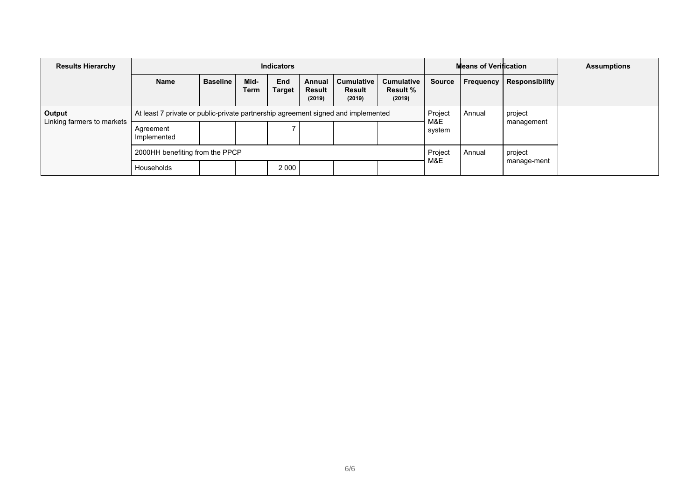| <b>Results Hierarchy</b>   |                                                                                   |                   |              | <b>Indicators</b>    |                                   |                                              | <b>Means of Verification</b>                   | <b>Assumptions</b> |           |                |  |
|----------------------------|-----------------------------------------------------------------------------------|-------------------|--------------|----------------------|-----------------------------------|----------------------------------------------|------------------------------------------------|--------------------|-----------|----------------|--|
|                            | <b>Name</b>                                                                       | <b>Baseline</b>   | Mid-<br>Term | End<br><b>Target</b> | Annual<br><b>Result</b><br>(2019) | <b>Cumulative</b><br><b>Result</b><br>(2019) | <b>Cumulative</b><br><b>Result %</b><br>(2019) | <b>Source</b>      | Frequency | Responsibility |  |
| Output                     | At least 7 private or public-private partnership agreement signed and implemented |                   |              |                      |                                   |                                              | Project<br>Annual                              |                    | project   |                |  |
| Linking farmers to markets | Agreement<br>Implemented                                                          |                   |              |                      |                                   |                                              |                                                | M&E<br>system      |           | management     |  |
|                            | 2000HH benefiting from the PPCP                                                   | Project<br>Annual |              | project              |                                   |                                              |                                                |                    |           |                |  |
|                            | Households                                                                        |                   |              | 2 0 0 0              |                                   |                                              |                                                | M&E                |           | manage-ment    |  |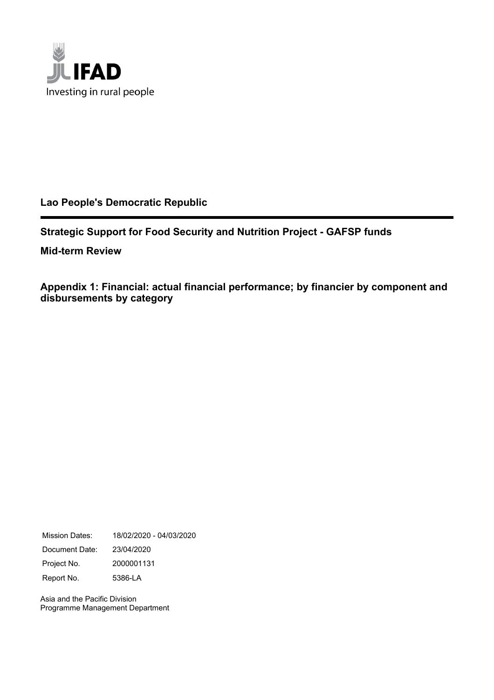

## **Lao People's Democratic Republic**

**Strategic Support for Food Security and Nutrition Project - GAFSP funds**

**Mid-term Review**

**Appendix 1: Financial: actual financial performance; by financier by component and disbursements by category**

Mission Dates: 18/02/2020 - 04/03/2020 Document Date: 23/04/2020 Project No. 2000001131 Report No. 5386-LA

Asia and the Pacific Division Programme Management Department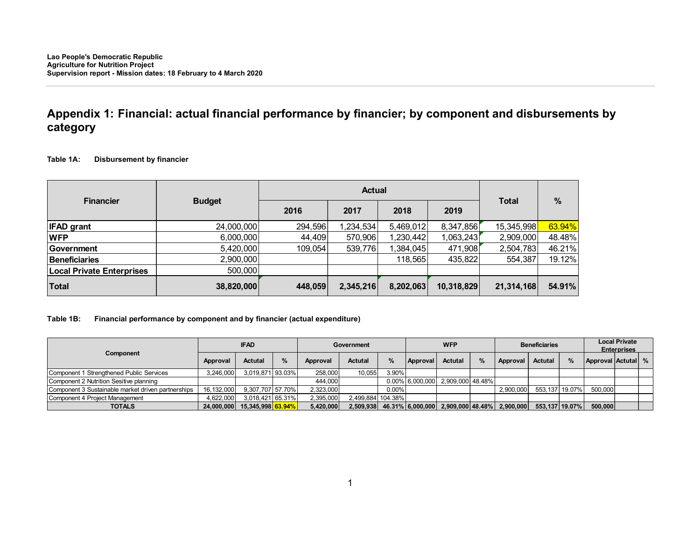## **Appendix 1: Financial: actual financial performance by financier; by component and disbursements by category**

#### **Table 1A: Disbursement by financier**

|                                  |               |         | <b>Actual</b> |           |            |              |               |
|----------------------------------|---------------|---------|---------------|-----------|------------|--------------|---------------|
| <b>Financier</b>                 | <b>Budget</b> | 2016    | 2017          | 2018      | 2019       | <b>Total</b> | $\frac{9}{6}$ |
| <b>IFAD</b> grant                | 24,000,000    | 294,596 | 1,234,534     | 5,469,012 | 8,347,856  | 15,345,998   | 63.94%        |
| <b>WFP</b>                       | 6,000,000     | 44,409  | 570,906       | 1,230,442 | 1,063,243  | 2,909,000    | 48.48%        |
| Government                       | 5,420,000     | 109,054 | 539,776       | 1,384,045 | 471,908    | 2,504,783    | 46.21%        |
| <b>Beneficiaries</b>             | 2,900,000     |         |               | 118,565   | 435,822    | 554,387      | 19.12%        |
| <b>Local Private Enterprises</b> | 500,000       |         |               |           |            |              |               |
| <b>Total</b>                     | 38,820,000    | 448,059 | 2,345,216     | 8,202,063 | 10,318,829 | 21,314,168   | 54.91%        |

### **Table 1B: Financial performance by component and by financier (actual expenditure)**

|                                                    |              | <b>WFP</b><br><b>IFAD</b><br><b>Government</b> |               | <b>Beneficiaries</b> |                   |          | <b>Local Private</b><br><b>Enterprises</b> |                  |  |                            |                |               |                    |  |  |
|----------------------------------------------------|--------------|------------------------------------------------|---------------|----------------------|-------------------|----------|--------------------------------------------|------------------|--|----------------------------|----------------|---------------|--------------------|--|--|
| Component                                          | Approval     | <b>Actutal</b>                                 | $\frac{9}{6}$ | Approval             | <b>Actutal</b>    | %        | Approval                                   | Actutal          |  | Approval                   | <b>Actutal</b> | $\frac{9}{6}$ | Approval Actutal % |  |  |
| Component 1 Strengthened Public Services           | 3,246,000    | 3,019,871 93.03%                               |               | 258,000              | 10.055            | 3.90%    |                                            |                  |  |                            |                |               |                    |  |  |
| Component 2 Nutrition Sesitive planning            |              |                                                |               | 444,000              |                   |          | 0.00% 6,000,000                            | 2.909.000 48.48% |  |                            |                |               |                    |  |  |
| Component 3 Sustainable market driven partnerships | 16, 132, 000 | 9,307,707 57.70%                               |               | 2,323,000            |                   | $0.00\%$ |                                            |                  |  | 2,900,000                  | 553,137 19.07% |               | 500,000            |  |  |
| Component 4 Project Management                     | 4,622,000    | 3,018,421 65.31%                               |               | 2,395,000            | 2.499.884 104.38% |          |                                            |                  |  |                            |                |               |                    |  |  |
| <b>TOTALS</b>                                      |              | 24,000,000 15,345,998 63.94%                   |               | 5,420,000            |                   |          | 2,509,938 46.31% 6,000,000                 |                  |  | 2,909,000 48.48% 2,900,000 | 553.137 19.07% |               | 500,000            |  |  |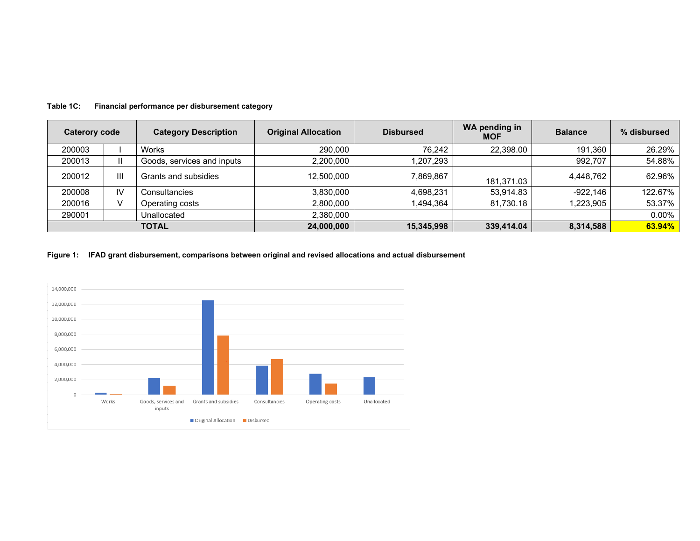| Caterory code |              | <b>Category Description</b> | <b>Original Allocation</b> | <b>Disbursed</b> | <b>WA pending in</b><br><b>MOF</b> | <b>Balance</b> | % disbursed |
|---------------|--------------|-----------------------------|----------------------------|------------------|------------------------------------|----------------|-------------|
| 200003        |              | <b>Works</b>                | 290,000                    | 76.242           | 22,398.00                          | 191.360        | 26.29%      |
| 200013        | $\mathbf{H}$ | Goods, services and inputs  | 2,200,000                  | 1,207,293        |                                    | 992,707        | 54.88%      |
| 200012        | Ш            | Grants and subsidies        | 12,500,000                 | 7,869,867        | 181,371.03                         | 4,448,762      | 62.96%      |
| 200008        | IV           | Consultancies               | 3,830,000                  | 4,698,231        | 53,914.83                          | $-922,146$     | 122.67%     |
| 200016        |              | Operating costs             | 2,800,000                  | 1,494,364        | 81,730.18                          | l,223,905      | 53.37%      |
| 290001        |              | Unallocated                 | 2,380,000                  |                  |                                    |                | $0.00\%$    |
|               |              | <b>TOTAL</b>                | 24,000,000                 | 15,345,998       | 339,414.04                         | 8,314,588      | 63.94%      |

**Table 1C: Financial performance per disbursement category** 

**Figure 1: IFAD grant disbursement, comparisons between original and revised allocations and actual disbursement** 

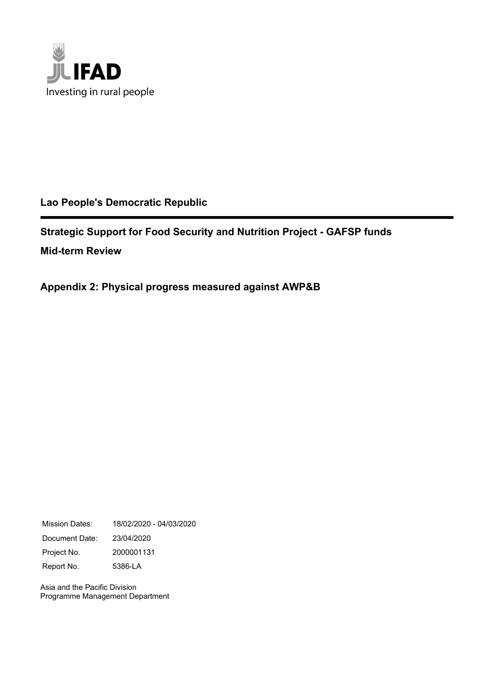

## **Lao People's Democratic Republic**

**Strategic Support for Food Security and Nutrition Project - GAFSP funds Mid-term Review**

**Appendix 2: Physical progress measured against AWP&B**

Mission Dates: 18/02/2020 - 04/03/2020 Document Date: 23/04/2020 Project No. 2000001131 Report No. 5386-LA

Asia and the Pacific Division Programme Management Department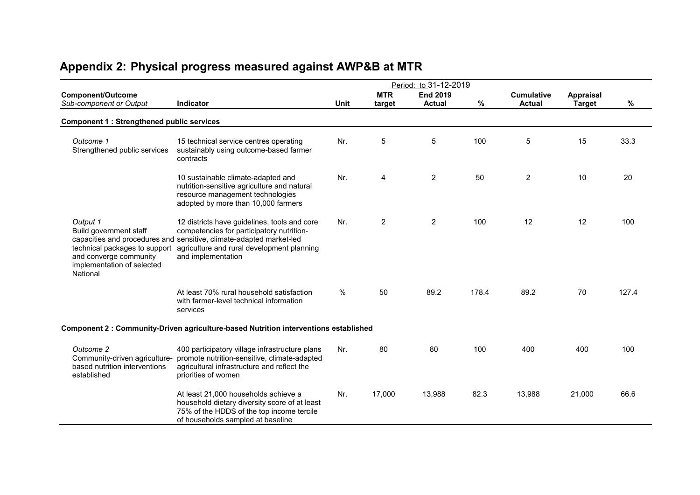|                                                                                                                                         |                                                                                                                                                                                                                                      |             |                      | Period: to 31-12-2019            |       |                                    |                                   |       |
|-----------------------------------------------------------------------------------------------------------------------------------------|--------------------------------------------------------------------------------------------------------------------------------------------------------------------------------------------------------------------------------------|-------------|----------------------|----------------------------------|-------|------------------------------------|-----------------------------------|-------|
| <b>Component/Outcome</b><br>Sub-component or Output                                                                                     | Indicator                                                                                                                                                                                                                            | <b>Unit</b> | <b>MTR</b><br>target | <b>End 2019</b><br><b>Actual</b> | %     | <b>Cumulative</b><br><b>Actual</b> | <b>Appraisal</b><br><b>Target</b> | ℅     |
| <b>Component 1: Strengthened public services</b>                                                                                        |                                                                                                                                                                                                                                      |             |                      |                                  |       |                                    |                                   |       |
| Outcome 1<br>Strengthened public services                                                                                               | 15 technical service centres operating<br>sustainably using outcome-based farmer<br>contracts                                                                                                                                        | Nr.         | 5                    | 5                                | 100   | 5                                  | 15                                | 33.3  |
|                                                                                                                                         | 10 sustainable climate-adapted and<br>nutrition-sensitive agriculture and natural<br>resource management technologies<br>adopted by more than 10,000 farmers                                                                         | Nr.         | 4                    | $\overline{2}$                   | 50    | $\overline{c}$                     | 10                                | 20    |
| Output 1<br>Build government staff<br>technical packages to support<br>and converge community<br>implementation of selected<br>National | 12 districts have guidelines, tools and core<br>competencies for participatory nutrition-<br>capacities and procedures and sensitive, climate-adapted market-led<br>agriculture and rural development planning<br>and implementation | Nr.         | $\overline{2}$       | $\overline{2}$                   | 100   | 12                                 | 12                                | 100   |
|                                                                                                                                         | At least 70% rural household satisfaction<br>with farmer-level technical information<br>services                                                                                                                                     | $\%$        | 50                   | 89.2                             | 178.4 | 89.2                               | 70                                | 127.4 |
|                                                                                                                                         | Component 2 : Community-Driven agriculture-based Nutrition interventions established                                                                                                                                                 |             |                      |                                  |       |                                    |                                   |       |
| Outcome 2<br>Community-driven agriculture-<br>based nutrition interventions<br>established                                              | 400 participatory village infrastructure plans<br>promote nutrition-sensitive, climate-adapted<br>agricultural infrastructure and reflect the<br>priorities of women                                                                 | Nr.         | 80                   | 80                               | 100   | 400                                | 400                               | 100   |
|                                                                                                                                         | At least 21,000 households achieve a<br>household dietary diversity score of at least<br>75% of the HDDS of the top income tercile<br>of households sampled at baseline                                                              | Nr.         | 17,000               | 13,988                           | 82.3  | 13,988                             | 21,000                            | 66.6  |

# **Appendix 2: Physical progress measured against AWP&B at MTR**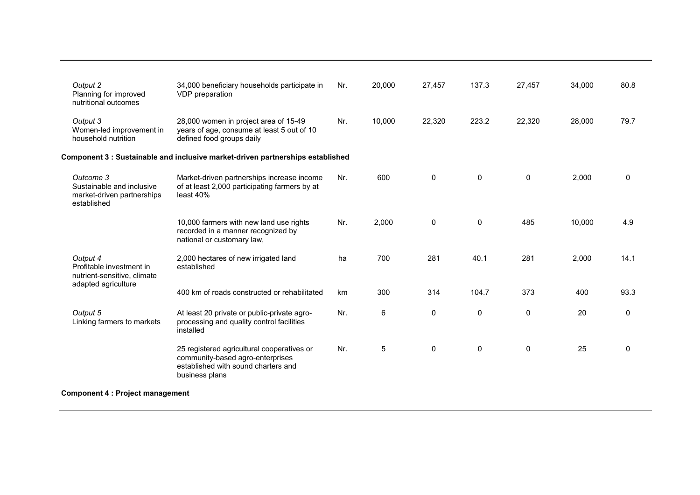| Output 2                                                                                   | 34,000 beneficiary households participate in                                                                                            | Nr. | 20,000 | 27,457       | 137.3       | 27,457      | 34,000 | 80.8        |
|--------------------------------------------------------------------------------------------|-----------------------------------------------------------------------------------------------------------------------------------------|-----|--------|--------------|-------------|-------------|--------|-------------|
| Planning for improved<br>nutritional outcomes                                              | VDP preparation                                                                                                                         |     |        |              |             |             |        |             |
| Output 3<br>Women-led improvement in<br>household nutrition                                | 28,000 women in project area of 15-49<br>years of age, consume at least 5 out of 10<br>defined food groups daily                        | Nr. | 10,000 | 22,320       | 223.2       | 22,320      | 28,000 | 79.7        |
|                                                                                            | Component 3 : Sustainable and inclusive market-driven partnerships established                                                          |     |        |              |             |             |        |             |
| Outcome 3<br>Sustainable and inclusive<br>market-driven partnerships<br>established        | Market-driven partnerships increase income<br>of at least 2,000 participating farmers by at<br>least 40%                                | Nr. | 600    | $\mathbf{0}$ | $\mathbf 0$ | 0           | 2,000  | 0           |
|                                                                                            | 10,000 farmers with new land use rights<br>recorded in a manner recognized by<br>national or customary law,                             | Nr. | 2,000  | $\mathbf 0$  | $\mathbf 0$ | 485         | 10,000 | 4.9         |
| Output 4<br>Profitable investment in<br>nutrient-sensitive, climate<br>adapted agriculture | 2,000 hectares of new irrigated land<br>established                                                                                     | ha  | 700    | 281          | 40.1        | 281         | 2,000  | 14.1        |
|                                                                                            | 400 km of roads constructed or rehabilitated                                                                                            | km  | 300    | 314          | 104.7       | 373         | 400    | 93.3        |
| Output 5<br>Linking farmers to markets                                                     | At least 20 private or public-private agro-<br>processing and quality control facilities<br>installed                                   | Nr. | 6      | $\mathbf 0$  | $\mathbf 0$ | $\mathbf 0$ | 20     | $\mathbf 0$ |
|                                                                                            | 25 registered agricultural cooperatives or<br>community-based agro-enterprises<br>established with sound charters and<br>business plans | Nr. | 5      | $\mathbf 0$  | 0           | $\mathbf 0$ | 25     | $\mathbf 0$ |
| <b>Component 4 : Project management</b>                                                    |                                                                                                                                         |     |        |              |             |             |        |             |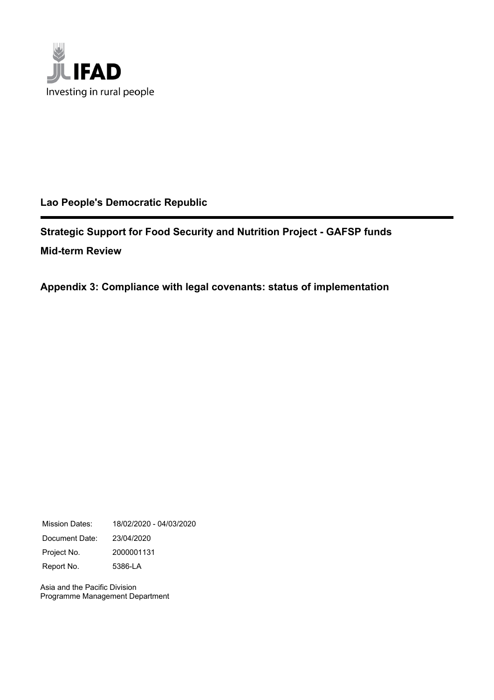

## **Lao People's Democratic Republic**

**Strategic Support for Food Security and Nutrition Project - GAFSP funds Mid-term Review**

**Appendix 3: Compliance with legal covenants: status of implementation**

Mission Dates: 18/02/2020 - 04/03/2020 Document Date: 23/04/2020 Project No. 2000001131 Report No. 5386-LA

Asia and the Pacific Division Programme Management Department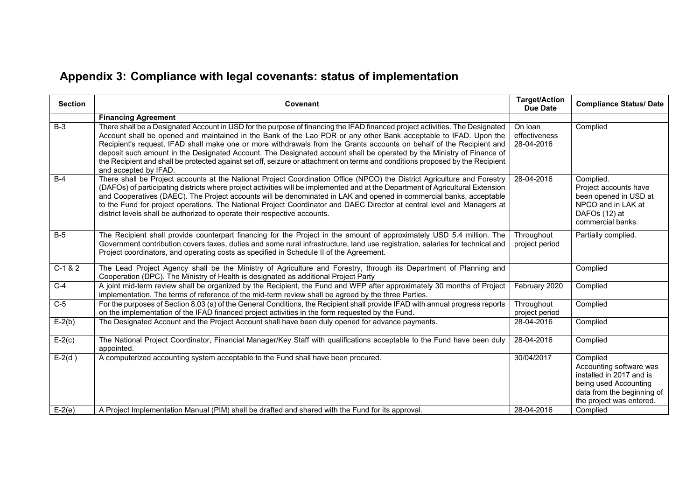# **Appendix 3: Compliance with legal covenants: status of implementation**

| $B-3$                | <b>Financing Agreement</b><br>There shall be a Designated Account in USD for the purpose of financing the IFAD financed project activities. The Designated<br>Account shall be opened and maintained in the Bank of the Lao PDR or any other Bank acceptable to IFAD. Upon the<br>Recipient's request, IFAD shall make one or more withdrawals from the Grants accounts on behalf of the Recipient and<br>deposit such amount in the Designated Account. The Designated account shall be operated by the Ministry of Finance of<br>the Recipient and shall be protected against set off, seizure or attachment on terms and conditions proposed by the Recipient | On loan<br>effectiveness<br>28-04-2016 | Complied                                                                                                                                                       |
|----------------------|------------------------------------------------------------------------------------------------------------------------------------------------------------------------------------------------------------------------------------------------------------------------------------------------------------------------------------------------------------------------------------------------------------------------------------------------------------------------------------------------------------------------------------------------------------------------------------------------------------------------------------------------------------------|----------------------------------------|----------------------------------------------------------------------------------------------------------------------------------------------------------------|
|                      |                                                                                                                                                                                                                                                                                                                                                                                                                                                                                                                                                                                                                                                                  |                                        |                                                                                                                                                                |
|                      | and accepted by IFAD.                                                                                                                                                                                                                                                                                                                                                                                                                                                                                                                                                                                                                                            |                                        |                                                                                                                                                                |
| $B-4$                | There shall be Project accounts at the National Project Coordination Office (NPCO) the District Agriculture and Forestry<br>(DAFOs) of participating districts where project activities will be implemented and at the Department of Agricultural Extension<br>and Cooperatives (DAEC). The Project accounts will be denominated in LAK and opened in commercial banks, acceptable<br>to the Fund for project operations. The National Project Coordinator and DAEC Director at central level and Managers at<br>district levels shall be authorized to operate their respective accounts.                                                                       | 28-04-2016                             | Complied.<br>Project accounts have<br>been opened in USD at<br>NPCO and in LAK at<br>DAFOs (12) at<br>commercial banks.                                        |
| $B-5$                | The Recipient shall provide counterpart financing for the Project in the amount of approximately USD 5.4 million. The<br>Government contribution covers taxes, duties and some rural infrastructure, land use registration, salaries for technical and<br>Project coordinators, and operating costs as specified in Schedule II of the Agreement.                                                                                                                                                                                                                                                                                                                | Throughout<br>project period           | Partially complied.                                                                                                                                            |
| $C-1 & 2$            | The Lead Project Agency shall be the Ministry of Agriculture and Forestry, through its Department of Planning and<br>Cooperation (DPC). The Ministry of Health is designated as additional Project Party                                                                                                                                                                                                                                                                                                                                                                                                                                                         |                                        | Complied                                                                                                                                                       |
| $C-4$                | A joint mid-term review shall be organized by the Recipient, the Fund and WFP after approximately 30 months of Project<br>implementation. The terms of reference of the mid-term review shall be agreed by the three Parties.                                                                                                                                                                                                                                                                                                                                                                                                                                    | February 2020                          | Complied                                                                                                                                                       |
| $C-5$                | For the purposes of Section 8.03 (a) of the General Conditions, the Recipient shall provide IFAD with annual progress reports<br>on the implementation of the IFAD financed project activities in the form requested by the Fund.                                                                                                                                                                                                                                                                                                                                                                                                                                | Throughout<br>project period           | Complied                                                                                                                                                       |
| $E-2(b)$             | The Designated Account and the Project Account shall have been duly opened for advance payments.                                                                                                                                                                                                                                                                                                                                                                                                                                                                                                                                                                 | 28-04-2016                             | Complied                                                                                                                                                       |
| $E-2(c)$             | The National Project Coordinator, Financial Manager/Key Staff with qualifications acceptable to the Fund have been duly<br>appointed.                                                                                                                                                                                                                                                                                                                                                                                                                                                                                                                            | 28-04-2016                             | Complied                                                                                                                                                       |
| $E-2(d)$<br>$E-2(e)$ | A computerized accounting system acceptable to the Fund shall have been procured.<br>A Project Implementation Manual (PIM) shall be drafted and shared with the Fund for its approval.                                                                                                                                                                                                                                                                                                                                                                                                                                                                           | 30/04/2017<br>28-04-2016               | Complied<br>Accounting software was<br>installed in 2017 and is<br>being used Accounting<br>data from the beginning of<br>the project was entered.<br>Complied |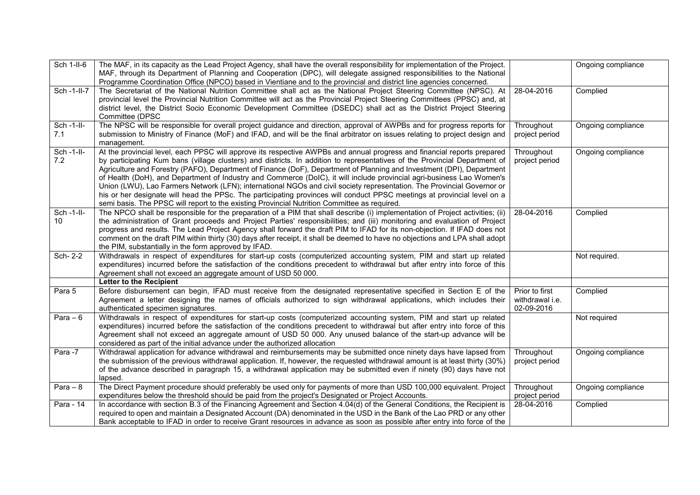| Sch 1-II-6       | The MAF, in its capacity as the Lead Project Agency, shall have the overall responsibility for implementation of the Project.<br>MAF, through its Department of Planning and Cooperation (DPC), will delegate assigned responsibilities to the National<br>Programme Coordination Office (NPCO) based in Vientiane and to the provincial and district line agencies concerned.                                                                                                                                                                                                                                                                                                                                                                                                                                                                                 |                                                 | Ongoing compliance |
|------------------|----------------------------------------------------------------------------------------------------------------------------------------------------------------------------------------------------------------------------------------------------------------------------------------------------------------------------------------------------------------------------------------------------------------------------------------------------------------------------------------------------------------------------------------------------------------------------------------------------------------------------------------------------------------------------------------------------------------------------------------------------------------------------------------------------------------------------------------------------------------|-------------------------------------------------|--------------------|
| Sch-1-II-7       | The Secretariat of the National Nutrition Committee shall act as the National Project Steering Committee (NPSC). At<br>provincial level the Provincial Nutrition Committee will act as the Provincial Project Steering Committees (PPSC) and, at<br>district level, the District Socio Economic Development Committee (DSEDC) shall act as the District Project Steering<br>Committee (DPSC                                                                                                                                                                                                                                                                                                                                                                                                                                                                    | 28-04-2016                                      | Complied           |
| Sch-1-II-<br>7.1 | The NPSC will be responsible for overall project guidance and direction, approval of AWPBs and for progress reports for<br>submission to Ministry of Finance (MoF) and IFAD, and will be the final arbitrator on issues relating to project design and<br>management.                                                                                                                                                                                                                                                                                                                                                                                                                                                                                                                                                                                          | Throughout<br>project period                    | Ongoing compliance |
| Sch-1-II-<br>7.2 | At the provincial level, each PPSC will approve its respective AWPBs and annual progress and financial reports prepared<br>by participating Kum bans (village clusters) and districts. In addition to representatives of the Provincial Department of<br>Agriculture and Forestry (PAFO), Department of Finance (DoF), Department of Planning and Investment (DPI), Department<br>of Health (DoH), and Department of Industry and Commerce (DoIC), it will include provincial agri-business Lao Women's<br>Union (LWU), Lao Farmers Network (LFN); international NGOs and civil society representation. The Provincial Governor or<br>his or her designate will head the PPSc. The participating provinces will conduct PPSC meetings at provincial level on a<br>semi basis. The PPSC will report to the existing Provincial Nutrition Committee as required. | Throughout<br>project period                    | Ongoing compliance |
| Sch-1-II-<br>10  | The NPCO shall be responsible for the preparation of a PIM that shall describe (i) implementation of Project activities; (ii)<br>the administration of Grant proceeds and Project Parties' responsibilities; and (iii) monitoring and evaluation of Project<br>progress and results. The Lead Project Agency shall forward the draft PIM to IFAD for its non-objection. If IFAD does not<br>comment on the draft PIM within thirty (30) days after receipt, it shall be deemed to have no objections and LPA shall adopt<br>the PIM, substantially in the form approved by IFAD.                                                                                                                                                                                                                                                                               | 28-04-2016                                      | Complied           |
| Sch- 2-2         | Withdrawals in respect of expenditures for start-up costs (computerized accounting system, PIM and start up related<br>expenditures) incurred before the satisfaction of the conditions precedent to withdrawal but after entry into force of this<br>Agreement shall not exceed an aggregate amount of USD 50 000.                                                                                                                                                                                                                                                                                                                                                                                                                                                                                                                                            |                                                 | Not required.      |
|                  | Letter to the Recipient                                                                                                                                                                                                                                                                                                                                                                                                                                                                                                                                                                                                                                                                                                                                                                                                                                        |                                                 |                    |
| Para 5           | Before disbursement can begin, IFAD must receive from the designated representative specified in Section E of the<br>Agreement a letter designing the names of officials authorized to sign withdrawal applications, which includes their<br>authenticated specimen signatures.                                                                                                                                                                                                                                                                                                                                                                                                                                                                                                                                                                                | Prior to first<br>withdrawal i.e.<br>02-09-2016 | Complied           |
| Para $-6$        | Withdrawals in respect of expenditures for start-up costs (computerized accounting system, PIM and start up related<br>expenditures) incurred before the satisfaction of the conditions precedent to withdrawal but after entry into force of this<br>Agreement shall not exceed an aggregate amount of USD 50 000. Any unused balance of the start-up advance will be<br>considered as part of the initial advance under the authorized allocation                                                                                                                                                                                                                                                                                                                                                                                                            |                                                 | Not required       |
| Para -7          | Withdrawal application for advance withdrawal and reimbursements may be submitted once ninety days have lapsed from<br>the submission of the previous withdrawal application. If, however, the requested withdrawal amount is at least thirty (30%)<br>of the advance described in paragraph 15, a withdrawal application may be submitted even if ninety (90) days have not<br>lapsed.                                                                                                                                                                                                                                                                                                                                                                                                                                                                        | Throughout<br>project period                    | Ongoing compliance |
| Para $-8$        | The Direct Payment procedure should preferably be used only for payments of more than USD 100,000 equivalent. Project<br>expenditures below the threshold should be paid from the project's Designated or Project Accounts.                                                                                                                                                                                                                                                                                                                                                                                                                                                                                                                                                                                                                                    | Throughout<br>project period                    | Ongoing compliance |
| Para - 14        | In accordance with section B.3 of the Financing Agreement and Section 4.04(d) of the General Conditions, the Recipient is<br>required to open and maintain a Designated Account (DA) denominated in the USD in the Bank of the Lao PRD or any other<br>Bank acceptable to IFAD in order to receive Grant resources in advance as soon as possible after entry into force of the                                                                                                                                                                                                                                                                                                                                                                                                                                                                                | 28-04-2016                                      | Complied           |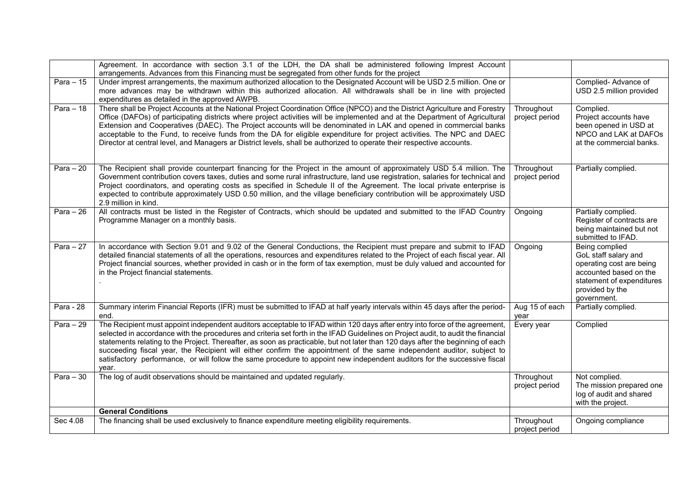|                         | Agreement. In accordance with section 3.1 of the LDH, the DA shall be administered following Imprest Account<br>arrangements. Advances from this Financing must be segregated from other funds for the project                                                                                                                                                                                                                                                                                                                                                                                                                                                     |                              |                                                                                                                                                             |
|-------------------------|--------------------------------------------------------------------------------------------------------------------------------------------------------------------------------------------------------------------------------------------------------------------------------------------------------------------------------------------------------------------------------------------------------------------------------------------------------------------------------------------------------------------------------------------------------------------------------------------------------------------------------------------------------------------|------------------------------|-------------------------------------------------------------------------------------------------------------------------------------------------------------|
| $\overline{P}$ ara - 15 | Under imprest arrangements, the maximum authorized allocation to the Designated Account will be USD 2.5 million. One or<br>more advances may be withdrawn within this authorized allocation. All withdrawals shall be in line with projected<br>expenditures as detailed in the approved AWPB.                                                                                                                                                                                                                                                                                                                                                                     |                              | Complied-Advance of<br>USD 2.5 million provided                                                                                                             |
| Para $-18$              | There shall be Project Accounts at the National Project Coordination Office (NPCO) and the District Agriculture and Forestry<br>Office (DAFOs) of participating districts where project activities will be implemented and at the Department of Agricultural<br>Extension and Cooperatives (DAEC). The Project accounts will be denominated in LAK and opened in commercial banks<br>acceptable to the Fund, to receive funds from the DA for eligible expenditure for project activities. The NPC and DAEC<br>Director at central level, and Managers ar District levels, shall be authorized to operate their respective accounts.                               | Throughout<br>project period | Complied.<br>Project accounts have<br>been opened in USD at<br>NPCO and LAK at DAFOs<br>at the commercial banks.                                            |
| Para $-20$              | The Recipient shall provide counterpart financing for the Project in the amount of approximately USD 5.4 million. The<br>Government contribution covers taxes, duties and some rural infrastructure, land use registration, salaries for technical and<br>Project coordinators, and operating costs as specified in Schedule II of the Agreement. The local private enterprise is<br>expected to contribute approximately USD 0.50 million, and the village beneficiary contribution will be approximately USD<br>2.9 million in kind.                                                                                                                             | Throughout<br>project period | Partially complied.                                                                                                                                         |
| Para $-26$              | All contracts must be listed in the Register of Contracts, which should be updated and submitted to the IFAD Country<br>Programme Manager on a monthly basis.                                                                                                                                                                                                                                                                                                                                                                                                                                                                                                      | Ongoing                      | Partially complied.<br>Register of contracts are<br>being maintained but not<br>submitted to IFAD.                                                          |
| Para $-27$              | In accordance with Section 9.01 and 9.02 of the General Conductions, the Recipient must prepare and submit to IFAD<br>detailed financial statements of all the operations, resources and expenditures related to the Project of each fiscal year. All<br>Project financial sources, whether provided in cash or in the form of tax exemption, must be duly valued and accounted for<br>in the Project financial statements.                                                                                                                                                                                                                                        | Ongoing                      | Being complied<br>GoL staff salary and<br>operating cost are being<br>accounted based on the<br>statement of expenditures<br>provided by the<br>government. |
| <b>Para - 28</b>        | Summary interim Financial Reports (IFR) must be submitted to IFAD at half yearly intervals within 45 days after the period-<br>end.                                                                                                                                                                                                                                                                                                                                                                                                                                                                                                                                | Aug 15 of each<br>vear       | Partially complied.                                                                                                                                         |
| Para $-29$              | The Recipient must appoint independent auditors acceptable to IFAD within 120 days after entry into force of the agreement,<br>selected in accordance with the procedures and criteria set forth in the IFAD Guidelines on Project audit, to audit the financial<br>statements relating to the Project. Thereafter, as soon as practicable, but not later than 120 days after the beginning of each<br>succeeding fiscal year, the Recipient will either confirm the appointment of the same independent auditor, subject to<br>satisfactory performance, or will follow the same procedure to appoint new independent auditors for the successive fiscal<br>year. | Every year                   | Complied                                                                                                                                                    |
| Para $-30$              | The log of audit observations should be maintained and updated regularly.                                                                                                                                                                                                                                                                                                                                                                                                                                                                                                                                                                                          | Throughout<br>project period | Not complied.<br>The mission prepared one<br>log of audit and shared<br>with the project.                                                                   |
|                         | <b>General Conditions</b>                                                                                                                                                                                                                                                                                                                                                                                                                                                                                                                                                                                                                                          |                              |                                                                                                                                                             |
| Sec 4.08                | The financing shall be used exclusively to finance expenditure meeting eligibility requirements.                                                                                                                                                                                                                                                                                                                                                                                                                                                                                                                                                                   | Throughout<br>project period | Ongoing compliance                                                                                                                                          |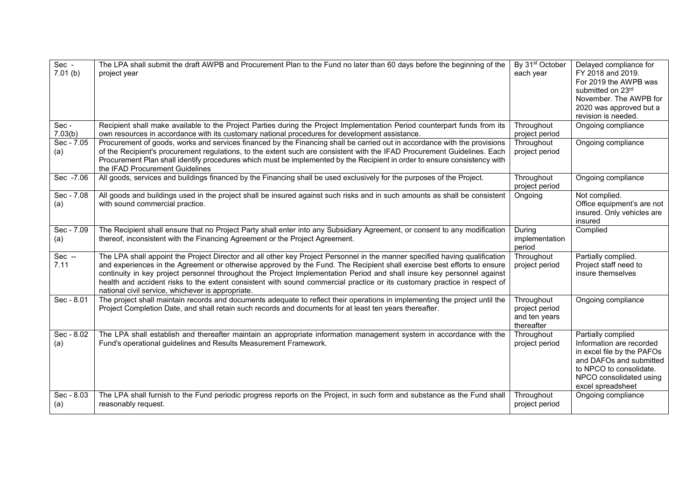| Sec -<br>7.01(b)  | The LPA shall submit the draft AWPB and Procurement Plan to the Fund no later than 60 days before the beginning of the<br>project year                                                                                                                                                                                                                                                                                                                                                                                                                              | By 31 <sup>st</sup> October<br>each year                    | Delayed compliance for<br>FY 2018 and 2019.<br>For 2019 the AWPB was<br>submitted on 23rd<br>November. The AWPB for<br>2020 was approved but a<br>revision is needed.              |
|-------------------|---------------------------------------------------------------------------------------------------------------------------------------------------------------------------------------------------------------------------------------------------------------------------------------------------------------------------------------------------------------------------------------------------------------------------------------------------------------------------------------------------------------------------------------------------------------------|-------------------------------------------------------------|------------------------------------------------------------------------------------------------------------------------------------------------------------------------------------|
| Sec-<br>7.03(b)   | Recipient shall make available to the Project Parties during the Project Implementation Period counterpart funds from its<br>own resources in accordance with its customary national procedures for development assistance.                                                                                                                                                                                                                                                                                                                                         | Throughout<br>project period                                | Ongoing compliance                                                                                                                                                                 |
| Sec - 7.05<br>(a) | Procurement of goods, works and services financed by the Financing shall be carried out in accordance with the provisions<br>of the Recipient's procurement regulations, to the extent such are consistent with the IFAD Procurement Guidelines. Each<br>Procurement Plan shall identify procedures which must be implemented by the Recipient in order to ensure consistency with<br>the IFAD Procurement Guidelines                                                                                                                                               | Throughout<br>project period                                | Ongoing compliance                                                                                                                                                                 |
| Sec -7.06         | All goods, services and buildings financed by the Financing shall be used exclusively for the purposes of the Project.                                                                                                                                                                                                                                                                                                                                                                                                                                              | Throughout<br>project period                                | Ongoing compliance                                                                                                                                                                 |
| Sec - 7.08<br>(a) | All goods and buildings used in the project shall be insured against such risks and in such amounts as shall be consistent<br>with sound commercial practice.                                                                                                                                                                                                                                                                                                                                                                                                       | Ongoing                                                     | Not complied.<br>Office equipment's are not<br>insured. Only vehicles are<br>insured                                                                                               |
| Sec - 7.09<br>(a) | The Recipient shall ensure that no Project Party shall enter into any Subsidiary Agreement, or consent to any modification<br>thereof, inconsistent with the Financing Agreement or the Project Agreement.                                                                                                                                                                                                                                                                                                                                                          | During<br>implementation<br>period                          | Complied                                                                                                                                                                           |
| $Sec -$<br>7.11   | The LPA shall appoint the Project Director and all other key Project Personnel in the manner specified having qualification<br>and experiences in the Agreement or otherwise approved by the Fund. The Recipient shall exercise best efforts to ensure<br>continuity in key project personnel throughout the Project Implementation Period and shall insure key personnel against<br>health and accident risks to the extent consistent with sound commercial practice or its customary practice in respect of<br>national civil service, whichever is appropriate. | Throughout<br>project period                                | Partially complied.<br>Project staff need to<br>insure themselves                                                                                                                  |
| Sec - 8.01        | The project shall maintain records and documents adequate to reflect their operations in implementing the project until the<br>Project Completion Date, and shall retain such records and documents for at least ten years thereafter.                                                                                                                                                                                                                                                                                                                              | Throughout<br>project period<br>and ten years<br>thereafter | Ongoing compliance                                                                                                                                                                 |
| Sec - 8.02<br>(a) | The LPA shall establish and thereafter maintain an appropriate information management system in accordance with the<br>Fund's operational guidelines and Results Measurement Framework.                                                                                                                                                                                                                                                                                                                                                                             | Throughout<br>project period                                | Partially complied<br>Information are recorded<br>in excel file by the PAFOs<br>and DAFOs and submitted<br>to NPCO to consolidate.<br>NPCO consolidated using<br>excel spreadsheet |
| Sec - 8.03<br>(a) | The LPA shall furnish to the Fund periodic progress reports on the Project, in such form and substance as the Fund shall<br>reasonably request.                                                                                                                                                                                                                                                                                                                                                                                                                     | Throughout<br>project period                                | Ongoing compliance                                                                                                                                                                 |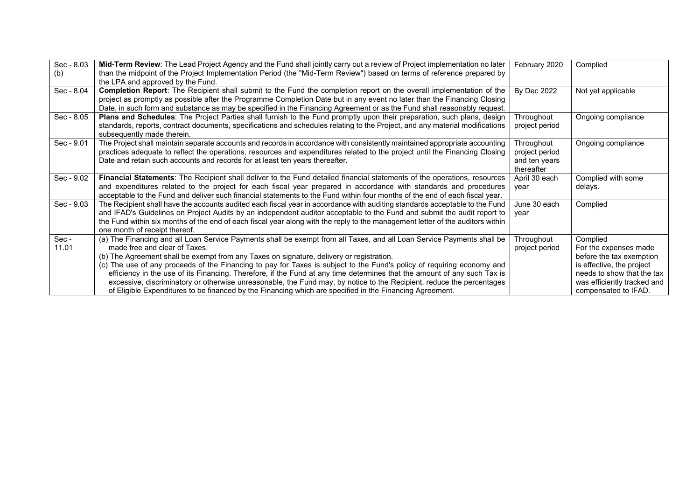| Sec - 8.03 | Mid-Term Review: The Lead Project Agency and the Fund shall jointly carry out a review of Project implementation no later      | February 2020      | Complied                    |
|------------|--------------------------------------------------------------------------------------------------------------------------------|--------------------|-----------------------------|
| (b)        | than the midpoint of the Project Implementation Period (the "Mid-Term Review") based on terms of reference prepared by         |                    |                             |
|            | the LPA and approved by the Fund.                                                                                              |                    |                             |
| Sec - 8.04 | Completion Report: The Recipient shall submit to the Fund the completion report on the overall implementation of the           | <b>By Dec 2022</b> | Not yet applicable          |
|            | project as promptly as possible after the Programme Completion Date but in any event no later than the Financing Closing       |                    |                             |
|            | Date, in such form and substance as may be specified in the Financing Agreement or as the Fund shall reasonably request.       |                    |                             |
| Sec - 8.05 | Plans and Schedules: The Project Parties shall furnish to the Fund promptly upon their preparation, such plans, design         | Throughout         | Ongoing compliance          |
|            | standards, reports, contract documents, specifications and schedules relating to the Project, and any material modifications   | project period     |                             |
|            | subsequently made therein.                                                                                                     |                    |                             |
| Sec - 9.01 | The Project shall maintain separate accounts and records in accordance with consistently maintained appropriate accounting     | Throughout         | Ongoing compliance          |
|            | practices adequate to reflect the operations, resources and expenditures related to the project until the Financing Closing    | project period     |                             |
|            | Date and retain such accounts and records for at least ten years thereafter.                                                   | and ten years      |                             |
|            |                                                                                                                                | thereafter         |                             |
| Sec - 9.02 | Financial Statements: The Recipient shall deliver to the Fund detailed financial statements of the operations, resources       | April 30 each      | Complied with some          |
|            | and expenditures related to the project for each fiscal year prepared in accordance with standards and procedures              | vear               | delays.                     |
|            | acceptable to the Fund and deliver such financial statements to the Fund within four months of the end of each fiscal year.    |                    |                             |
| Sec - 9.03 | The Recipient shall have the accounts audited each fiscal year in accordance with auditing standards acceptable to the Fund    | June 30 each       | Complied                    |
|            | and IFAD's Guidelines on Project Audits by an independent auditor acceptable to the Fund and submit the audit report to        | vear               |                             |
|            | the Fund within six months of the end of each fiscal year along with the reply to the management letter of the auditors within |                    |                             |
|            | one month of receipt thereof.                                                                                                  |                    |                             |
| Sec-       | (a) The Financing and all Loan Service Payments shall be exempt from all Taxes, and all Loan Service Payments shall be         | Throughout         | Complied                    |
| 11.01      | made free and clear of Taxes.                                                                                                  | project period     | For the expenses made       |
|            | (b) The Agreement shall be exempt from any Taxes on signature, delivery or registration.                                       |                    | before the tax exemption    |
|            | (c) The use of any proceeds of the Financing to pay for Taxes is subject to the Fund's policy of requiring economy and         |                    | is effective, the project   |
|            | efficiency in the use of its Financing. Therefore, if the Fund at any time determines that the amount of any such Tax is       |                    | needs to show that the tax  |
|            | excessive, discriminatory or otherwise unreasonable, the Fund may, by notice to the Recipient, reduce the percentages          |                    | was efficiently tracked and |
|            | of Eligible Expenditures to be financed by the Financing which are specified in the Financing Agreement.                       |                    | compensated to IFAD.        |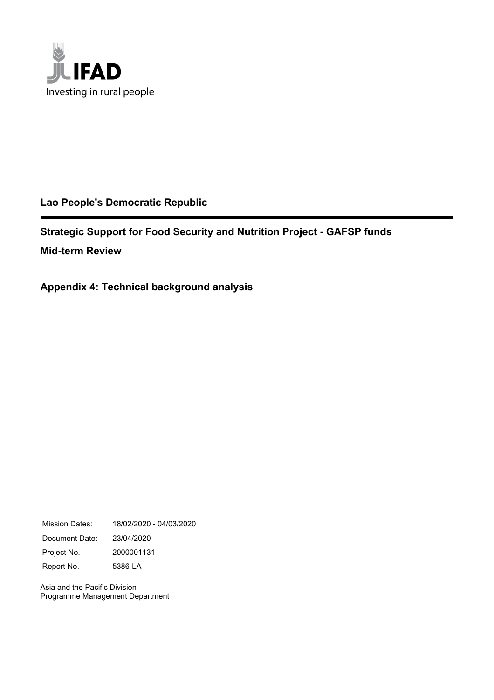

## **Lao People's Democratic Republic**

**Strategic Support for Food Security and Nutrition Project - GAFSP funds Mid-term Review**

**Appendix 4: Technical background analysis**

Mission Dates: 18/02/2020 - 04/03/2020 Document Date: 23/04/2020 Project No. 2000001131 Report No. 5386-LA

Asia and the Pacific Division Programme Management Department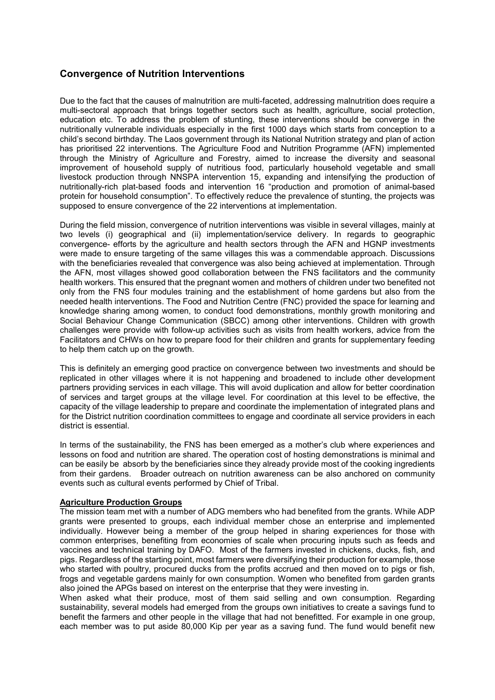## Convergence of Nutrition Interventions

Due to the fact that the causes of malnutrition are multi-faceted, addressing malnutrition does require a multi-sectoral approach that brings together sectors such as health, agriculture, social protection, education etc. To address the problem of stunting, these interventions should be converge in the nutritionally vulnerable individuals especially in the first 1000 days which starts from conception to a child's second birthday. The Laos government through its National Nutrition strategy and plan of action has prioritised 22 interventions. The Agriculture Food and Nutrition Programme (AFN) implemented through the Ministry of Agriculture and Forestry, aimed to increase the diversity and seasonal improvement of household supply of nutritious food, particularly household vegetable and small livestock production through NNSPA intervention 15, expanding and intensifying the production of nutritionally-rich plat-based foods and intervention 16 "production and promotion of animal-based protein for household consumption". To effectively reduce the prevalence of stunting, the projects was supposed to ensure convergence of the 22 interventions at implementation.

During the field mission, convergence of nutrition interventions was visible in several villages, mainly at two levels (i) geographical and (ii) implementation/service delivery. In regards to geographic convergence- efforts by the agriculture and health sectors through the AFN and HGNP investments were made to ensure targeting of the same villages this was a commendable approach. Discussions with the beneficiaries revealed that convergence was also being achieved at implementation. Through the AFN, most villages showed good collaboration between the FNS facilitators and the community health workers. This ensured that the pregnant women and mothers of children under two benefited not only from the FNS four modules training and the establishment of home gardens but also from the needed health interventions. The Food and Nutrition Centre (FNC) provided the space for learning and knowledge sharing among women, to conduct food demonstrations, monthly growth monitoring and Social Behaviour Change Communication (SBCC) among other interventions. Children with growth challenges were provide with follow-up activities such as visits from health workers, advice from the Facilitators and CHWs on how to prepare food for their children and grants for supplementary feeding to help them catch up on the growth.

This is definitely an emerging good practice on convergence between two investments and should be replicated in other villages where it is not happening and broadened to include other development partners providing services in each village. This will avoid duplication and allow for better coordination of services and target groups at the village level. For coordination at this level to be effective, the capacity of the village leadership to prepare and coordinate the implementation of integrated plans and for the District nutrition coordination committees to engage and coordinate all service providers in each district is essential.

In terms of the sustainability, the FNS has been emerged as a mother's club where experiences and lessons on food and nutrition are shared. The operation cost of hosting demonstrations is minimal and can be easily be absorb by the beneficiaries since they already provide most of the cooking ingredients from their gardens. Broader outreach on nutrition awareness can be also anchored on community events such as cultural events performed by Chief of Tribal.

### Agriculture Production Groups

The mission team met with a number of ADG members who had benefited from the grants. While ADP grants were presented to groups, each individual member chose an enterprise and implemented individually. However being a member of the group helped in sharing experiences for those with common enterprises, benefiting from economies of scale when procuring inputs such as feeds and vaccines and technical training by DAFO. Most of the farmers invested in chickens, ducks, fish, and pigs. Regardless of the starting point, most farmers were diversifying their production for example, those who started with poultry, procured ducks from the profits accrued and then moved on to pigs or fish, frogs and vegetable gardens mainly for own consumption. Women who benefited from garden grants also joined the APGs based on interest on the enterprise that they were investing in.

When asked what their produce, most of them said selling and own consumption. Regarding sustainability, several models had emerged from the groups own initiatives to create a savings fund to benefit the farmers and other people in the village that had not benefitted. For example in one group, each member was to put aside 80,000 Kip per year as a saving fund. The fund would benefit new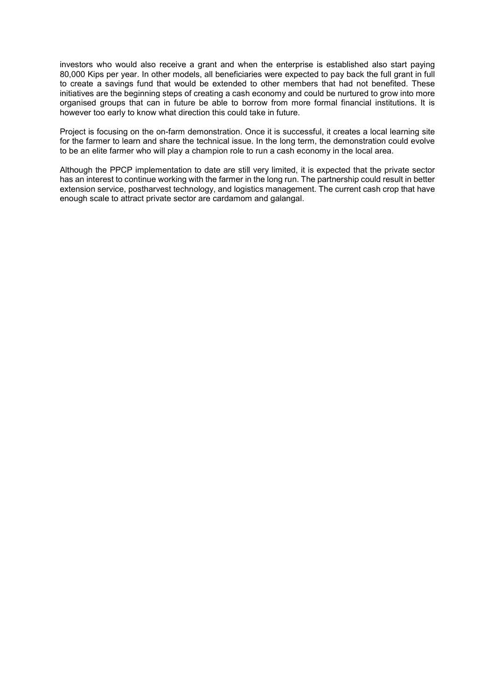investors who would also receive a grant and when the enterprise is established also start paying 80,000 Kips per year. In other models, all beneficiaries were expected to pay back the full grant in full to create a savings fund that would be extended to other members that had not benefited. These initiatives are the beginning steps of creating a cash economy and could be nurtured to grow into more organised groups that can in future be able to borrow from more formal financial institutions. It is however too early to know what direction this could take in future.

Project is focusing on the on-farm demonstration. Once it is successful, it creates a local learning site for the farmer to learn and share the technical issue. In the long term, the demonstration could evolve to be an elite farmer who will play a champion role to run a cash economy in the local area.

Although the PPCP implementation to date are still very limited, it is expected that the private sector has an interest to continue working with the farmer in the long run. The partnership could result in better extension service, postharvest technology, and logistics management. The current cash crop that have enough scale to attract private sector are cardamom and galangal.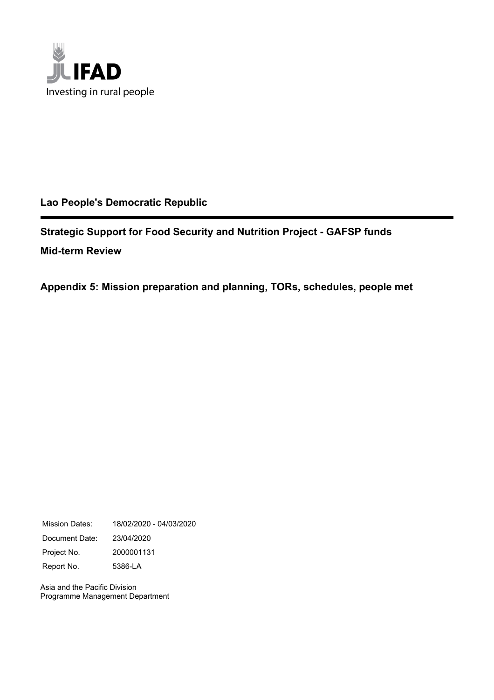

## **Lao People's Democratic Republic**

**Strategic Support for Food Security and Nutrition Project - GAFSP funds Mid-term Review**

**Appendix 5: Mission preparation and planning, TORs, schedules, people met**

Mission Dates: 18/02/2020 - 04/03/2020 Document Date: 23/04/2020 Project No. 2000001131 Report No. 5386-LA

Asia and the Pacific Division Programme Management Department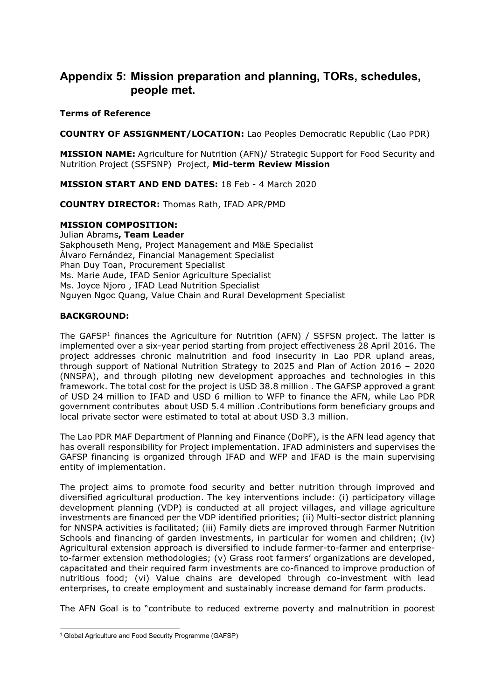## **Appendix 5: Mission preparation and planning, TORs, schedules, people met.**

### **Terms of Reference**

**COUNTRY OF ASSIGNMENT/LOCATION:** Lao Peoples Democratic Republic (Lao PDR)

**MISSION NAME:** Agriculture for Nutrition (AFN)/ Strategic Support for Food Security and Nutrition Project (SSFSNP) Project, **Mid-term Review Mission**

**MISSION START AND END DATES:** 18 Feb - 4 March 2020

**COUNTRY DIRECTOR:** Thomas Rath, IFAD APR/PMD

### **MISSION COMPOSITION:**

Julian Abrams**, Team Leader** Sakphouseth Meng, Project Management and M&E Specialist Álvaro Fernández, Financial Management Specialist Phan Duy Toan, Procurement Specialist Ms. Marie Aude, IFAD Senior Agriculture Specialist Ms. Joyce Njoro , IFAD Lead Nutrition Specialist Nguyen Ngoc Quang, Value Chain and Rural Development Specialist

## **BACKGROUND:**

The GAFSP<sup>1</sup> finances the Agriculture for Nutrition (AFN) / SSFSN project. The latter is implemented over a six-year period starting from project effectiveness 28 April 2016. The project addresses chronic malnutrition and food insecurity in Lao PDR upland areas, through support of National Nutrition Strategy to 2025 and Plan of Action 2016 – 2020 (NNSPA), and through piloting new development approaches and technologies in this framework. The total cost for the project is USD 38.8 million . The GAFSP approved a grant of USD 24 million to IFAD and USD 6 million to WFP to finance the AFN, while Lao PDR government contributes about USD 5.4 million .Contributions form beneficiary groups and local private sector were estimated to total at about USD 3.3 million.

The Lao PDR MAF Department of Planning and Finance (DoPF), is the AFN lead agency that has overall responsibility for Project implementation. IFAD administers and supervises the GAFSP financing is organized through IFAD and WFP and IFAD is the main supervising entity of implementation.

The project aims to promote food security and better nutrition through improved and diversified agricultural production. The key interventions include: (i) participatory village development planning (VDP) is conducted at all project villages, and village agriculture investments are financed per the VDP identified priorities; (ii) Multi-sector district planning for NNSPA activities is facilitated; (iii) Family diets are improved through Farmer Nutrition Schools and financing of garden investments, in particular for women and children; (iv) Agricultural extension approach is diversified to include farmer-to-farmer and enterpriseto-farmer extension methodologies; (v) Grass root farmers' organizations are developed, capacitated and their required farm investments are co-financed to improve production of nutritious food; (vi) Value chains are developed through co-investment with lead enterprises, to create employment and sustainably increase demand for farm products.

The AFN Goal is to "contribute to reduced extreme poverty and malnutrition in poorest

 1 Global Agriculture and Food Security Programme (GAFSP)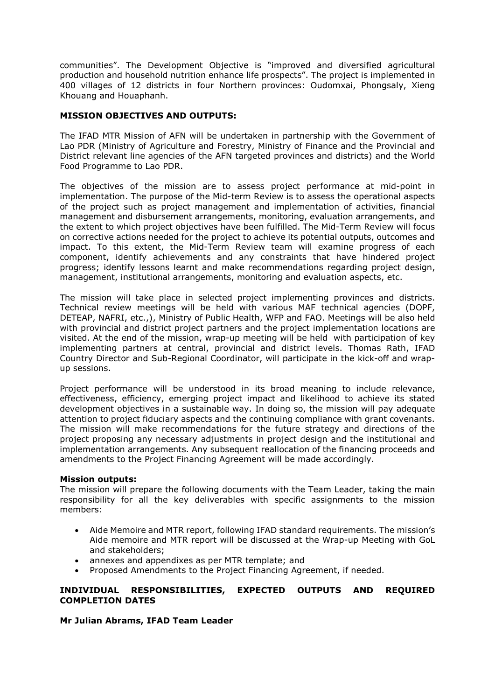communities". The Development Objective is "improved and diversified agricultural production and household nutrition enhance life prospects". The project is implemented in 400 villages of 12 districts in four Northern provinces: Oudomxai, Phongsaly, Xieng Khouang and Houaphanh.

## **MISSION OBJECTIVES AND OUTPUTS:**

The IFAD MTR Mission of AFN will be undertaken in partnership with the Government of Lao PDR (Ministry of Agriculture and Forestry, Ministry of Finance and the Provincial and District relevant line agencies of the AFN targeted provinces and districts) and the World Food Programme to Lao PDR.

The objectives of the mission are to assess project performance at mid-point in implementation. The purpose of the Mid-term Review is to assess the operational aspects of the project such as project management and implementation of activities, financial management and disbursement arrangements, monitoring, evaluation arrangements, and the extent to which project objectives have been fulfilled. The Mid-Term Review will focus on corrective actions needed for the project to achieve its potential outputs, outcomes and impact. To this extent, the Mid-Term Review team will examine progress of each component, identify achievements and any constraints that have hindered project progress; identify lessons learnt and make recommendations regarding project design, management, institutional arrangements, monitoring and evaluation aspects, etc.

The mission will take place in selected project implementing provinces and districts. Technical review meetings will be held with various MAF technical agencies (DOPF, DETEAP, NAFRI, etc.,), Ministry of Public Health, WFP and FAO. Meetings will be also held with provincial and district project partners and the project implementation locations are visited. At the end of the mission, wrap-up meeting will be held with participation of key implementing partners at central, provincial and district levels. Thomas Rath, IFAD Country Director and Sub-Regional Coordinator, will participate in the kick-off and wrapup sessions.

Project performance will be understood in its broad meaning to include relevance, effectiveness, efficiency, emerging project impact and likelihood to achieve its stated development objectives in a sustainable way. In doing so, the mission will pay adequate attention to project fiduciary aspects and the continuing compliance with grant covenants. The mission will make recommendations for the future strategy and directions of the project proposing any necessary adjustments in project design and the institutional and implementation arrangements. Any subsequent reallocation of the financing proceeds and amendments to the Project Financing Agreement will be made accordingly.

### **Mission outputs:**

The mission will prepare the following documents with the Team Leader, taking the main responsibility for all the key deliverables with specific assignments to the mission members:

- Aide Memoire and MTR report, following IFAD standard requirements. The mission's Aide memoire and MTR report will be discussed at the Wrap-up Meeting with GoL and stakeholders;
- annexes and appendixes as per MTR template; and
- Proposed Amendments to the Project Financing Agreement, if needed.

### **INDIVIDUAL RESPONSIBILITIES, EXPECTED OUTPUTS AND REQUIRED COMPLETION DATES**

### **Mr Julian Abrams, IFAD Team Leader**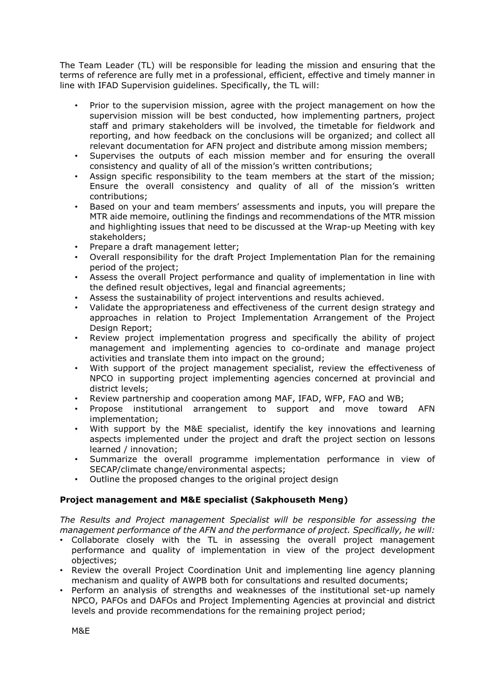The Team Leader (TL) will be responsible for leading the mission and ensuring that the terms of reference are fully met in a professional, efficient, effective and timely manner in line with IFAD Supervision guidelines. Specifically, the TL will:

- Prior to the supervision mission, agree with the project management on how the supervision mission will be best conducted, how implementing partners, project staff and primary stakeholders will be involved, the timetable for fieldwork and reporting, and how feedback on the conclusions will be organized; and collect all relevant documentation for AFN project and distribute among mission members;
- Supervises the outputs of each mission member and for ensuring the overall consistency and quality of all of the mission's written contributions;
- Assign specific responsibility to the team members at the start of the mission; Ensure the overall consistency and quality of all of the mission's written contributions;
- Based on your and team members' assessments and inputs, you will prepare the MTR aide memoire, outlining the findings and recommendations of the MTR mission and highlighting issues that need to be discussed at the Wrap-up Meeting with key stakeholders;
- Prepare a draft management letter;
- Overall responsibility for the draft Project Implementation Plan for the remaining period of the project;
- Assess the overall Project performance and quality of implementation in line with the defined result objectives, legal and financial agreements;
- Assess the sustainability of project interventions and results achieved.
- Validate the appropriateness and effectiveness of the current design strategy and approaches in relation to Project Implementation Arrangement of the Project Design Report;
- Review project implementation progress and specifically the ability of project management and implementing agencies to co-ordinate and manage project activities and translate them into impact on the ground;
- With support of the project management specialist, review the effectiveness of NPCO in supporting project implementing agencies concerned at provincial and district levels;
- Review partnership and cooperation among MAF, IFAD, WFP, FAO and WB;
- Propose institutional arrangement to support and move toward AFN implementation;
- With support by the M&E specialist, identify the key innovations and learning aspects implemented under the project and draft the project section on lessons learned / innovation;
- Summarize the overall programme implementation performance in view of SECAP/climate change/environmental aspects;
- Outline the proposed changes to the original project design

## **Project management and M&E specialist (Sakphouseth Meng)**

*The Results and Project management Specialist will be responsible for assessing the management performance of the AFN and the performance of project. Specifically, he will:* 

- Collaborate closely with the TL in assessing the overall project management performance and quality of implementation in view of the project development objectives;
- Review the overall Project Coordination Unit and implementing line agency planning mechanism and quality of AWPB both for consultations and resulted documents;
- Perform an analysis of strengths and weaknesses of the institutional set-up namely NPCO, PAFOs and DAFOs and Project Implementing Agencies at provincial and district levels and provide recommendations for the remaining project period;

M&E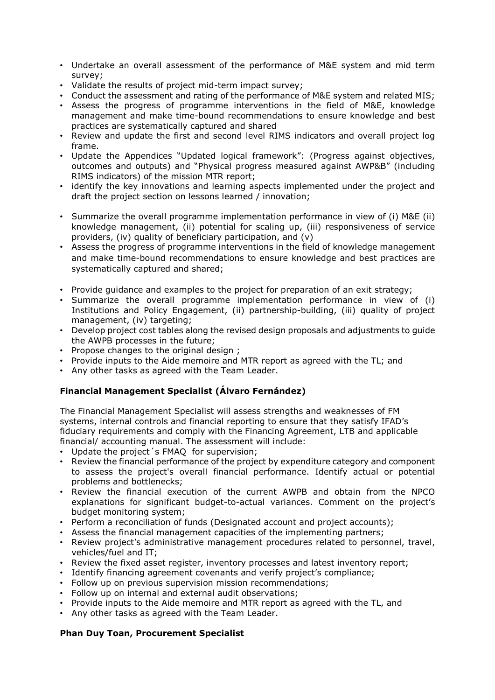- Undertake an overall assessment of the performance of M&E system and mid term survey;
- Validate the results of project mid-term impact survey;
- Conduct the assessment and rating of the performance of M&E system and related MIS;
- Assess the progress of programme interventions in the field of M&E, knowledge management and make time-bound recommendations to ensure knowledge and best practices are systematically captured and shared
- Review and update the first and second level RIMS indicators and overall project log frame.
- Update the Appendices "Updated logical framework": (Progress against objectives, outcomes and outputs) and "Physical progress measured against AWP&B" (including RIMS indicators) of the mission MTR report;
- identify the key innovations and learning aspects implemented under the project and draft the project section on lessons learned / innovation;
- Summarize the overall programme implementation performance in view of (i) M&E (ii) knowledge management, (ii) potential for scaling up, (iii) responsiveness of service providers, (iv) quality of beneficiary participation, and (v)
- Assess the progress of programme interventions in the field of knowledge management and make time-bound recommendations to ensure knowledge and best practices are systematically captured and shared;
- Provide guidance and examples to the project for preparation of an exit strategy;
- Summarize the overall programme implementation performance in view of (i) Institutions and Policy Engagement, (ii) partnership-building, (iii) quality of project management, (iv) targeting;
- Develop project cost tables along the revised design proposals and adjustments to guide the AWPB processes in the future;
- Propose changes to the original design ;
- Provide inputs to the Aide memoire and MTR report as agreed with the TL; and
- Any other tasks as agreed with the Team Leader.

## **Financial Management Specialist (Álvaro Fernández)**

The Financial Management Specialist will assess strengths and weaknesses of FM systems, internal controls and financial reporting to ensure that they satisfy IFAD's fiduciary requirements and comply with the Financing Agreement, LTB and applicable financial/ accounting manual. The assessment will include:

- Update the project´s FMAQ for supervision;
- Review the financial performance of the project by expenditure category and component to assess the project's overall financial performance. Identify actual or potential problems and bottlenecks;
- Review the financial execution of the current AWPB and obtain from the NPCO explanations for significant budget-to-actual variances. Comment on the project's budget monitoring system;
- Perform a reconciliation of funds (Designated account and project accounts);
- Assess the financial management capacities of the implementing partners;
- Review project's administrative management procedures related to personnel, travel, vehicles/fuel and IT;
- Review the fixed asset register, inventory processes and latest inventory report;
- Identify financing agreement covenants and verify project's compliance;
- Follow up on previous supervision mission recommendations;
- Follow up on internal and external audit observations;
- Provide inputs to the Aide memoire and MTR report as agreed with the TL, and
- Any other tasks as agreed with the Team Leader.

## **Phan Duy Toan, Procurement Specialist**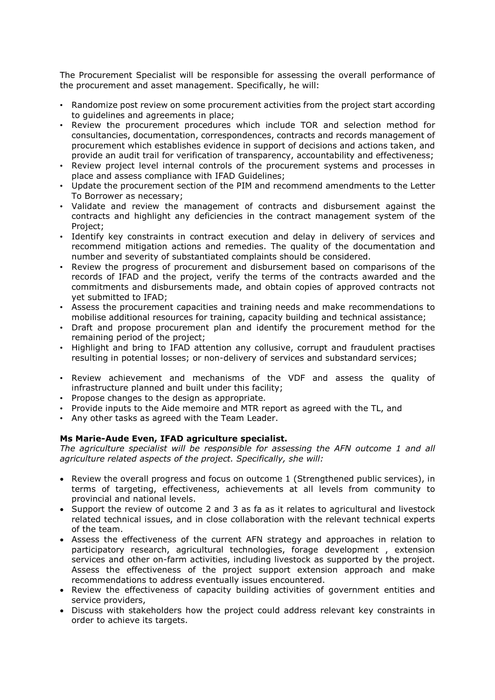The Procurement Specialist will be responsible for assessing the overall performance of the procurement and asset management. Specifically, he will:

- Randomize post review on some procurement activities from the project start according to guidelines and agreements in place;
- Review the procurement procedures which include TOR and selection method for consultancies, documentation, correspondences, contracts and records management of procurement which establishes evidence in support of decisions and actions taken, and provide an audit trail for verification of transparency, accountability and effectiveness;
- Review project level internal controls of the procurement systems and processes in place and assess compliance with IFAD Guidelines;
- Update the procurement section of the PIM and recommend amendments to the Letter To Borrower as necessary;
- Validate and review the management of contracts and disbursement against the contracts and highlight any deficiencies in the contract management system of the Project;
- Identify key constraints in contract execution and delay in delivery of services and recommend mitigation actions and remedies. The quality of the documentation and number and severity of substantiated complaints should be considered.
- Review the progress of procurement and disbursement based on comparisons of the records of IFAD and the project, verify the terms of the contracts awarded and the commitments and disbursements made, and obtain copies of approved contracts not yet submitted to IFAD;
- Assess the procurement capacities and training needs and make recommendations to mobilise additional resources for training, capacity building and technical assistance;
- Draft and propose procurement plan and identify the procurement method for the remaining period of the project;
- Highlight and bring to IFAD attention any collusive, corrupt and fraudulent practises resulting in potential losses; or non-delivery of services and substandard services;
- Review achievement and mechanisms of the VDF and assess the quality of infrastructure planned and built under this facility;
- Propose changes to the design as appropriate.
- Provide inputs to the Aide memoire and MTR report as agreed with the TL, and
- Any other tasks as agreed with the Team Leader.

## **Ms Marie-Aude Even, IFAD agriculture specialist.**

*The agriculture specialist will be responsible for assessing the AFN outcome 1 and all agriculture related aspects of the project. Specifically, she will:* 

- Review the overall progress and focus on outcome 1 (Strengthened public services), in terms of targeting, effectiveness, achievements at all levels from community to provincial and national levels.
- Support the review of outcome 2 and 3 as fa as it relates to agricultural and livestock related technical issues, and in close collaboration with the relevant technical experts of the team.
- Assess the effectiveness of the current AFN strategy and approaches in relation to participatory research, agricultural technologies, forage development , extension services and other on-farm activities, including livestock as supported by the project. Assess the effectiveness of the project support extension approach and make recommendations to address eventually issues encountered.
- Review the effectiveness of capacity building activities of government entities and service providers,
- Discuss with stakeholders how the project could address relevant key constraints in order to achieve its targets.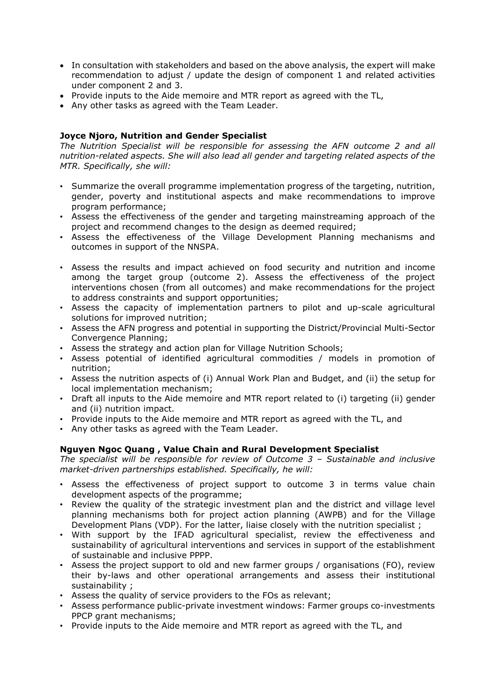- In consultation with stakeholders and based on the above analysis, the expert will make recommendation to adjust / update the design of component 1 and related activities under component 2 and 3.
- Provide inputs to the Aide memoire and MTR report as agreed with the TL,
- Any other tasks as agreed with the Team Leader.

### **Joyce Njoro, Nutrition and Gender Specialist**

*The Nutrition Specialist will be responsible for assessing the AFN outcome 2 and all nutrition-related aspects. She will also lead all gender and targeting related aspects of the MTR. Specifically, she will:* 

- Summarize the overall programme implementation progress of the targeting, nutrition, gender, poverty and institutional aspects and make recommendations to improve program performance;
- Assess the effectiveness of the gender and targeting mainstreaming approach of the project and recommend changes to the design as deemed required;
- Assess the effectiveness of the Village Development Planning mechanisms and outcomes in support of the NNSPA.
- Assess the results and impact achieved on food security and nutrition and income among the target group (outcome 2). Assess the effectiveness of the project interventions chosen (from all outcomes) and make recommendations for the project to address constraints and support opportunities;
- Assess the capacity of implementation partners to pilot and up-scale agricultural solutions for improved nutrition;
- Assess the AFN progress and potential in supporting the District/Provincial Multi-Sector Convergence Planning;
- Assess the strategy and action plan for Village Nutrition Schools;
- Assess potential of identified agricultural commodities / models in promotion of nutrition;
- Assess the nutrition aspects of (i) Annual Work Plan and Budget, and (ii) the setup for local implementation mechanism;
- Draft all inputs to the Aide memoire and MTR report related to (i) targeting (ii) gender and (ii) nutrition impact.
- Provide inputs to the Aide memoire and MTR report as agreed with the TL, and
- Any other tasks as agreed with the Team Leader.

## **Nguyen Ngoc Quang , Value Chain and Rural Development Specialist**

*The specialist will be responsible for review of Outcome 3 – Sustainable and inclusive market-driven partnerships established. Specifically, he will:* 

- Assess the effectiveness of project support to outcome 3 in terms value chain development aspects of the programme;
- Review the quality of the strategic investment plan and the district and village level planning mechanisms both for project action planning (AWPB) and for the Village Development Plans (VDP). For the latter, liaise closely with the nutrition specialist ;
- With support by the IFAD agricultural specialist, review the effectiveness and sustainability of agricultural interventions and services in support of the establishment of sustainable and inclusive PPPP.
- Assess the project support to old and new farmer groups / organisations (FO), review their by-laws and other operational arrangements and assess their institutional sustainability ;
- Assess the quality of service providers to the FOs as relevant;
- Assess performance public-private investment windows: Farmer groups co-investments PPCP grant mechanisms;
- Provide inputs to the Aide memoire and MTR report as agreed with the TL, and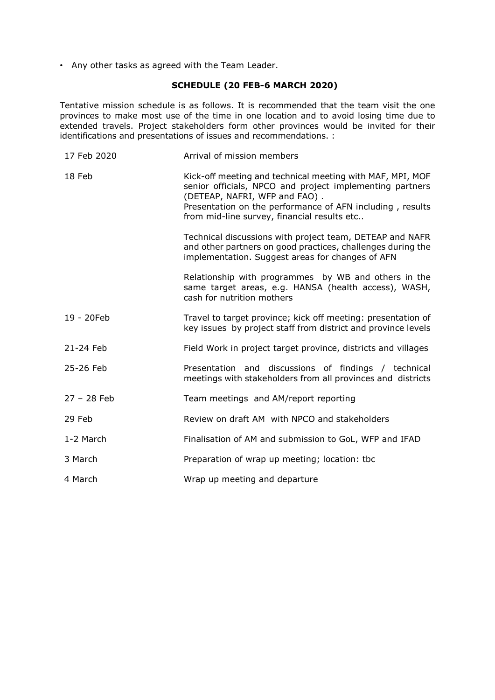• Any other tasks as agreed with the Team Leader.

## **SCHEDULE (20 FEB-6 MARCH 2020)**

Tentative mission schedule is as follows. It is recommended that the team visit the one provinces to make most use of the time in one location and to avoid losing time due to extended travels. Project stakeholders form other provinces would be invited for their identifications and presentations of issues and recommendations. :

| 17 Feb 2020   | Arrival of mission members                                                                                                                                                                                                                                         |
|---------------|--------------------------------------------------------------------------------------------------------------------------------------------------------------------------------------------------------------------------------------------------------------------|
| 18 Feb        | Kick-off meeting and technical meeting with MAF, MPI, MOF<br>senior officials, NPCO and project implementing partners<br>(DETEAP, NAFRI, WFP and FAO).<br>Presentation on the performance of AFN including, results<br>from mid-line survey, financial results etc |
|               | Technical discussions with project team, DETEAP and NAFR<br>and other partners on good practices, challenges during the<br>implementation. Suggest areas for changes of AFN                                                                                        |
|               | Relationship with programmes by WB and others in the<br>same target areas, e.g. HANSA (health access), WASH,<br>cash for nutrition mothers                                                                                                                         |
| 19 - 20Feb    | Travel to target province; kick off meeting: presentation of<br>key issues by project staff from district and province levels                                                                                                                                      |
| 21-24 Feb     | Field Work in project target province, districts and villages                                                                                                                                                                                                      |
| 25-26 Feb     | Presentation and discussions of findings / technical<br>meetings with stakeholders from all provinces and districts                                                                                                                                                |
| $27 - 28$ Feb | Team meetings and AM/report reporting                                                                                                                                                                                                                              |
| 29 Feb        | Review on draft AM with NPCO and stakeholders                                                                                                                                                                                                                      |
| 1-2 March     | Finalisation of AM and submission to GoL, WFP and IFAD                                                                                                                                                                                                             |
| 3 March       | Preparation of wrap up meeting; location: tbc                                                                                                                                                                                                                      |
| 4 March       | Wrap up meeting and departure                                                                                                                                                                                                                                      |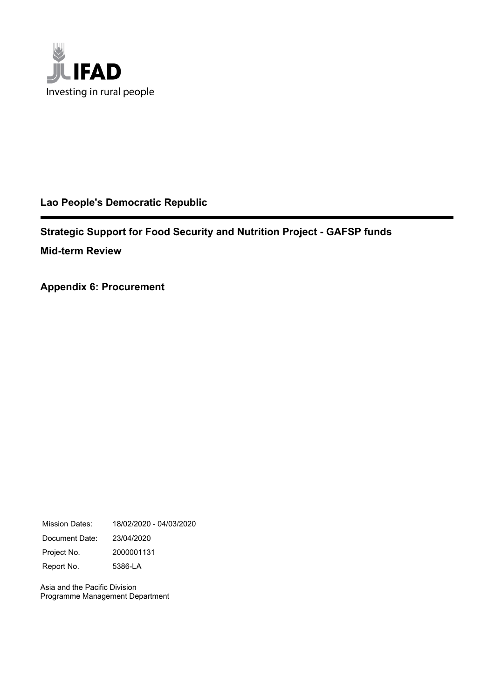

## **Lao People's Democratic Republic**

**Strategic Support for Food Security and Nutrition Project - GAFSP funds Mid-term Review**

**Appendix 6: Procurement**

Mission Dates: 18/02/2020 - 04/03/2020 Document Date: 23/04/2020 Project No. 2000001131 Report No. 5386-LA

Asia and the Pacific Division Programme Management Department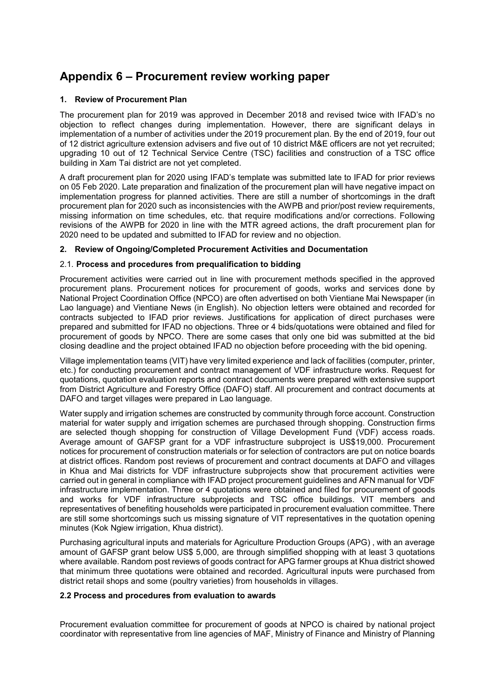## **Appendix 6 – Procurement review working paper**

### **1. Review of Procurement Plan**

The procurement plan for 2019 was approved in December 2018 and revised twice with IFAD's no objection to reflect changes during implementation. However, there are significant delays in implementation of a number of activities under the 2019 procurement plan. By the end of 2019, four out of 12 district agriculture extension advisers and five out of 10 district M&E officers are not yet recruited; upgrading 10 out of 12 Technical Service Centre (TSC) facilities and construction of a TSC office building in Xam Tai district are not yet completed.

A draft procurement plan for 2020 using IFAD's template was submitted late to IFAD for prior reviews on 05 Feb 2020. Late preparation and finalization of the procurement plan will have negative impact on implementation progress for planned activities. There are still a number of shortcomings in the draft procurement plan for 2020 such as inconsistencies with the AWPB and prior/post review requirements, missing information on time schedules, etc. that require modifications and/or corrections. Following revisions of the AWPB for 2020 in line with the MTR agreed actions, the draft procurement plan for 2020 need to be updated and submitted to IFAD for review and no objection.

### **2. Review of Ongoing/Completed Procurement Activities and Documentation**

### 2.1. **Process and procedures from prequalification to bidding**

Procurement activities were carried out in line with procurement methods specified in the approved procurement plans. Procurement notices for procurement of goods, works and services done by National Project Coordination Office (NPCO) are often advertised on both Vientiane Mai Newspaper (in Lao language) and Vientiane News (in English). No objection letters were obtained and recorded for contracts subjected to IFAD prior reviews. Justifications for application of direct purchases were prepared and submitted for IFAD no objections. Three or 4 bids/quotations were obtained and filed for procurement of goods by NPCO. There are some cases that only one bid was submitted at the bid closing deadline and the project obtained IFAD no objection before proceeding with the bid opening.

Village implementation teams (VIT) have very limited experience and lack of facilities (computer, printer, etc.) for conducting procurement and contract management of VDF infrastructure works. Request for quotations, quotation evaluation reports and contract documents were prepared with extensive support from District Agriculture and Forestry Office (DAFO) staff. All procurement and contract documents at DAFO and target villages were prepared in Lao language.

Water supply and irrigation schemes are constructed by community through force account. Construction material for water supply and irrigation schemes are purchased through shopping. Construction firms are selected though shopping for construction of Village Development Fund (VDF) access roads. Average amount of GAFSP grant for a VDF infrastructure subproject is US\$19,000. Procurement notices for procurement of construction materials or for selection of contractors are put on notice boards at district offices. Random post reviews of procurement and contract documents at DAFO and villages in Khua and Mai districts for VDF infrastructure subprojects show that procurement activities were carried out in general in compliance with IFAD project procurement guidelines and AFN manual for VDF infrastructure implementation. Three or 4 quotations were obtained and filed for procurement of goods and works for VDF infrastructure subprojects and TSC office buildings. VIT members and representatives of benefiting households were participated in procurement evaluation committee. There are still some shortcomings such us missing signature of VIT representatives in the quotation opening minutes (Kok Ngiew irrigation, Khua district).

Purchasing agricultural inputs and materials for Agriculture Production Groups (APG) , with an average amount of GAFSP grant below US\$ 5,000, are through simplified shopping with at least 3 quotations where available. Random post reviews of goods contract for APG farmer groups at Khua district showed that minimum three quotations were obtained and recorded. Agricultural inputs were purchased from district retail shops and some (poultry varieties) from households in villages.

### **2.2 Process and procedures from evaluation to awards**

Procurement evaluation committee for procurement of goods at NPCO is chaired by national project coordinator with representative from line agencies of MAF, Ministry of Finance and Ministry of Planning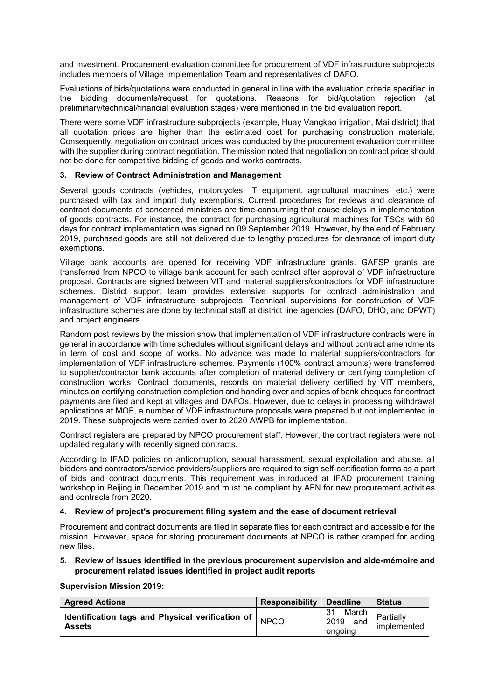and Investment. Procurement evaluation committee for procurement of VDF infrastructure subprojects includes members of Village Implementation Team and representatives of DAFO.

Evaluations of bids/quotations were conducted in general in line with the evaluation criteria specified in the bidding documents/request for quotations. Reasons for bid/quotation rejection (at preliminary/technical/financial evaluation stages) were mentioned in the bid evaluation report.

There were some VDF infrastructure subprojects (example, Huay Vangkao irrigation, Mai district) that all quotation prices are higher than the estimated cost for purchasing construction materials. Consequently, negotiation on contract prices was conducted by the procurement evaluation committee with the supplier during contract negotiation. The mission noted that negotiation on contract price should not be done for competitive bidding of goods and works contracts.

### **3. Review of Contract Administration and Management**

Several goods contracts (vehicles, motorcycles, IT equipment, agricultural machines, etc.) were purchased with tax and import duty exemptions. Current procedures for reviews and clearance of contract documents at concerned ministries are time-consuming that cause delays in implementation of goods contracts. For instance, the contract for purchasing agricultural machines for TSCs with 60 days for contract implementation was signed on 09 September 2019. However, by the end of February 2019, purchased goods are still not delivered due to lengthy procedures for clearance of import duty exemptions.

Village bank accounts are opened for receiving VDF infrastructure grants. GAFSP grants are transferred from NPCO to village bank account for each contract after approval of VDF infrastructure proposal. Contracts are signed between VIT and material suppliers/contractors for VDF infrastructure schemes. District support team provides extensive supports for contract administration and management of VDF infrastructure subprojects. Technical supervisions for construction of VDF infrastructure schemes are done by technical staff at district line agencies (DAFO, DHO, and DPWT) and project engineers.

Random post reviews by the mission show that implementation of VDF infrastructure contracts were in general in accordance with time schedules without significant delays and without contract amendments in term of cost and scope of works. No advance was made to material suppliers/contractors for implementation of VDF infrastructure schemes. Payments (100% contract amounts) were transferred to supplier/contractor bank accounts after completion of material delivery or certifying completion of construction works. Contract documents, records on material delivery certified by VIT members, minutes on certifying construction completion and handing over and copies of bank cheques for contract payments are filed and kept at villages and DAFOs. However, due to delays in processing withdrawal applications at MOF, a number of VDF infrastructure proposals were prepared but not implemented in 2019. These subprojects were carried over to 2020 AWPB for implementation.

Contract registers are prepared by NPCO procurement staff. However, the contract registers were not updated regularly with recently signed contracts.

According to IFAD policies on anticorruption, sexual harassment, sexual exploitation and abuse, all bidders and contractors/service providers/suppliers are required to sign self-certification forms as a part of bids and contract documents. This requirement was introduced at IFAD procurement training workshop in Beijing in December 2019 and must be compliant by AFN for new procurement activities and contracts from 2020.

### **4. Review of project's procurement filing system and the ease of document retrieval**

Procurement and contract documents are filed in separate files for each contract and accessible for the mission. However, space for storing procurement documents at NPCO is rather cramped for adding new files.

### **5. Review of issues identified in the previous procurement supervision and aide-mémoire and procurement related issues identified in project audit reports**

**Supervision Mission 2019:**

| <b>Agreed Actions</b>                                               | <b>Responsibility</b> | <b>Deadline</b>                | <b>Status</b>            |
|---------------------------------------------------------------------|-----------------------|--------------------------------|--------------------------|
| Identification tags and Physical verification of  <br><b>Assets</b> | <b>NPCO</b>           | March  <br>2019 and<br>ongoing | Partially<br>implemented |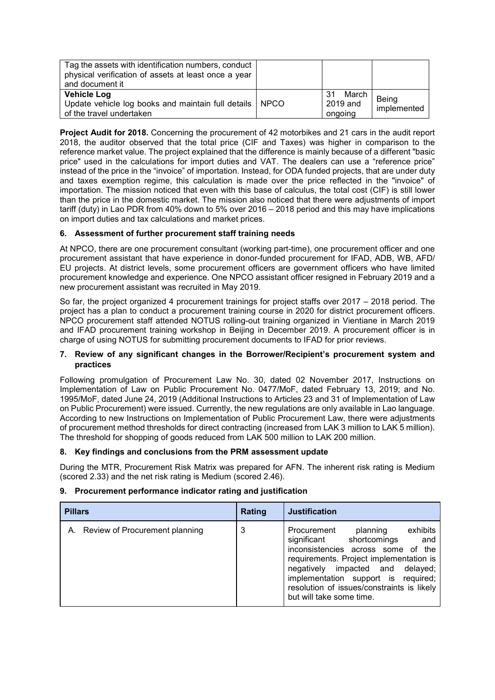| Tag the assets with identification numbers, conduct<br>physical verification of assets at least once a year<br>and document it |                                       |                      |
|--------------------------------------------------------------------------------------------------------------------------------|---------------------------------------|----------------------|
| <b>Vehicle Log</b><br>Update vehicle log books and maintain full details   NPCO<br>of the travel undertaken                    | March  <br>-31<br>2019 and<br>ongoing | Being<br>implemented |

**Project Audit for 2018.** Concerning the procurement of 42 motorbikes and 21 cars in the audit report 2018, the auditor observed that the total price (CIF and Taxes) was higher in comparison to the reference market value. The project explained that the difference is mainly because of a different "basic price" used in the calculations for import duties and VAT. The dealers can use a "reference price" instead of the price in the "invoice" of importation. Instead, for ODA funded projects, that are under duty and taxes exemption regime, this calculation is made over the price reflected in the "invoice" of importation. The mission noticed that even with this base of calculus, the total cost (CIF) is still lower than the price in the domestic market. The mission also noticed that there were adjustments of import tariff (duty) in Lao PDR from 40% down to 5% over 2016 – 2018 period and this may have implications on import duties and tax calculations and market prices.

### **6. Assessment of further procurement staff training needs**

At NPCO, there are one procurement consultant (working part-time), one procurement officer and one procurement assistant that have experience in donor-funded procurement for IFAD, ADB, WB, AFD/ EU projects. At district levels, some procurement officers are government officers who have limited procurement knowledge and experience. One NPCO assistant officer resigned in February 2019 and a new procurement assistant was recruited in May 2019.

So far, the project organized 4 procurement trainings for project staffs over 2017 – 2018 period. The project has a plan to conduct a procurement training course in 2020 for district procurement officers. NPCO procurement staff attended NOTUS rolling-out training organized in Vientiane in March 2019 and IFAD procurement training workshop in Beijing in December 2019. A procurement officer is in charge of using NOTUS for submitting procurement documents to IFAD for prior reviews.

### **7. Review of any significant changes in the Borrower/Recipient's procurement system and practices**

Following promulgation of Procurement Law No. 30, dated 02 November 2017, Instructions on Implementation of Law on Public Procurement No. 0477/MoF, dated February 13, 2019; and No. 1995/MoF, dated June 24, 2019 (Additional Instructions to Articles 23 and 31 of Implementation of Law on Public Procurement) were issued. Currently, the new regulations are only available in Lao language. According to new Instructions on Implementation of Public Procurement Law, there were adjustments of procurement method thresholds for direct contracting (increased from LAK 3 million to LAK 5 million). The threshold for shopping of goods reduced from LAK 500 million to LAK 200 million.

### **8. Key findings and conclusions from the PRM assessment update**

During the MTR, Procurement Risk Matrix was prepared for AFN. The inherent risk rating is Medium (scored 2.33) and the net risk rating is Medium (scored 2.46).

### **9. Procurement performance indicator rating and justification**

| <b>Pillars</b>                 | Rating | <b>Justification</b>                                                                                                                                                                                                                                                                                         |
|--------------------------------|--------|--------------------------------------------------------------------------------------------------------------------------------------------------------------------------------------------------------------------------------------------------------------------------------------------------------------|
| Review of Procurement planning | 3      | exhibits<br>Procurement<br>planning<br>significant shortcomings<br>and<br>inconsistencies across some of the<br>requirements. Project implementation is<br>negatively impacted and delayed;<br>implementation support is required;<br>resolution of issues/constraints is likely<br>but will take some time. |